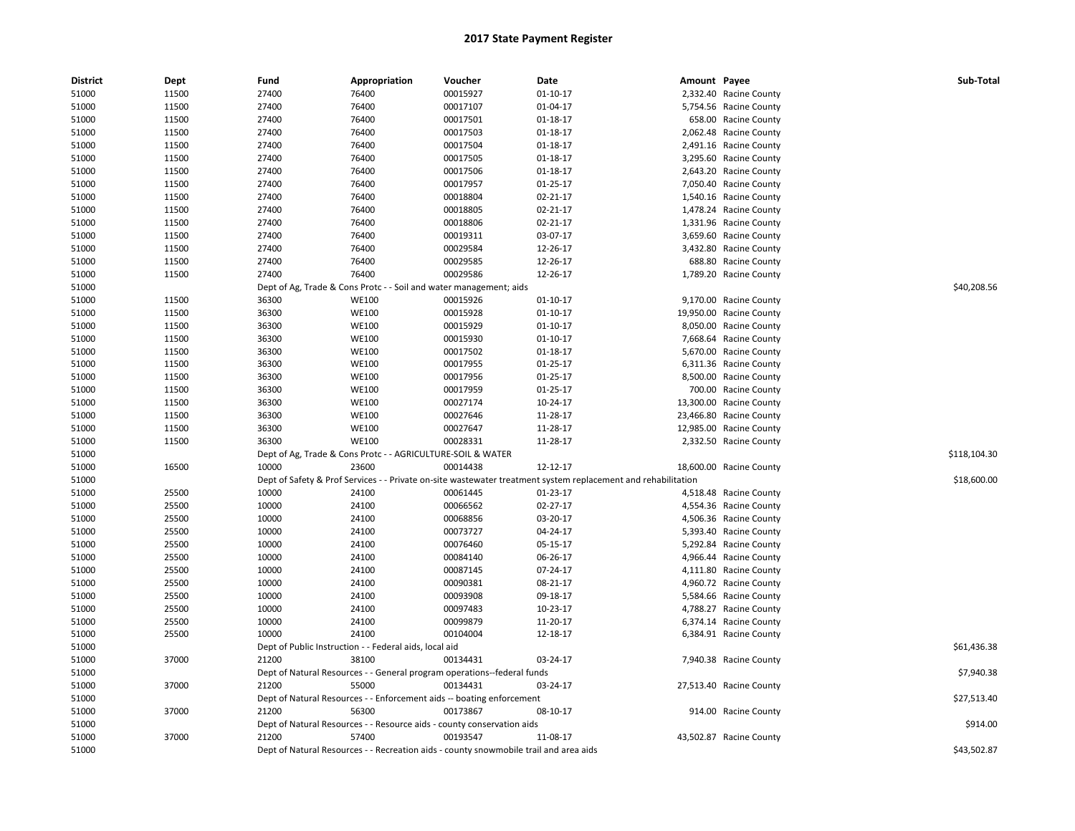| <b>District</b> | Dept  | Fund  | Appropriation                                                      | Voucher                                                                               | Date                                                                                                          | Amount Payee |                         | Sub-Total    |
|-----------------|-------|-------|--------------------------------------------------------------------|---------------------------------------------------------------------------------------|---------------------------------------------------------------------------------------------------------------|--------------|-------------------------|--------------|
| 51000           | 11500 | 27400 | 76400                                                              | 00015927                                                                              | 01-10-17                                                                                                      |              | 2,332.40 Racine County  |              |
| 51000           | 11500 | 27400 | 76400                                                              | 00017107                                                                              | 01-04-17                                                                                                      |              | 5,754.56 Racine County  |              |
| 51000           | 11500 | 27400 | 76400                                                              | 00017501                                                                              | $01 - 18 - 17$                                                                                                |              | 658.00 Racine County    |              |
| 51000           | 11500 | 27400 | 76400                                                              | 00017503                                                                              | 01-18-17                                                                                                      |              | 2,062.48 Racine County  |              |
| 51000           | 11500 | 27400 | 76400                                                              | 00017504                                                                              | 01-18-17                                                                                                      |              | 2,491.16 Racine County  |              |
| 51000           | 11500 | 27400 | 76400                                                              | 00017505                                                                              | 01-18-17                                                                                                      |              | 3,295.60 Racine County  |              |
| 51000           | 11500 | 27400 | 76400                                                              | 00017506                                                                              | 01-18-17                                                                                                      |              | 2,643.20 Racine County  |              |
| 51000           | 11500 | 27400 | 76400                                                              | 00017957                                                                              | 01-25-17                                                                                                      |              | 7,050.40 Racine County  |              |
| 51000           | 11500 | 27400 | 76400                                                              | 00018804                                                                              | 02-21-17                                                                                                      |              | 1,540.16 Racine County  |              |
| 51000           | 11500 | 27400 | 76400                                                              | 00018805                                                                              | 02-21-17                                                                                                      |              | 1,478.24 Racine County  |              |
| 51000           | 11500 | 27400 | 76400                                                              | 00018806                                                                              | 02-21-17                                                                                                      |              | 1,331.96 Racine County  |              |
| 51000           | 11500 | 27400 | 76400                                                              | 00019311                                                                              | 03-07-17                                                                                                      |              | 3,659.60 Racine County  |              |
| 51000           | 11500 | 27400 | 76400                                                              | 00029584                                                                              | 12-26-17                                                                                                      |              | 3,432.80 Racine County  |              |
| 51000           | 11500 | 27400 | 76400                                                              | 00029585                                                                              | 12-26-17                                                                                                      |              | 688.80 Racine County    |              |
| 51000           | 11500 | 27400 | 76400                                                              | 00029586                                                                              | 12-26-17                                                                                                      |              | 1,789.20 Racine County  |              |
| 51000           |       |       | Dept of Ag, Trade & Cons Protc - - Soil and water management; aids |                                                                                       |                                                                                                               |              |                         | \$40,208.56  |
| 51000           | 11500 | 36300 | <b>WE100</b>                                                       | 00015926                                                                              | $01 - 10 - 17$                                                                                                |              | 9,170.00 Racine County  |              |
| 51000           | 11500 | 36300 | <b>WE100</b>                                                       | 00015928                                                                              | $01 - 10 - 17$                                                                                                |              | 19,950.00 Racine County |              |
| 51000           | 11500 | 36300 | <b>WE100</b>                                                       | 00015929                                                                              | $01 - 10 - 17$                                                                                                |              | 8,050.00 Racine County  |              |
| 51000           | 11500 | 36300 | <b>WE100</b>                                                       | 00015930                                                                              | $01 - 10 - 17$                                                                                                |              | 7,668.64 Racine County  |              |
| 51000           | 11500 | 36300 | <b>WE100</b>                                                       | 00017502                                                                              | 01-18-17                                                                                                      |              | 5,670.00 Racine County  |              |
| 51000           | 11500 | 36300 | <b>WE100</b>                                                       | 00017955                                                                              | 01-25-17                                                                                                      |              | 6,311.36 Racine County  |              |
| 51000           | 11500 | 36300 | <b>WE100</b>                                                       | 00017956                                                                              | 01-25-17                                                                                                      |              | 8,500.00 Racine County  |              |
| 51000           | 11500 | 36300 | <b>WE100</b>                                                       | 00017959                                                                              | 01-25-17                                                                                                      |              | 700.00 Racine County    |              |
| 51000           | 11500 | 36300 | <b>WE100</b>                                                       | 00027174                                                                              | 10-24-17                                                                                                      |              | 13,300.00 Racine County |              |
| 51000           | 11500 | 36300 | <b>WE100</b>                                                       | 00027646                                                                              | 11-28-17                                                                                                      |              | 23,466.80 Racine County |              |
| 51000           | 11500 | 36300 | <b>WE100</b>                                                       | 00027647                                                                              | 11-28-17                                                                                                      |              | 12,985.00 Racine County |              |
| 51000           | 11500 | 36300 | <b>WE100</b>                                                       | 00028331                                                                              | 11-28-17                                                                                                      |              | 2,332.50 Racine County  |              |
| 51000           |       |       | Dept of Ag, Trade & Cons Protc - - AGRICULTURE-SOIL & WATER        |                                                                                       |                                                                                                               |              |                         | \$118,104.30 |
| 51000           | 16500 | 10000 | 23600                                                              | 00014438                                                                              | 12-12-17                                                                                                      |              | 18,600.00 Racine County |              |
| 51000           |       |       |                                                                    |                                                                                       | Dept of Safety & Prof Services - - Private on-site wastewater treatment system replacement and rehabilitation |              |                         | \$18,600.00  |
| 51000           | 25500 | 10000 | 24100                                                              | 00061445                                                                              | 01-23-17                                                                                                      |              | 4,518.48 Racine County  |              |
| 51000           | 25500 | 10000 | 24100                                                              | 00066562                                                                              | 02-27-17                                                                                                      |              | 4,554.36 Racine County  |              |
| 51000           | 25500 | 10000 | 24100                                                              | 00068856                                                                              | 03-20-17                                                                                                      |              | 4,506.36 Racine County  |              |
| 51000           | 25500 | 10000 | 24100                                                              | 00073727                                                                              | 04-24-17                                                                                                      |              | 5,393.40 Racine County  |              |
| 51000           | 25500 | 10000 | 24100                                                              | 00076460                                                                              | 05-15-17                                                                                                      |              | 5,292.84 Racine County  |              |
| 51000           | 25500 | 10000 | 24100                                                              | 00084140                                                                              | 06-26-17                                                                                                      |              | 4,966.44 Racine County  |              |
| 51000           | 25500 | 10000 | 24100                                                              | 00087145                                                                              | 07-24-17                                                                                                      |              | 4,111.80 Racine County  |              |
| 51000           | 25500 | 10000 | 24100                                                              | 00090381                                                                              | 08-21-17                                                                                                      |              | 4,960.72 Racine County  |              |
| 51000           | 25500 | 10000 | 24100                                                              | 00093908                                                                              | 09-18-17                                                                                                      |              | 5,584.66 Racine County  |              |
| 51000           | 25500 | 10000 | 24100                                                              | 00097483                                                                              | 10-23-17                                                                                                      |              | 4,788.27 Racine County  |              |
| 51000           | 25500 | 10000 | 24100                                                              | 00099879                                                                              | 11-20-17                                                                                                      |              | 6,374.14 Racine County  |              |
| 51000           | 25500 | 10000 | 24100                                                              | 00104004                                                                              | 12-18-17                                                                                                      |              | 6,384.91 Racine County  |              |
| 51000           |       |       | Dept of Public Instruction - - Federal aids, local aid             |                                                                                       |                                                                                                               |              |                         | \$61,436.38  |
| 51000           | 37000 | 21200 | 38100                                                              | 00134431                                                                              | 03-24-17                                                                                                      |              | 7,940.38 Racine County  |              |
| 51000           |       |       |                                                                    | Dept of Natural Resources - - General program operations--federal funds               |                                                                                                               |              |                         | \$7,940.38   |
| 51000           | 37000 | 21200 | 55000                                                              | 00134431                                                                              | 03-24-17                                                                                                      |              | 27,513.40 Racine County |              |
| 51000           |       |       |                                                                    | Dept of Natural Resources - - Enforcement aids -- boating enforcement                 |                                                                                                               |              |                         | \$27,513.40  |
| 51000           | 37000 | 21200 | 56300                                                              | 00173867                                                                              | 08-10-17                                                                                                      |              | 914.00 Racine County    |              |
| 51000           |       |       |                                                                    | Dept of Natural Resources - - Resource aids - county conservation aids                |                                                                                                               |              |                         | \$914.00     |
| 51000           | 37000 | 21200 | 57400                                                              | 00193547                                                                              | 11-08-17                                                                                                      |              | 43,502.87 Racine County |              |
| 51000           |       |       |                                                                    | Dept of Natural Resources - - Recreation aids - county snowmobile trail and area aids |                                                                                                               |              |                         | \$43,502.87  |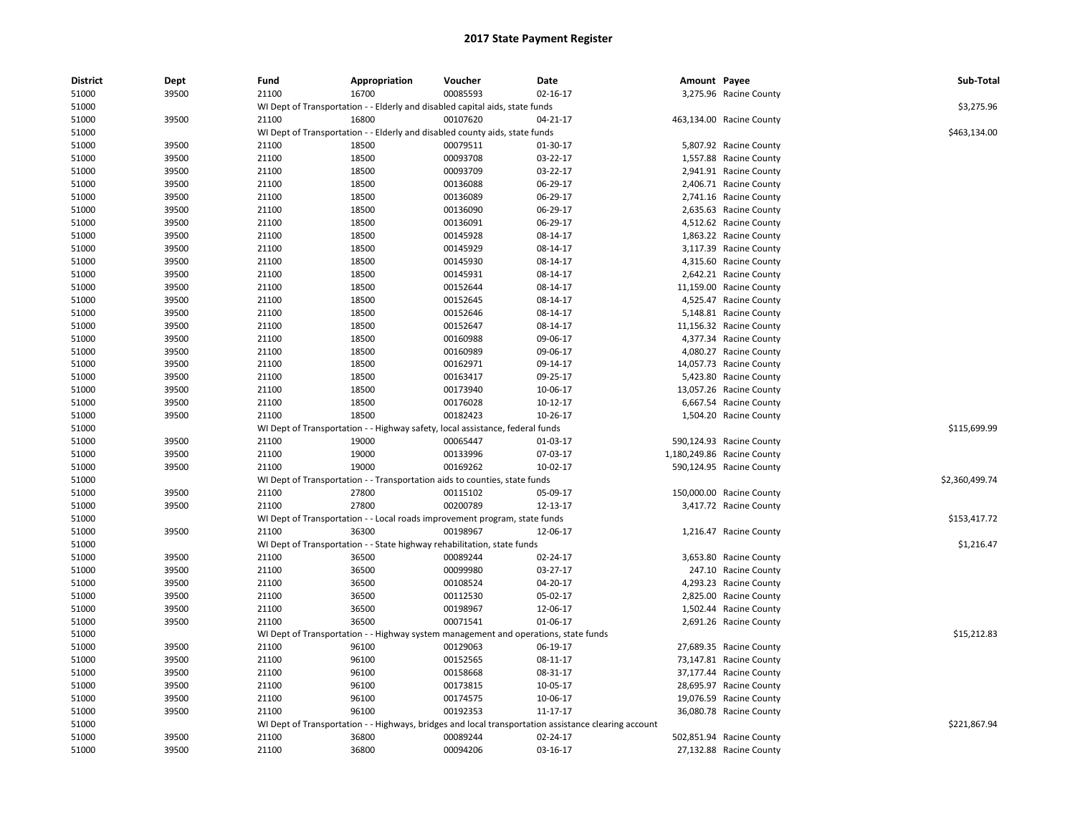| <b>District</b> | Dept  | Fund  | Appropriation                                                                       | Voucher  | Date                                                                                                 | Amount Payee |                            | Sub-Total      |
|-----------------|-------|-------|-------------------------------------------------------------------------------------|----------|------------------------------------------------------------------------------------------------------|--------------|----------------------------|----------------|
| 51000           | 39500 | 21100 | 16700                                                                               | 00085593 | 02-16-17                                                                                             |              | 3,275.96 Racine County     |                |
| 51000           |       |       | WI Dept of Transportation - - Elderly and disabled capital aids, state funds        |          |                                                                                                      |              |                            | \$3,275.96     |
| 51000           | 39500 | 21100 | 16800                                                                               | 00107620 | 04-21-17                                                                                             |              | 463,134.00 Racine County   |                |
| 51000           |       |       | WI Dept of Transportation - - Elderly and disabled county aids, state funds         |          |                                                                                                      |              |                            | \$463,134.00   |
| 51000           | 39500 | 21100 | 18500                                                                               | 00079511 | 01-30-17                                                                                             |              | 5,807.92 Racine County     |                |
| 51000           | 39500 | 21100 | 18500                                                                               | 00093708 | 03-22-17                                                                                             |              | 1,557.88 Racine County     |                |
| 51000           | 39500 | 21100 | 18500                                                                               | 00093709 | 03-22-17                                                                                             |              | 2,941.91 Racine County     |                |
| 51000           | 39500 | 21100 | 18500                                                                               | 00136088 | 06-29-17                                                                                             |              | 2,406.71 Racine County     |                |
| 51000           | 39500 | 21100 | 18500                                                                               | 00136089 | 06-29-17                                                                                             |              | 2,741.16 Racine County     |                |
| 51000           | 39500 | 21100 | 18500                                                                               | 00136090 | 06-29-17                                                                                             |              | 2,635.63 Racine County     |                |
| 51000           | 39500 | 21100 | 18500                                                                               | 00136091 | 06-29-17                                                                                             |              | 4,512.62 Racine County     |                |
| 51000           | 39500 | 21100 | 18500                                                                               | 00145928 | 08-14-17                                                                                             |              | 1,863.22 Racine County     |                |
| 51000           | 39500 | 21100 | 18500                                                                               | 00145929 | 08-14-17                                                                                             |              | 3,117.39 Racine County     |                |
| 51000           | 39500 | 21100 | 18500                                                                               | 00145930 | 08-14-17                                                                                             |              | 4,315.60 Racine County     |                |
| 51000           | 39500 | 21100 | 18500                                                                               | 00145931 | 08-14-17                                                                                             |              | 2,642.21 Racine County     |                |
| 51000           | 39500 | 21100 | 18500                                                                               | 00152644 | 08-14-17                                                                                             |              | 11,159.00 Racine County    |                |
| 51000           | 39500 | 21100 | 18500                                                                               | 00152645 | 08-14-17                                                                                             |              | 4,525.47 Racine County     |                |
| 51000           | 39500 | 21100 | 18500                                                                               | 00152646 | 08-14-17                                                                                             |              | 5,148.81 Racine County     |                |
| 51000           | 39500 | 21100 | 18500                                                                               | 00152647 | 08-14-17                                                                                             |              | 11,156.32 Racine County    |                |
| 51000           | 39500 | 21100 | 18500                                                                               | 00160988 | 09-06-17                                                                                             |              | 4,377.34 Racine County     |                |
| 51000           | 39500 | 21100 | 18500                                                                               | 00160989 | 09-06-17                                                                                             |              | 4,080.27 Racine County     |                |
| 51000           | 39500 | 21100 | 18500                                                                               | 00162971 | 09-14-17                                                                                             |              | 14,057.73 Racine County    |                |
| 51000           | 39500 | 21100 | 18500                                                                               | 00163417 | 09-25-17                                                                                             |              | 5,423.80 Racine County     |                |
| 51000           | 39500 | 21100 | 18500                                                                               | 00173940 | 10-06-17                                                                                             |              | 13,057.26 Racine County    |                |
| 51000           | 39500 | 21100 | 18500                                                                               | 00176028 | $10-12-17$                                                                                           |              | 6,667.54 Racine County     |                |
| 51000           | 39500 | 21100 | 18500                                                                               | 00182423 | 10-26-17                                                                                             |              | 1,504.20 Racine County     |                |
| 51000           |       |       | WI Dept of Transportation - - Highway safety, local assistance, federal funds       |          |                                                                                                      |              |                            | \$115,699.99   |
| 51000           | 39500 | 21100 | 19000                                                                               | 00065447 | 01-03-17                                                                                             |              | 590,124.93 Racine County   |                |
| 51000           | 39500 | 21100 | 19000                                                                               | 00133996 | 07-03-17                                                                                             |              | 1,180,249.86 Racine County |                |
| 51000           | 39500 | 21100 | 19000                                                                               | 00169262 | 10-02-17                                                                                             |              | 590,124.95 Racine County   |                |
| 51000           |       |       | WI Dept of Transportation - - Transportation aids to counties, state funds          |          |                                                                                                      |              |                            | \$2,360,499.74 |
| 51000           | 39500 | 21100 | 27800                                                                               | 00115102 | 05-09-17                                                                                             |              | 150,000.00 Racine County   |                |
| 51000           | 39500 | 21100 | 27800                                                                               | 00200789 | 12-13-17                                                                                             |              | 3,417.72 Racine County     |                |
| 51000           |       |       | WI Dept of Transportation - - Local roads improvement program, state funds          |          |                                                                                                      |              |                            | \$153,417.72   |
| 51000           | 39500 | 21100 | 36300                                                                               | 00198967 | 12-06-17                                                                                             |              | 1,216.47 Racine County     |                |
| 51000           |       |       | WI Dept of Transportation - - State highway rehabilitation, state funds             |          |                                                                                                      |              |                            | \$1,216.47     |
| 51000           | 39500 | 21100 | 36500                                                                               | 00089244 | 02-24-17                                                                                             |              | 3,653.80 Racine County     |                |
| 51000           | 39500 | 21100 | 36500                                                                               | 00099980 | 03-27-17                                                                                             |              | 247.10 Racine County       |                |
| 51000           | 39500 | 21100 | 36500                                                                               | 00108524 | 04-20-17                                                                                             |              | 4,293.23 Racine County     |                |
| 51000           | 39500 | 21100 | 36500                                                                               | 00112530 | 05-02-17                                                                                             |              | 2,825.00 Racine County     |                |
| 51000           | 39500 | 21100 | 36500                                                                               | 00198967 | 12-06-17                                                                                             |              | 1,502.44 Racine County     |                |
| 51000           | 39500 | 21100 | 36500                                                                               | 00071541 | 01-06-17                                                                                             |              | 2,691.26 Racine County     |                |
| 51000           |       |       | WI Dept of Transportation - - Highway system management and operations, state funds |          |                                                                                                      |              |                            | \$15,212.83    |
| 51000           | 39500 | 21100 | 96100                                                                               | 00129063 | 06-19-17                                                                                             |              | 27,689.35 Racine County    |                |
| 51000           | 39500 | 21100 | 96100                                                                               | 00152565 | 08-11-17                                                                                             |              | 73,147.81 Racine County    |                |
| 51000           | 39500 | 21100 | 96100                                                                               | 00158668 | 08-31-17                                                                                             |              | 37,177.44 Racine County    |                |
| 51000           | 39500 | 21100 | 96100                                                                               | 00173815 | 10-05-17                                                                                             |              | 28,695.97 Racine County    |                |
| 51000           | 39500 | 21100 | 96100                                                                               | 00174575 | 10-06-17                                                                                             |              | 19,076.59 Racine County    |                |
| 51000           | 39500 | 21100 | 96100                                                                               | 00192353 | 11-17-17                                                                                             |              | 36,080.78 Racine County    |                |
| 51000           |       |       |                                                                                     |          | WI Dept of Transportation - - Highways, bridges and local transportation assistance clearing account |              |                            | \$221,867.94   |
| 51000           | 39500 | 21100 | 36800                                                                               | 00089244 | 02-24-17                                                                                             |              | 502,851.94 Racine County   |                |
| 51000           | 39500 | 21100 | 36800                                                                               | 00094206 | 03-16-17                                                                                             |              | 27,132.88 Racine County    |                |
|                 |       |       |                                                                                     |          |                                                                                                      |              |                            |                |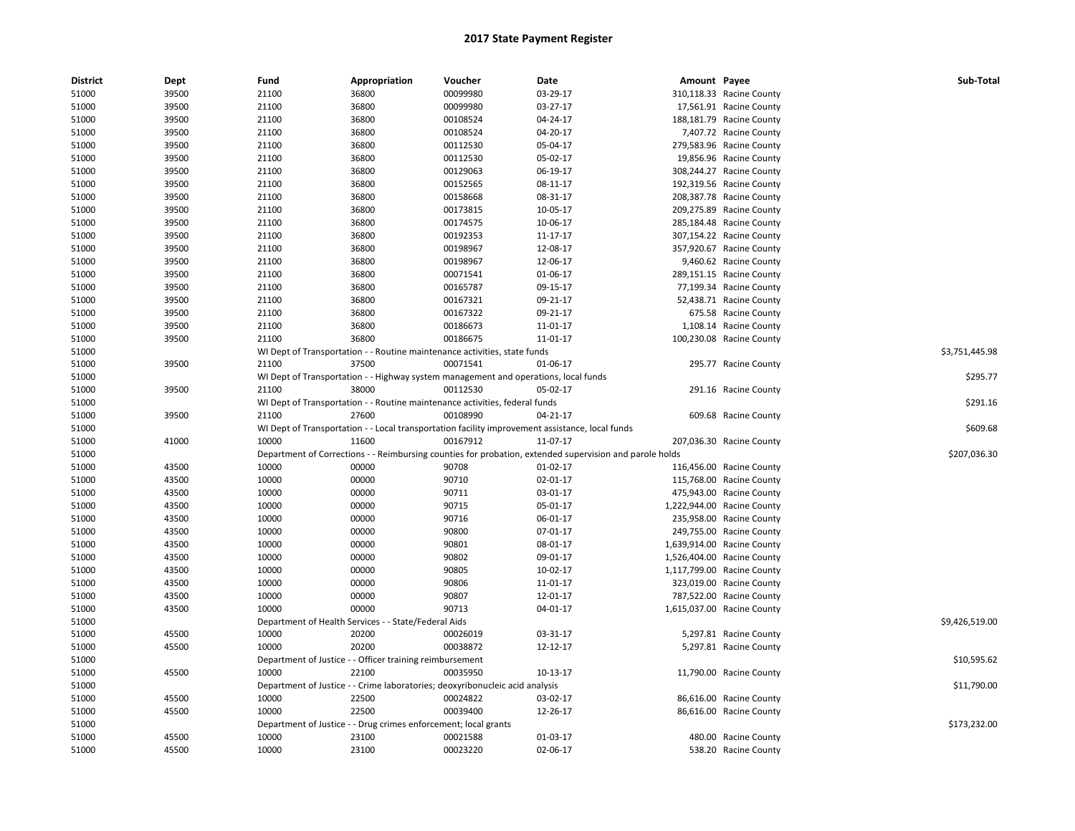| <b>District</b> | Dept  | Fund  | Appropriation                                                   | Voucher                                                                             | Date                                                                                                    | Amount Payee |                            | Sub-Total      |
|-----------------|-------|-------|-----------------------------------------------------------------|-------------------------------------------------------------------------------------|---------------------------------------------------------------------------------------------------------|--------------|----------------------------|----------------|
| 51000           | 39500 | 21100 | 36800                                                           | 00099980                                                                            | 03-29-17                                                                                                |              | 310,118.33 Racine County   |                |
| 51000           | 39500 | 21100 | 36800                                                           | 00099980                                                                            | 03-27-17                                                                                                |              | 17,561.91 Racine County    |                |
| 51000           | 39500 | 21100 | 36800                                                           | 00108524                                                                            | 04-24-17                                                                                                |              | 188,181.79 Racine County   |                |
| 51000           | 39500 | 21100 | 36800                                                           | 00108524                                                                            | 04-20-17                                                                                                |              | 7,407.72 Racine County     |                |
| 51000           | 39500 | 21100 | 36800                                                           | 00112530                                                                            | 05-04-17                                                                                                |              | 279,583.96 Racine County   |                |
| 51000           | 39500 | 21100 | 36800                                                           | 00112530                                                                            | 05-02-17                                                                                                |              | 19,856.96 Racine County    |                |
| 51000           | 39500 | 21100 | 36800                                                           | 00129063                                                                            | 06-19-17                                                                                                |              | 308,244.27 Racine County   |                |
| 51000           | 39500 | 21100 | 36800                                                           | 00152565                                                                            | 08-11-17                                                                                                |              | 192,319.56 Racine County   |                |
| 51000           | 39500 | 21100 | 36800                                                           | 00158668                                                                            | 08-31-17                                                                                                |              | 208,387.78 Racine County   |                |
| 51000           | 39500 | 21100 | 36800                                                           | 00173815                                                                            | 10-05-17                                                                                                |              | 209,275.89 Racine County   |                |
| 51000           | 39500 | 21100 | 36800                                                           | 00174575                                                                            | 10-06-17                                                                                                |              | 285,184.48 Racine County   |                |
| 51000           | 39500 | 21100 | 36800                                                           | 00192353                                                                            | 11-17-17                                                                                                |              | 307,154.22 Racine County   |                |
| 51000           | 39500 | 21100 | 36800                                                           | 00198967                                                                            | 12-08-17                                                                                                |              | 357,920.67 Racine County   |                |
| 51000           | 39500 | 21100 | 36800                                                           | 00198967                                                                            | 12-06-17                                                                                                |              | 9,460.62 Racine County     |                |
| 51000           | 39500 | 21100 | 36800                                                           | 00071541                                                                            | 01-06-17                                                                                                |              | 289,151.15 Racine County   |                |
| 51000           | 39500 | 21100 | 36800                                                           | 00165787                                                                            | 09-15-17                                                                                                |              | 77,199.34 Racine County    |                |
| 51000           | 39500 | 21100 | 36800                                                           | 00167321                                                                            | 09-21-17                                                                                                |              | 52,438.71 Racine County    |                |
| 51000           | 39500 | 21100 | 36800                                                           | 00167322                                                                            | 09-21-17                                                                                                |              | 675.58 Racine County       |                |
| 51000           | 39500 | 21100 | 36800                                                           | 00186673                                                                            | 11-01-17                                                                                                |              | 1,108.14 Racine County     |                |
| 51000           | 39500 | 21100 | 36800                                                           | 00186675                                                                            | 11-01-17                                                                                                |              | 100,230.08 Racine County   |                |
| 51000           |       |       |                                                                 | WI Dept of Transportation - - Routine maintenance activities, state funds           |                                                                                                         |              |                            | \$3,751,445.98 |
| 51000           | 39500 | 21100 | 37500                                                           | 00071541                                                                            | 01-06-17                                                                                                |              | 295.77 Racine County       |                |
| 51000           |       |       |                                                                 | WI Dept of Transportation - - Highway system management and operations, local funds |                                                                                                         |              |                            | \$295.77       |
| 51000           | 39500 | 21100 | 38000                                                           | 00112530                                                                            | 05-02-17                                                                                                |              | 291.16 Racine County       |                |
| 51000           |       |       |                                                                 | WI Dept of Transportation - - Routine maintenance activities, federal funds         |                                                                                                         |              |                            | \$291.16       |
| 51000           | 39500 | 21100 | 27600                                                           | 00108990                                                                            | 04-21-17                                                                                                |              | 609.68 Racine County       |                |
| 51000           |       |       |                                                                 |                                                                                     | WI Dept of Transportation - - Local transportation facility improvement assistance, local funds         |              |                            | \$609.68       |
| 51000           | 41000 | 10000 | 11600                                                           | 00167912                                                                            | 11-07-17                                                                                                |              | 207,036.30 Racine County   |                |
| 51000           |       |       |                                                                 |                                                                                     | Department of Corrections - - Reimbursing counties for probation, extended supervision and parole holds |              |                            | \$207,036.30   |
| 51000           | 43500 | 10000 | 00000                                                           | 90708                                                                               | $01-02-17$                                                                                              |              | 116,456.00 Racine County   |                |
| 51000           | 43500 | 10000 | 00000                                                           | 90710                                                                               | 02-01-17                                                                                                |              | 115,768.00 Racine County   |                |
| 51000           | 43500 | 10000 | 00000                                                           | 90711                                                                               | 03-01-17                                                                                                |              | 475,943.00 Racine County   |                |
| 51000           | 43500 | 10000 | 00000                                                           | 90715                                                                               | 05-01-17                                                                                                |              | 1,222,944.00 Racine County |                |
| 51000           | 43500 | 10000 | 00000                                                           | 90716                                                                               | 06-01-17                                                                                                |              | 235,958.00 Racine County   |                |
| 51000           | 43500 | 10000 | 00000                                                           | 90800                                                                               | 07-01-17                                                                                                |              | 249,755.00 Racine County   |                |
| 51000           | 43500 | 10000 | 00000                                                           | 90801                                                                               | 08-01-17                                                                                                |              | 1,639,914.00 Racine County |                |
| 51000           | 43500 | 10000 | 00000                                                           | 90802                                                                               | 09-01-17                                                                                                |              | 1,526,404.00 Racine County |                |
| 51000           | 43500 | 10000 | 00000                                                           | 90805                                                                               | 10-02-17                                                                                                |              | 1,117,799.00 Racine County |                |
| 51000           | 43500 | 10000 | 00000                                                           | 90806                                                                               | 11-01-17                                                                                                |              | 323,019.00 Racine County   |                |
| 51000           | 43500 | 10000 | 00000                                                           | 90807                                                                               | 12-01-17                                                                                                |              | 787,522.00 Racine County   |                |
| 51000           | 43500 | 10000 | 00000                                                           | 90713                                                                               | 04-01-17                                                                                                |              | 1,615,037.00 Racine County |                |
| 51000           |       |       | Department of Health Services - - State/Federal Aids            |                                                                                     |                                                                                                         |              |                            | \$9,426,519.00 |
| 51000           | 45500 | 10000 | 20200                                                           | 00026019                                                                            | 03-31-17                                                                                                |              | 5,297.81 Racine County     |                |
|                 | 45500 | 10000 | 20200                                                           | 00038872                                                                            | 12-12-17                                                                                                |              |                            |                |
| 51000           |       |       |                                                                 |                                                                                     |                                                                                                         |              | 5,297.81 Racine County     |                |
| 51000           |       |       | Department of Justice - - Officer training reimbursement        |                                                                                     |                                                                                                         |              |                            | \$10,595.62    |
| 51000           | 45500 | 10000 | 22100                                                           | 00035950                                                                            | 10-13-17                                                                                                |              | 11,790.00 Racine County    |                |
| 51000           |       |       |                                                                 | Department of Justice - - Crime laboratories; deoxyribonucleic acid analysis        |                                                                                                         |              |                            | \$11,790.00    |
| 51000           | 45500 | 10000 | 22500                                                           | 00024822                                                                            | 03-02-17                                                                                                |              | 86,616.00 Racine County    |                |
| 51000           | 45500 | 10000 | 22500                                                           | 00039400                                                                            | 12-26-17                                                                                                |              | 86,616.00 Racine County    |                |
| 51000           |       |       | Department of Justice - - Drug crimes enforcement; local grants |                                                                                     |                                                                                                         |              |                            | \$173,232.00   |
| 51000           | 45500 | 10000 | 23100                                                           | 00021588                                                                            | 01-03-17                                                                                                |              | 480.00 Racine County       |                |
| 51000           | 45500 | 10000 | 23100                                                           | 00023220                                                                            | 02-06-17                                                                                                |              | 538.20 Racine County       |                |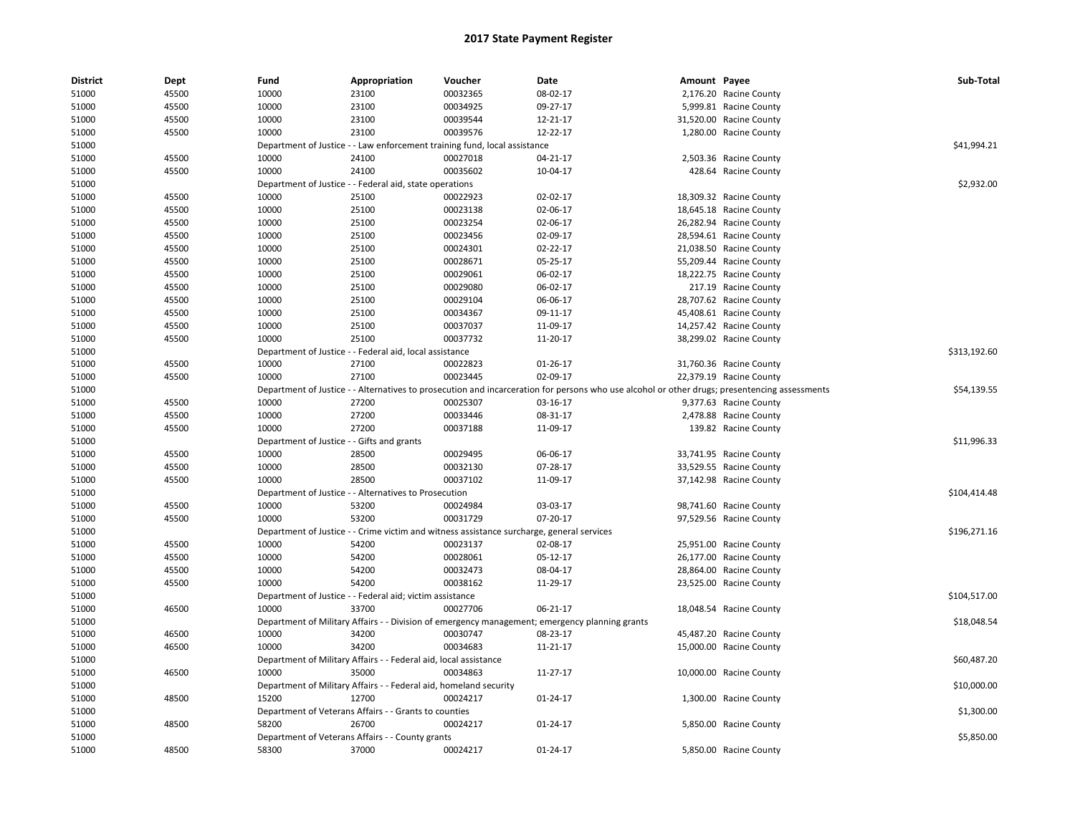| <b>District</b> | <b>Dept</b> | Fund                                       | Appropriation                                                     | Voucher                                                                                   | Date                                                                                                                                          | Amount Payee |                         | Sub-Total    |
|-----------------|-------------|--------------------------------------------|-------------------------------------------------------------------|-------------------------------------------------------------------------------------------|-----------------------------------------------------------------------------------------------------------------------------------------------|--------------|-------------------------|--------------|
| 51000           | 45500       | 10000                                      | 23100                                                             | 00032365                                                                                  | 08-02-17                                                                                                                                      |              | 2,176.20 Racine County  |              |
| 51000           | 45500       | 10000                                      | 23100                                                             | 00034925                                                                                  | 09-27-17                                                                                                                                      |              | 5,999.81 Racine County  |              |
| 51000           | 45500       | 10000                                      | 23100                                                             | 00039544                                                                                  | 12-21-17                                                                                                                                      |              | 31,520.00 Racine County |              |
| 51000           | 45500       | 10000                                      | 23100                                                             | 00039576                                                                                  | 12-22-17                                                                                                                                      |              | 1,280.00 Racine County  |              |
| 51000           |             |                                            |                                                                   | Department of Justice - - Law enforcement training fund, local assistance                 |                                                                                                                                               |              |                         | \$41,994.21  |
| 51000           | 45500       | 10000                                      | 24100                                                             | 00027018                                                                                  | 04-21-17                                                                                                                                      |              | 2,503.36 Racine County  |              |
| 51000           | 45500       | 10000                                      | 24100                                                             | 00035602                                                                                  | 10-04-17                                                                                                                                      |              | 428.64 Racine County    |              |
| 51000           |             |                                            | Department of Justice - - Federal aid, state operations           |                                                                                           |                                                                                                                                               |              |                         | \$2,932.00   |
| 51000           | 45500       | 10000                                      | 25100                                                             | 00022923                                                                                  | 02-02-17                                                                                                                                      |              | 18,309.32 Racine County |              |
| 51000           | 45500       | 10000                                      | 25100                                                             | 00023138                                                                                  | 02-06-17                                                                                                                                      |              | 18,645.18 Racine County |              |
| 51000           | 45500       | 10000                                      | 25100                                                             | 00023254                                                                                  | 02-06-17                                                                                                                                      |              | 26,282.94 Racine County |              |
| 51000           | 45500       | 10000                                      | 25100                                                             | 00023456                                                                                  | 02-09-17                                                                                                                                      |              | 28,594.61 Racine County |              |
| 51000           | 45500       | 10000                                      | 25100                                                             | 00024301                                                                                  | 02-22-17                                                                                                                                      |              | 21,038.50 Racine County |              |
| 51000           | 45500       | 10000                                      | 25100                                                             | 00028671                                                                                  | 05-25-17                                                                                                                                      |              | 55,209.44 Racine County |              |
| 51000           | 45500       | 10000                                      | 25100                                                             | 00029061                                                                                  | 06-02-17                                                                                                                                      |              | 18,222.75 Racine County |              |
| 51000           | 45500       | 10000                                      | 25100                                                             | 00029080                                                                                  | 06-02-17                                                                                                                                      |              | 217.19 Racine County    |              |
| 51000           | 45500       | 10000                                      | 25100                                                             | 00029104                                                                                  | 06-06-17                                                                                                                                      |              | 28,707.62 Racine County |              |
| 51000           | 45500       | 10000                                      | 25100                                                             | 00034367                                                                                  | 09-11-17                                                                                                                                      |              | 45,408.61 Racine County |              |
| 51000           | 45500       | 10000                                      | 25100                                                             | 00037037                                                                                  | 11-09-17                                                                                                                                      |              | 14,257.42 Racine County |              |
| 51000           | 45500       | 10000                                      | 25100                                                             | 00037732                                                                                  | 11-20-17                                                                                                                                      |              | 38,299.02 Racine County |              |
| 51000           |             |                                            | Department of Justice - - Federal aid, local assistance           |                                                                                           |                                                                                                                                               |              |                         | \$313,192.60 |
| 51000           | 45500       | 10000                                      | 27100                                                             | 00022823                                                                                  | 01-26-17                                                                                                                                      |              | 31,760.36 Racine County |              |
| 51000           | 45500       | 10000                                      | 27100                                                             | 00023445                                                                                  | 02-09-17                                                                                                                                      |              | 22,379.19 Racine County |              |
| 51000           |             |                                            |                                                                   |                                                                                           | Department of Justice - - Alternatives to prosecution and incarceration for persons who use alcohol or other drugs; presentencing assessments |              |                         | \$54,139.55  |
| 51000           | 45500       | 10000                                      | 27200                                                             | 00025307                                                                                  | 03-16-17                                                                                                                                      |              | 9,377.63 Racine County  |              |
| 51000           | 45500       | 10000                                      | 27200                                                             | 00033446                                                                                  | 08-31-17                                                                                                                                      |              | 2,478.88 Racine County  |              |
| 51000           | 45500       | 10000                                      | 27200                                                             | 00037188                                                                                  | 11-09-17                                                                                                                                      |              | 139.82 Racine County    |              |
| 51000           |             | Department of Justice - - Gifts and grants |                                                                   |                                                                                           |                                                                                                                                               |              |                         | \$11,996.33  |
| 51000           | 45500       | 10000                                      | 28500                                                             | 00029495                                                                                  | 06-06-17                                                                                                                                      |              | 33,741.95 Racine County |              |
| 51000           | 45500       | 10000                                      | 28500                                                             | 00032130                                                                                  | 07-28-17                                                                                                                                      |              | 33,529.55 Racine County |              |
| 51000           | 45500       | 10000                                      | 28500                                                             | 00037102                                                                                  | 11-09-17                                                                                                                                      |              | 37,142.98 Racine County |              |
| 51000           |             |                                            | Department of Justice - - Alternatives to Prosecution             |                                                                                           |                                                                                                                                               |              |                         | \$104,414.48 |
| 51000           | 45500       | 10000                                      | 53200                                                             | 00024984                                                                                  | 03-03-17                                                                                                                                      |              | 98,741.60 Racine County |              |
| 51000           | 45500       | 10000                                      | 53200                                                             | 00031729                                                                                  | 07-20-17                                                                                                                                      |              | 97,529.56 Racine County |              |
| 51000           |             |                                            |                                                                   | Department of Justice - - Crime victim and witness assistance surcharge, general services |                                                                                                                                               |              |                         | \$196,271.16 |
| 51000           | 45500       | 10000                                      | 54200                                                             | 00023137                                                                                  | 02-08-17                                                                                                                                      |              | 25,951.00 Racine County |              |
| 51000           | 45500       | 10000                                      | 54200                                                             | 00028061                                                                                  | 05-12-17                                                                                                                                      |              | 26,177.00 Racine County |              |
| 51000           | 45500       | 10000                                      | 54200                                                             | 00032473                                                                                  | 08-04-17                                                                                                                                      |              | 28,864.00 Racine County |              |
| 51000           | 45500       | 10000                                      | 54200                                                             | 00038162                                                                                  | 11-29-17                                                                                                                                      |              | 23,525.00 Racine County |              |
| 51000           |             |                                            | Department of Justice - - Federal aid; victim assistance          |                                                                                           |                                                                                                                                               |              |                         | \$104,517.00 |
| 51000           | 46500       | 10000                                      | 33700                                                             | 00027706                                                                                  | 06-21-17                                                                                                                                      |              | 18,048.54 Racine County |              |
| 51000           |             |                                            |                                                                   |                                                                                           | Department of Military Affairs - - Division of emergency management; emergency planning grants                                                |              |                         | \$18,048.54  |
| 51000           | 46500       | 10000                                      | 34200                                                             | 00030747                                                                                  | 08-23-17                                                                                                                                      |              | 45,487.20 Racine County |              |
| 51000           | 46500       | 10000                                      | 34200                                                             | 00034683                                                                                  | 11-21-17                                                                                                                                      |              | 15,000.00 Racine County |              |
| 51000           |             |                                            | Department of Military Affairs - - Federal aid, local assistance  |                                                                                           |                                                                                                                                               |              |                         | \$60,487.20  |
|                 |             |                                            | 35000                                                             |                                                                                           |                                                                                                                                               |              |                         |              |
| 51000           | 46500       | 10000                                      |                                                                   | 00034863                                                                                  | 11-27-17                                                                                                                                      |              | 10,000.00 Racine County |              |
| 51000           |             |                                            | Department of Military Affairs - - Federal aid, homeland security |                                                                                           |                                                                                                                                               |              |                         | \$10,000.00  |
| 51000           | 48500       | 15200                                      | 12700                                                             | 00024217                                                                                  | 01-24-17                                                                                                                                      |              | 1,300.00 Racine County  |              |
| 51000           |             |                                            | Department of Veterans Affairs - - Grants to counties             |                                                                                           |                                                                                                                                               |              |                         | \$1,300.00   |
| 51000           | 48500       | 58200                                      | 26700                                                             | 00024217                                                                                  | 01-24-17                                                                                                                                      |              | 5,850.00 Racine County  |              |
| 51000           |             |                                            | Department of Veterans Affairs - - County grants                  |                                                                                           |                                                                                                                                               |              |                         | \$5,850.00   |
| 51000           | 48500       | 58300                                      | 37000                                                             | 00024217                                                                                  | 01-24-17                                                                                                                                      |              | 5,850.00 Racine County  |              |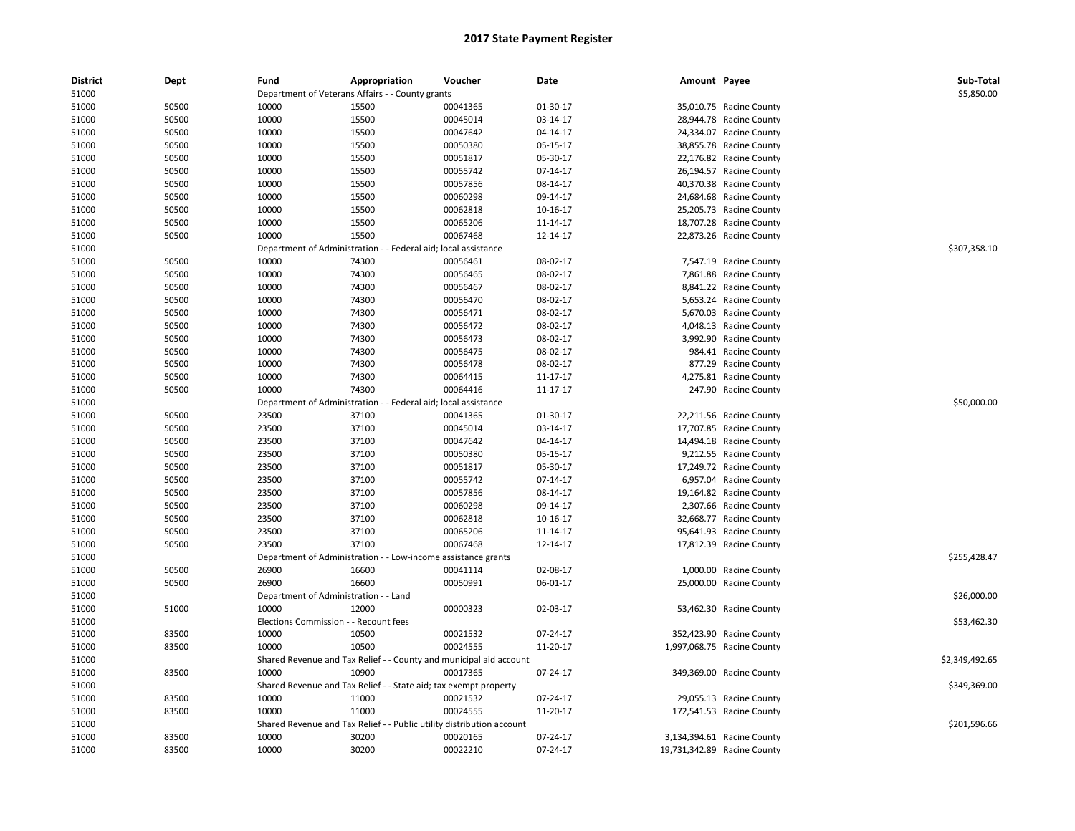| <b>District</b> | Dept  | Fund                                  | Appropriation                                                         | Voucher                                                            | Date       | Amount Payee |                             | Sub-Total      |
|-----------------|-------|---------------------------------------|-----------------------------------------------------------------------|--------------------------------------------------------------------|------------|--------------|-----------------------------|----------------|
| 51000           |       |                                       | Department of Veterans Affairs - - County grants                      |                                                                    |            |              |                             | \$5,850.00     |
| 51000           | 50500 | 10000                                 | 15500                                                                 | 00041365                                                           | 01-30-17   |              | 35,010.75 Racine County     |                |
| 51000           | 50500 | 10000                                 | 15500                                                                 | 00045014                                                           | 03-14-17   |              | 28,944.78 Racine County     |                |
| 51000           | 50500 | 10000                                 | 15500                                                                 | 00047642                                                           | 04-14-17   |              | 24,334.07 Racine County     |                |
| 51000           | 50500 | 10000                                 | 15500                                                                 | 00050380                                                           | 05-15-17   |              | 38,855.78 Racine County     |                |
| 51000           | 50500 | 10000                                 | 15500                                                                 | 00051817                                                           | 05-30-17   |              | 22,176.82 Racine County     |                |
| 51000           | 50500 | 10000                                 | 15500                                                                 | 00055742                                                           | 07-14-17   |              | 26,194.57 Racine County     |                |
| 51000           | 50500 | 10000                                 | 15500                                                                 | 00057856                                                           | 08-14-17   |              | 40,370.38 Racine County     |                |
| 51000           | 50500 | 10000                                 | 15500                                                                 | 00060298                                                           | 09-14-17   |              | 24,684.68 Racine County     |                |
| 51000           | 50500 | 10000                                 | 15500                                                                 | 00062818                                                           | 10-16-17   |              | 25,205.73 Racine County     |                |
| 51000           | 50500 | 10000                                 | 15500                                                                 | 00065206                                                           | 11-14-17   |              | 18,707.28 Racine County     |                |
| 51000           | 50500 | 10000                                 | 15500                                                                 | 00067468                                                           | 12-14-17   |              | 22,873.26 Racine County     |                |
| 51000           |       | Department of Administration -        |                                                                       | - Federal aid; local assistance                                    |            |              |                             | \$307,358.10   |
| 51000           | 50500 | 10000                                 | 74300                                                                 | 00056461                                                           | 08-02-17   |              | 7,547.19 Racine County      |                |
| 51000           | 50500 | 10000                                 | 74300                                                                 | 00056465                                                           | 08-02-17   |              | 7,861.88 Racine County      |                |
| 51000           | 50500 | 10000                                 | 74300                                                                 | 00056467                                                           | 08-02-17   |              | 8,841.22 Racine County      |                |
| 51000           | 50500 | 10000                                 | 74300                                                                 | 00056470                                                           | 08-02-17   |              | 5,653.24 Racine County      |                |
| 51000           | 50500 | 10000                                 | 74300                                                                 | 00056471                                                           | 08-02-17   |              | 5,670.03 Racine County      |                |
| 51000           | 50500 | 10000                                 | 74300                                                                 | 00056472                                                           | 08-02-17   |              | 4,048.13 Racine County      |                |
| 51000           | 50500 | 10000                                 | 74300                                                                 | 00056473                                                           | 08-02-17   |              | 3,992.90 Racine County      |                |
| 51000           | 50500 | 10000                                 | 74300                                                                 | 00056475                                                           | 08-02-17   |              | 984.41 Racine County        |                |
| 51000           | 50500 | 10000                                 | 74300                                                                 | 00056478                                                           | 08-02-17   |              | 877.29 Racine County        |                |
| 51000           | 50500 | 10000                                 | 74300                                                                 | 00064415                                                           | 11-17-17   |              | 4,275.81 Racine County      |                |
| 51000           | 50500 | 10000                                 | 74300                                                                 | 00064416                                                           | 11-17-17   |              | 247.90 Racine County        |                |
| 51000           |       |                                       | Department of Administration - - Federal aid; local assistance        |                                                                    |            |              |                             | \$50,000.00    |
| 51000           | 50500 | 23500                                 | 37100                                                                 | 00041365                                                           | 01-30-17   |              | 22,211.56 Racine County     |                |
| 51000           | 50500 | 23500                                 | 37100                                                                 | 00045014                                                           | 03-14-17   |              | 17,707.85 Racine County     |                |
| 51000           | 50500 | 23500                                 | 37100                                                                 | 00047642                                                           | 04-14-17   |              | 14,494.18 Racine County     |                |
| 51000           | 50500 | 23500                                 | 37100                                                                 | 00050380                                                           | 05-15-17   |              | 9,212.55 Racine County      |                |
| 51000           | 50500 | 23500                                 | 37100                                                                 | 00051817                                                           | 05-30-17   |              | 17,249.72 Racine County     |                |
| 51000           | 50500 | 23500                                 | 37100                                                                 | 00055742                                                           | $07-14-17$ |              | 6,957.04 Racine County      |                |
| 51000           | 50500 | 23500                                 | 37100                                                                 | 00057856                                                           | 08-14-17   |              | 19,164.82 Racine County     |                |
| 51000           | 50500 | 23500                                 | 37100                                                                 | 00060298                                                           | 09-14-17   |              | 2,307.66 Racine County      |                |
| 51000           | 50500 | 23500                                 | 37100                                                                 | 00062818                                                           | 10-16-17   |              | 32,668.77 Racine County     |                |
| 51000           | 50500 | 23500                                 | 37100                                                                 | 00065206                                                           | 11-14-17   |              | 95,641.93 Racine County     |                |
| 51000           | 50500 | 23500                                 | 37100                                                                 | 00067468                                                           | 12-14-17   |              | 17,812.39 Racine County     |                |
| 51000           |       |                                       | Department of Administration - - Low-income assistance grants         |                                                                    |            |              |                             | \$255,428.47   |
| 51000           | 50500 | 26900                                 | 16600                                                                 | 00041114                                                           | 02-08-17   |              | 1,000.00 Racine County      |                |
| 51000           | 50500 | 26900                                 | 16600                                                                 | 00050991                                                           | 06-01-17   |              | 25,000.00 Racine County     |                |
| 51000           |       | Department of Administration - - Land |                                                                       |                                                                    |            |              |                             | \$26,000.00    |
| 51000           | 51000 | 10000                                 | 12000                                                                 | 00000323                                                           | 02-03-17   |              | 53,462.30 Racine County     |                |
| 51000           |       | <b>Elections Commission</b>           | - - Recount fees                                                      |                                                                    |            |              |                             | \$53,462.30    |
| 51000           | 83500 | 10000                                 | 10500                                                                 | 00021532                                                           | 07-24-17   |              | 352,423.90 Racine County    |                |
| 51000           | 83500 | 10000                                 | 10500                                                                 | 00024555                                                           | 11-20-17   |              | 1,997,068.75 Racine County  |                |
| 51000           |       |                                       |                                                                       | Shared Revenue and Tax Relief - - County and municipal aid account |            |              |                             | \$2,349,492.65 |
| 51000           | 83500 | 10000                                 | 10900                                                                 | 00017365                                                           | 07-24-17   |              | 349,369.00 Racine County    |                |
| 51000           |       |                                       | Shared Revenue and Tax Relief - - State aid; tax exempt property      |                                                                    |            |              |                             | \$349,369.00   |
| 51000           | 83500 | 10000                                 | 11000                                                                 | 00021532                                                           | 07-24-17   |              | 29,055.13 Racine County     |                |
| 51000           | 83500 | 10000                                 | 11000                                                                 | 00024555                                                           | 11-20-17   |              | 172,541.53 Racine County    |                |
| 51000           |       |                                       | Shared Revenue and Tax Relief - - Public utility distribution account |                                                                    |            |              |                             | \$201,596.66   |
| 51000           | 83500 | 10000                                 | 30200                                                                 | 00020165                                                           | 07-24-17   |              | 3,134,394.61 Racine County  |                |
| 51000           | 83500 | 10000                                 | 30200                                                                 | 00022210                                                           | 07-24-17   |              | 19,731,342.89 Racine County |                |
|                 |       |                                       |                                                                       |                                                                    |            |              |                             |                |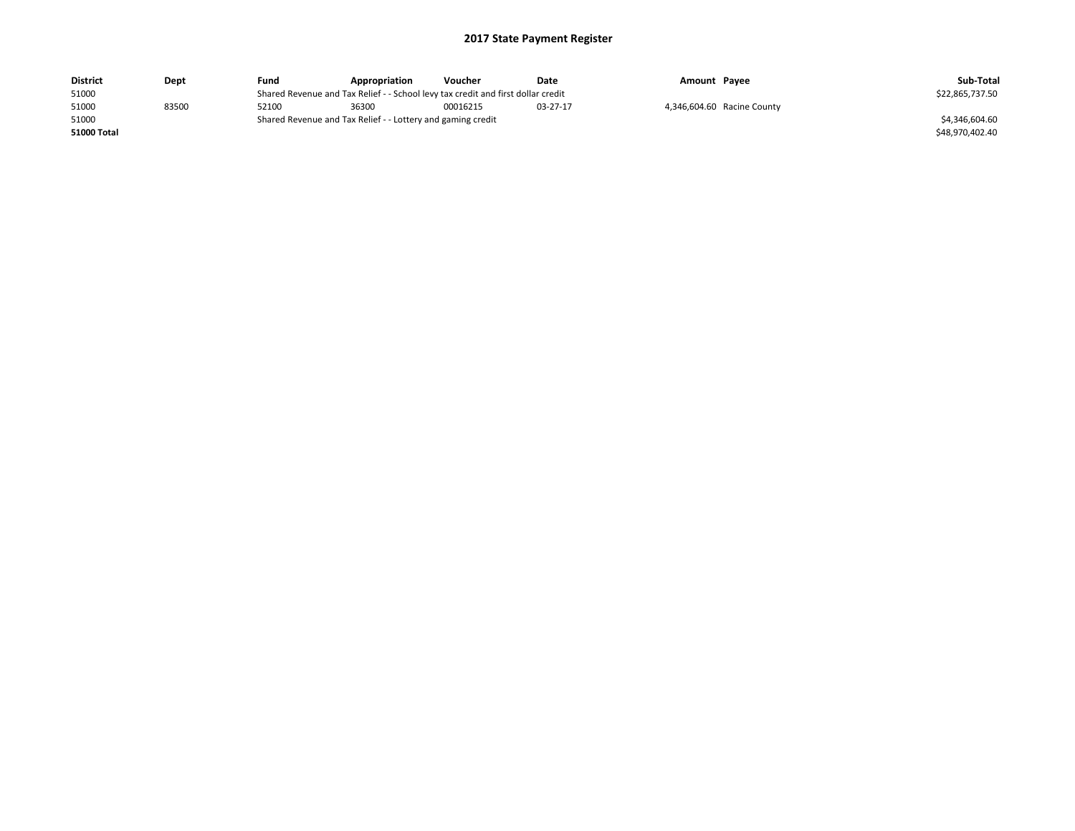| <b>District</b> | Dept  | Fund  | Appropriation                                                                    | Voucher  | Date     | Amount Payee |                            | Sub-Total       |
|-----------------|-------|-------|----------------------------------------------------------------------------------|----------|----------|--------------|----------------------------|-----------------|
| 51000           |       |       | Shared Revenue and Tax Relief - - School levy tax credit and first dollar credit |          |          |              |                            | \$22,865,737.50 |
| 51000           | 83500 | 52100 | 36300                                                                            | 00016215 | 03-27-17 |              | 4,346,604.60 Racine County |                 |
| 51000           |       |       | Shared Revenue and Tax Relief - - Lottery and gaming credit                      |          |          |              |                            | \$4.346.604.60  |
| 51000 Total     |       |       |                                                                                  |          |          |              |                            | \$48.970.402.40 |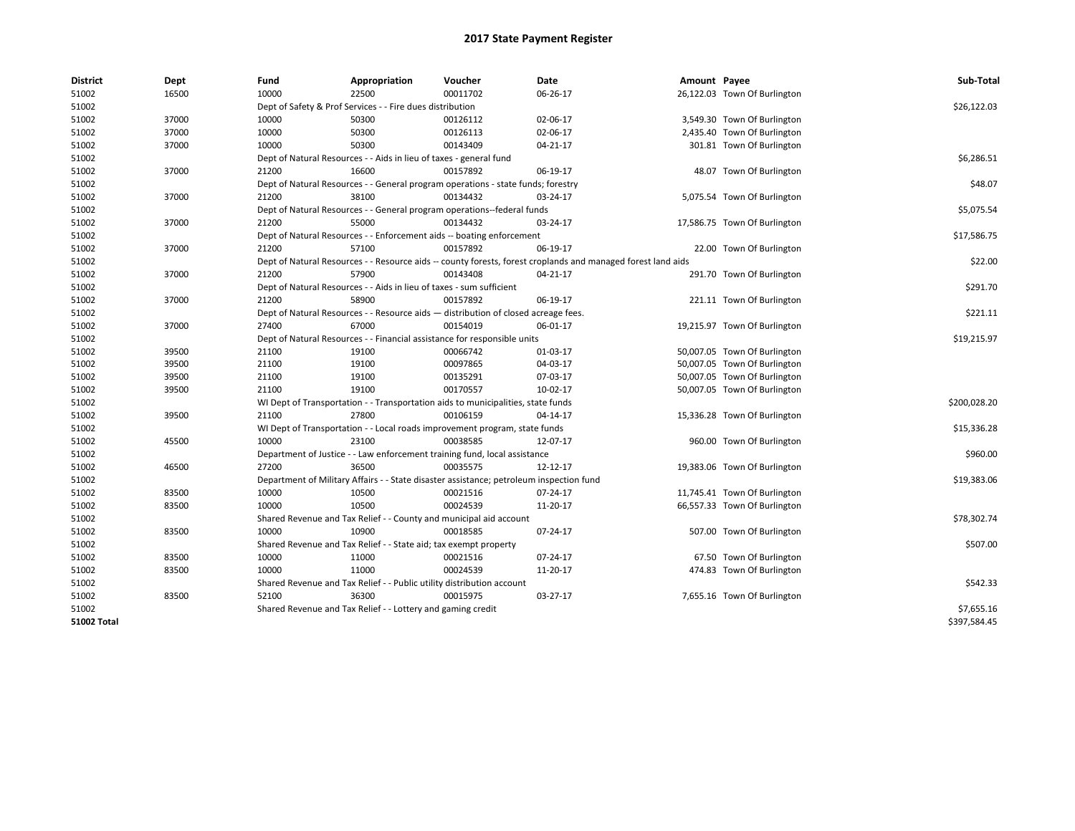| <b>District</b>    | Dept  | Fund  | Appropriation                                                                           | Voucher  | Date                                                                                                         | Amount Payee |                              | Sub-Total    |
|--------------------|-------|-------|-----------------------------------------------------------------------------------------|----------|--------------------------------------------------------------------------------------------------------------|--------------|------------------------------|--------------|
| 51002              | 16500 | 10000 | 22500                                                                                   | 00011702 | 06-26-17                                                                                                     |              | 26,122.03 Town Of Burlington |              |
| 51002              |       |       | Dept of Safety & Prof Services - - Fire dues distribution                               |          |                                                                                                              |              |                              | \$26,122.03  |
| 51002              | 37000 | 10000 | 50300                                                                                   | 00126112 | 02-06-17                                                                                                     |              | 3,549.30 Town Of Burlington  |              |
| 51002              | 37000 | 10000 | 50300                                                                                   | 00126113 | 02-06-17                                                                                                     |              | 2,435.40 Town Of Burlington  |              |
| 51002              | 37000 | 10000 | 50300                                                                                   | 00143409 | $04 - 21 - 17$                                                                                               |              | 301.81 Town Of Burlington    |              |
| 51002              |       |       | Dept of Natural Resources - - Aids in lieu of taxes - general fund                      |          |                                                                                                              |              |                              | \$6,286.51   |
| 51002              | 37000 | 21200 | 16600                                                                                   | 00157892 | 06-19-17                                                                                                     |              | 48.07 Town Of Burlington     |              |
| 51002              |       |       | Dept of Natural Resources - - General program operations - state funds; forestry        |          |                                                                                                              |              |                              | \$48.07      |
| 51002              | 37000 | 21200 | 38100                                                                                   | 00134432 | 03-24-17                                                                                                     |              | 5,075.54 Town Of Burlington  |              |
| 51002              |       |       | Dept of Natural Resources - - General program operations--federal funds                 |          |                                                                                                              |              |                              | \$5,075.54   |
| 51002              | 37000 | 21200 | 55000                                                                                   | 00134432 | 03-24-17                                                                                                     |              | 17,586.75 Town Of Burlington |              |
| 51002              |       |       | Dept of Natural Resources - - Enforcement aids -- boating enforcement                   |          |                                                                                                              |              |                              | \$17,586.75  |
| 51002              | 37000 | 21200 | 57100                                                                                   | 00157892 | 06-19-17                                                                                                     |              | 22.00 Town Of Burlington     |              |
| 51002              |       |       |                                                                                         |          | Dept of Natural Resources - - Resource aids -- county forests, forest croplands and managed forest land aids |              |                              | \$22.00      |
| 51002              | 37000 | 21200 | 57900                                                                                   | 00143408 | 04-21-17                                                                                                     |              | 291.70 Town Of Burlington    |              |
| 51002              |       |       | Dept of Natural Resources - - Aids in lieu of taxes - sum sufficient                    |          |                                                                                                              |              |                              | \$291.70     |
| 51002              | 37000 | 21200 | 58900                                                                                   | 00157892 | 06-19-17                                                                                                     |              | 221.11 Town Of Burlington    |              |
| 51002              |       |       | Dept of Natural Resources - - Resource aids - distribution of closed acreage fees.      |          |                                                                                                              |              |                              | \$221.11     |
| 51002              | 37000 | 27400 | 67000                                                                                   | 00154019 | 06-01-17                                                                                                     |              | 19,215.97 Town Of Burlington |              |
| 51002              |       |       | Dept of Natural Resources - - Financial assistance for responsible units                |          |                                                                                                              |              |                              | \$19,215.97  |
| 51002              | 39500 | 21100 | 19100                                                                                   | 00066742 | 01-03-17                                                                                                     |              | 50,007.05 Town Of Burlington |              |
| 51002              | 39500 | 21100 | 19100                                                                                   | 00097865 | 04-03-17                                                                                                     |              | 50,007.05 Town Of Burlington |              |
| 51002              | 39500 | 21100 | 19100                                                                                   | 00135291 | 07-03-17                                                                                                     |              | 50,007.05 Town Of Burlington |              |
| 51002              | 39500 | 21100 | 19100                                                                                   | 00170557 | 10-02-17                                                                                                     |              | 50,007.05 Town Of Burlington |              |
| 51002              |       |       | WI Dept of Transportation - - Transportation aids to municipalities, state funds        |          |                                                                                                              |              |                              | \$200,028.20 |
| 51002              | 39500 | 21100 | 27800                                                                                   | 00106159 | 04-14-17                                                                                                     |              | 15,336.28 Town Of Burlington |              |
| 51002              |       |       | WI Dept of Transportation - - Local roads improvement program, state funds              |          |                                                                                                              |              |                              | \$15,336.28  |
| 51002              | 45500 | 10000 | 23100                                                                                   | 00038585 | 12-07-17                                                                                                     |              | 960.00 Town Of Burlington    |              |
| 51002              |       |       | Department of Justice - - Law enforcement training fund, local assistance               |          |                                                                                                              |              |                              | \$960.00     |
| 51002              | 46500 | 27200 | 36500                                                                                   | 00035575 | 12-12-17                                                                                                     |              | 19,383.06 Town Of Burlington |              |
| 51002              |       |       | Department of Military Affairs - - State disaster assistance; petroleum inspection fund |          |                                                                                                              |              |                              | \$19,383.06  |
| 51002              | 83500 | 10000 | 10500                                                                                   | 00021516 | 07-24-17                                                                                                     |              | 11,745.41 Town Of Burlington |              |
| 51002              | 83500 | 10000 | 10500                                                                                   | 00024539 | 11-20-17                                                                                                     |              | 66,557.33 Town Of Burlington |              |
| 51002              |       |       | Shared Revenue and Tax Relief - - County and municipal aid account                      |          |                                                                                                              |              |                              | \$78,302.74  |
| 51002              | 83500 | 10000 | 10900                                                                                   | 00018585 | 07-24-17                                                                                                     |              | 507.00 Town Of Burlington    |              |
| 51002              |       |       | Shared Revenue and Tax Relief - - State aid; tax exempt property                        |          |                                                                                                              |              |                              | \$507.00     |
| 51002              | 83500 | 10000 | 11000                                                                                   | 00021516 | 07-24-17                                                                                                     |              | 67.50 Town Of Burlington     |              |
| 51002              | 83500 | 10000 | 11000                                                                                   | 00024539 | 11-20-17                                                                                                     |              | 474.83 Town Of Burlington    |              |
| 51002              |       |       | Shared Revenue and Tax Relief - - Public utility distribution account                   |          |                                                                                                              |              |                              | \$542.33     |
| 51002              | 83500 | 52100 | 36300                                                                                   | 00015975 | 03-27-17                                                                                                     |              | 7,655.16 Town Of Burlington  |              |
| 51002              |       |       | Shared Revenue and Tax Relief - - Lottery and gaming credit                             |          |                                                                                                              |              |                              | \$7,655.16   |
| <b>51002 Total</b> |       |       |                                                                                         |          |                                                                                                              |              |                              | \$397,584.45 |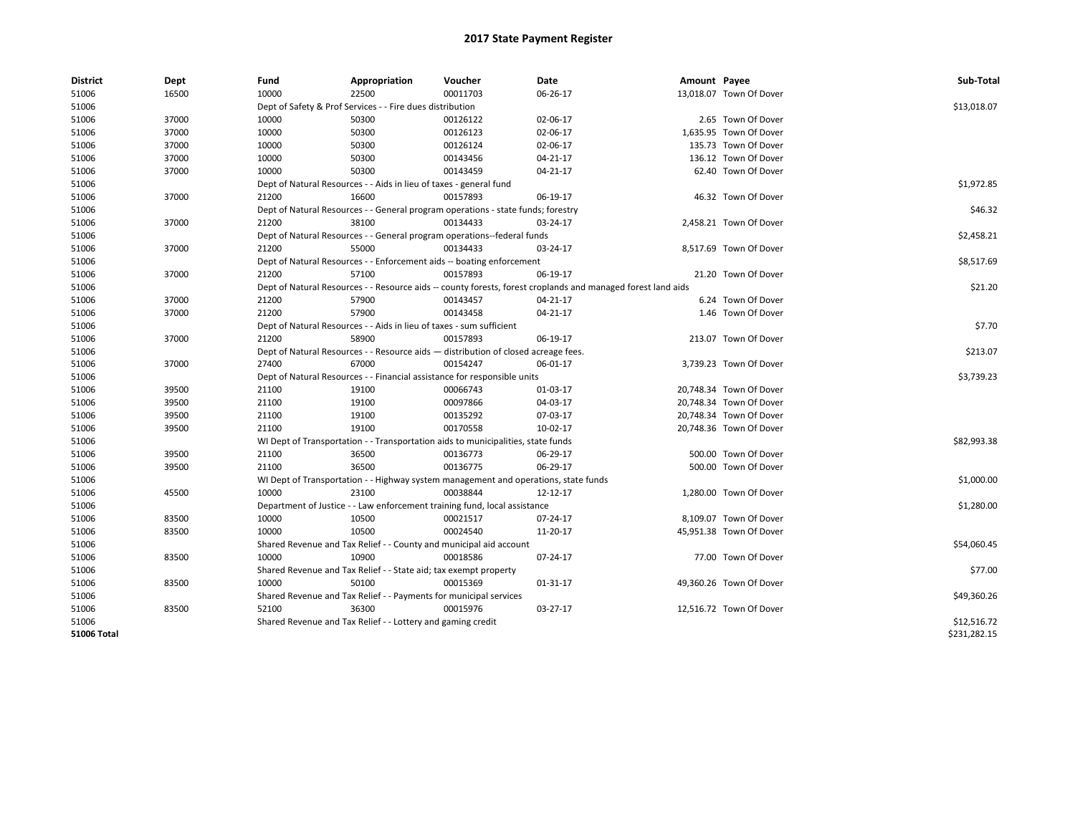| <b>District</b>    | Dept  | Fund  | Appropriation                                                                       | Voucher  | Date                                                                                                         | Amount Payee |                         | Sub-Total    |
|--------------------|-------|-------|-------------------------------------------------------------------------------------|----------|--------------------------------------------------------------------------------------------------------------|--------------|-------------------------|--------------|
| 51006              | 16500 | 10000 | 22500                                                                               | 00011703 | 06-26-17                                                                                                     |              | 13,018.07 Town Of Dover |              |
| 51006              |       |       | Dept of Safety & Prof Services - - Fire dues distribution                           |          |                                                                                                              |              |                         | \$13,018.07  |
| 51006              | 37000 | 10000 | 50300                                                                               | 00126122 | 02-06-17                                                                                                     |              | 2.65 Town Of Dover      |              |
| 51006              | 37000 | 10000 | 50300                                                                               | 00126123 | 02-06-17                                                                                                     |              | 1,635.95 Town Of Dover  |              |
| 51006              | 37000 | 10000 | 50300                                                                               | 00126124 | 02-06-17                                                                                                     |              | 135.73 Town Of Dover    |              |
| 51006              | 37000 | 10000 | 50300                                                                               | 00143456 | 04-21-17                                                                                                     |              | 136.12 Town Of Dover    |              |
| 51006              | 37000 | 10000 | 50300                                                                               | 00143459 | 04-21-17                                                                                                     |              | 62.40 Town Of Dover     |              |
| 51006              |       |       | Dept of Natural Resources - - Aids in lieu of taxes - general fund                  |          |                                                                                                              |              |                         | \$1,972.85   |
| 51006              | 37000 | 21200 | 16600                                                                               | 00157893 | 06-19-17                                                                                                     |              | 46.32 Town Of Dover     |              |
| 51006              |       |       | Dept of Natural Resources - - General program operations - state funds; forestry    |          |                                                                                                              |              |                         | \$46.32      |
| 51006              | 37000 | 21200 | 38100                                                                               | 00134433 | 03-24-17                                                                                                     |              | 2,458.21 Town Of Dover  |              |
| 51006              |       |       | Dept of Natural Resources - - General program operations--federal funds             |          |                                                                                                              |              |                         | \$2,458.21   |
| 51006              | 37000 | 21200 | 55000                                                                               | 00134433 | 03-24-17                                                                                                     |              | 8,517.69 Town Of Dover  |              |
| 51006              |       |       | Dept of Natural Resources - - Enforcement aids -- boating enforcement               |          |                                                                                                              |              |                         | \$8,517.69   |
| 51006              | 37000 | 21200 | 57100                                                                               | 00157893 | 06-19-17                                                                                                     |              | 21.20 Town Of Dover     |              |
| 51006              |       |       |                                                                                     |          | Dept of Natural Resources - - Resource aids -- county forests, forest croplands and managed forest land aids |              |                         | \$21.20      |
| 51006              | 37000 | 21200 | 57900                                                                               | 00143457 | 04-21-17                                                                                                     |              | 6.24 Town Of Dover      |              |
| 51006              | 37000 | 21200 | 57900                                                                               | 00143458 | 04-21-17                                                                                                     |              | 1.46 Town Of Dover      |              |
| 51006              |       |       | Dept of Natural Resources - - Aids in lieu of taxes - sum sufficient                |          |                                                                                                              |              |                         | \$7.70       |
| 51006              | 37000 | 21200 | 58900                                                                               | 00157893 | 06-19-17                                                                                                     |              | 213.07 Town Of Dover    |              |
| 51006              |       |       | Dept of Natural Resources - - Resource aids - distribution of closed acreage fees.  |          |                                                                                                              |              |                         | \$213.07     |
| 51006              | 37000 | 27400 | 67000                                                                               | 00154247 | 06-01-17                                                                                                     |              | 3,739.23 Town Of Dover  |              |
| 51006              |       |       | Dept of Natural Resources - - Financial assistance for responsible units            |          |                                                                                                              |              |                         | \$3,739.23   |
| 51006              | 39500 | 21100 | 19100                                                                               | 00066743 | 01-03-17                                                                                                     |              | 20,748.34 Town Of Dover |              |
| 51006              | 39500 | 21100 | 19100                                                                               | 00097866 | 04-03-17                                                                                                     |              | 20,748.34 Town Of Dover |              |
| 51006              | 39500 | 21100 | 19100                                                                               | 00135292 | 07-03-17                                                                                                     |              | 20,748.34 Town Of Dover |              |
| 51006              | 39500 | 21100 | 19100                                                                               | 00170558 | 10-02-17                                                                                                     |              | 20,748.36 Town Of Dover |              |
| 51006              |       |       | WI Dept of Transportation - - Transportation aids to municipalities, state funds    |          |                                                                                                              |              |                         | \$82,993.38  |
| 51006              | 39500 | 21100 | 36500                                                                               | 00136773 | 06-29-17                                                                                                     |              | 500.00 Town Of Dover    |              |
| 51006              | 39500 | 21100 | 36500                                                                               | 00136775 | 06-29-17                                                                                                     |              | 500.00 Town Of Dover    |              |
| 51006              |       |       | WI Dept of Transportation - - Highway system management and operations, state funds |          |                                                                                                              |              |                         | \$1,000.00   |
| 51006              | 45500 | 10000 | 23100                                                                               | 00038844 | 12-12-17                                                                                                     |              | 1,280.00 Town Of Dover  |              |
| 51006              |       |       | Department of Justice - - Law enforcement training fund, local assistance           |          |                                                                                                              |              |                         | \$1,280.00   |
| 51006              | 83500 | 10000 | 10500                                                                               | 00021517 | $07 - 24 - 17$                                                                                               |              | 8.109.07 Town Of Dover  |              |
| 51006              | 83500 | 10000 | 10500                                                                               | 00024540 | 11-20-17                                                                                                     |              | 45,951.38 Town Of Dover |              |
| 51006              |       |       | Shared Revenue and Tax Relief - - County and municipal aid account                  |          |                                                                                                              |              |                         | \$54,060.45  |
| 51006              | 83500 | 10000 | 10900                                                                               | 00018586 | 07-24-17                                                                                                     |              | 77.00 Town Of Dover     |              |
| 51006              |       |       | Shared Revenue and Tax Relief - - State aid; tax exempt property                    |          |                                                                                                              |              |                         | \$77.00      |
|                    | 83500 | 10000 | 50100                                                                               | 00015369 | 01-31-17                                                                                                     |              | 49,360.26 Town Of Dover |              |
| 51006              |       |       |                                                                                     |          |                                                                                                              |              |                         | \$49,360.26  |
| 51006              |       | 52100 | Shared Revenue and Tax Relief - - Payments for municipal services                   |          |                                                                                                              |              |                         |              |
| 51006              | 83500 |       | 36300                                                                               | 00015976 | 03-27-17                                                                                                     |              | 12,516.72 Town Of Dover |              |
| 51006              |       |       | Shared Revenue and Tax Relief - - Lottery and gaming credit                         |          |                                                                                                              |              |                         | \$12,516.72  |
| <b>51006 Total</b> |       |       |                                                                                     |          |                                                                                                              |              |                         | \$231,282.15 |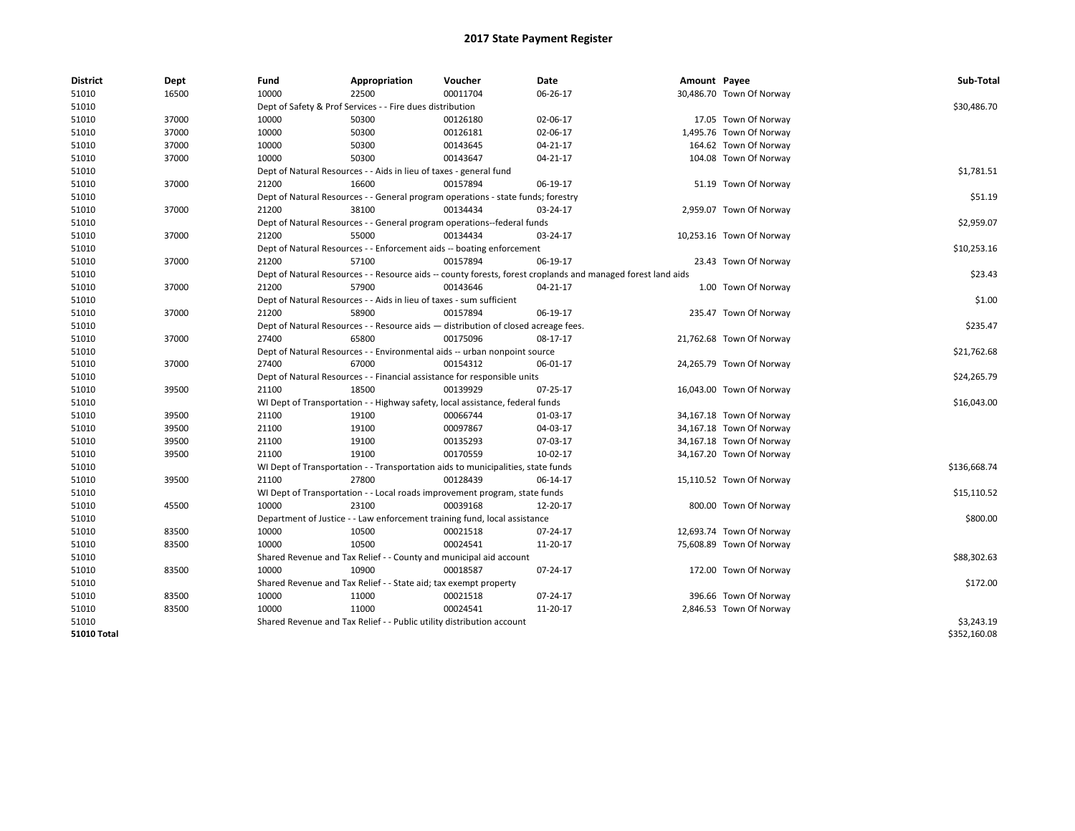| <b>District</b>    | Dept  | Fund  | Appropriation                                                                      | Voucher  | Date                                                                                                         | Amount Payee |                          | Sub-Total    |
|--------------------|-------|-------|------------------------------------------------------------------------------------|----------|--------------------------------------------------------------------------------------------------------------|--------------|--------------------------|--------------|
| 51010              | 16500 | 10000 | 22500                                                                              | 00011704 | 06-26-17                                                                                                     |              | 30,486.70 Town Of Norway |              |
| 51010              |       |       | Dept of Safety & Prof Services - - Fire dues distribution                          |          |                                                                                                              |              |                          | \$30,486.70  |
| 51010              | 37000 | 10000 | 50300                                                                              | 00126180 | 02-06-17                                                                                                     |              | 17.05 Town Of Norway     |              |
| 51010              | 37000 | 10000 | 50300                                                                              | 00126181 | 02-06-17                                                                                                     |              | 1,495.76 Town Of Norway  |              |
| 51010              | 37000 | 10000 | 50300                                                                              | 00143645 | 04-21-17                                                                                                     |              | 164.62 Town Of Norway    |              |
| 51010              | 37000 | 10000 | 50300                                                                              | 00143647 | 04-21-17                                                                                                     |              | 104.08 Town Of Norway    |              |
| 51010              |       |       | Dept of Natural Resources - - Aids in lieu of taxes - general fund                 |          |                                                                                                              |              |                          | \$1,781.51   |
| 51010              | 37000 | 21200 | 16600                                                                              | 00157894 | 06-19-17                                                                                                     |              | 51.19 Town Of Norway     |              |
| 51010              |       |       | Dept of Natural Resources - - General program operations - state funds; forestry   |          |                                                                                                              |              |                          | \$51.19      |
| 51010              | 37000 | 21200 | 38100                                                                              | 00134434 | 03-24-17                                                                                                     |              | 2,959.07 Town Of Norway  |              |
| 51010              |       |       | Dept of Natural Resources - - General program operations--federal funds            |          |                                                                                                              |              |                          | \$2,959.07   |
| 51010              | 37000 | 21200 | 55000                                                                              | 00134434 | 03-24-17                                                                                                     |              | 10,253.16 Town Of Norway |              |
| 51010              |       |       | Dept of Natural Resources - - Enforcement aids -- boating enforcement              |          |                                                                                                              |              |                          | \$10,253.16  |
| 51010              | 37000 | 21200 | 57100                                                                              | 00157894 | 06-19-17                                                                                                     |              | 23.43 Town Of Norway     |              |
| 51010              |       |       |                                                                                    |          | Dept of Natural Resources - - Resource aids -- county forests, forest croplands and managed forest land aids |              |                          | \$23.43      |
| 51010              | 37000 | 21200 | 57900                                                                              | 00143646 | 04-21-17                                                                                                     |              | 1.00 Town Of Norway      |              |
| 51010              |       |       | Dept of Natural Resources - - Aids in lieu of taxes - sum sufficient               |          |                                                                                                              |              |                          | \$1.00       |
| 51010              | 37000 | 21200 | 58900                                                                              | 00157894 | 06-19-17                                                                                                     |              | 235.47 Town Of Norway    |              |
| 51010              |       |       | Dept of Natural Resources - - Resource aids - distribution of closed acreage fees. |          |                                                                                                              |              |                          | \$235.47     |
| 51010              | 37000 | 27400 | 65800                                                                              | 00175096 | 08-17-17                                                                                                     |              | 21,762.68 Town Of Norway |              |
| 51010              |       |       | Dept of Natural Resources - - Environmental aids -- urban nonpoint source          |          |                                                                                                              |              |                          | \$21,762.68  |
| 51010              | 37000 | 27400 | 67000                                                                              | 00154312 | 06-01-17                                                                                                     |              | 24,265.79 Town Of Norway |              |
| 51010              |       |       | Dept of Natural Resources - - Financial assistance for responsible units           |          |                                                                                                              |              |                          | \$24,265.79  |
| 51010              | 39500 | 21100 | 18500                                                                              | 00139929 | $07-25-17$                                                                                                   |              | 16,043.00 Town Of Norway |              |
| 51010              |       |       | WI Dept of Transportation - - Highway safety, local assistance, federal funds      |          |                                                                                                              |              |                          | \$16,043.00  |
| 51010              | 39500 | 21100 | 19100                                                                              | 00066744 | 01-03-17                                                                                                     |              | 34,167.18 Town Of Norway |              |
| 51010              | 39500 | 21100 | 19100                                                                              | 00097867 | 04-03-17                                                                                                     |              | 34,167.18 Town Of Norway |              |
| 51010              | 39500 | 21100 | 19100                                                                              | 00135293 | 07-03-17                                                                                                     |              | 34,167.18 Town Of Norway |              |
| 51010              | 39500 | 21100 | 19100                                                                              | 00170559 | 10-02-17                                                                                                     |              | 34,167.20 Town Of Norway |              |
| 51010              |       |       | WI Dept of Transportation - - Transportation aids to municipalities, state funds   |          |                                                                                                              |              |                          | \$136,668.74 |
| 51010              | 39500 | 21100 | 27800                                                                              | 00128439 | 06-14-17                                                                                                     |              | 15,110.52 Town Of Norway |              |
| 51010              |       |       | WI Dept of Transportation - - Local roads improvement program, state funds         |          |                                                                                                              |              |                          | \$15,110.52  |
| 51010              | 45500 | 10000 | 23100                                                                              | 00039168 | 12-20-17                                                                                                     |              | 800.00 Town Of Norway    |              |
| 51010              |       |       | Department of Justice - - Law enforcement training fund, local assistance          |          |                                                                                                              |              |                          | \$800.00     |
| 51010              | 83500 | 10000 | 10500                                                                              | 00021518 | 07-24-17                                                                                                     |              | 12,693.74 Town Of Norway |              |
| 51010              | 83500 | 10000 | 10500                                                                              | 00024541 | 11-20-17                                                                                                     |              | 75,608.89 Town Of Norway |              |
| 51010              |       |       | Shared Revenue and Tax Relief - - County and municipal aid account                 |          |                                                                                                              |              |                          | \$88,302.63  |
| 51010              | 83500 | 10000 | 10900                                                                              | 00018587 | 07-24-17                                                                                                     |              | 172.00 Town Of Norway    |              |
| 51010              |       |       | Shared Revenue and Tax Relief - - State aid; tax exempt property                   |          |                                                                                                              |              |                          | \$172.00     |
| 51010              | 83500 | 10000 | 11000                                                                              | 00021518 | 07-24-17                                                                                                     |              | 396.66 Town Of Norway    |              |
| 51010              | 83500 | 10000 | 11000                                                                              | 00024541 | 11-20-17                                                                                                     |              | 2,846.53 Town Of Norway  |              |
| 51010              |       |       | Shared Revenue and Tax Relief - - Public utility distribution account              |          |                                                                                                              |              |                          | \$3,243.19   |
| <b>51010 Total</b> |       |       |                                                                                    |          |                                                                                                              |              |                          | \$352,160.08 |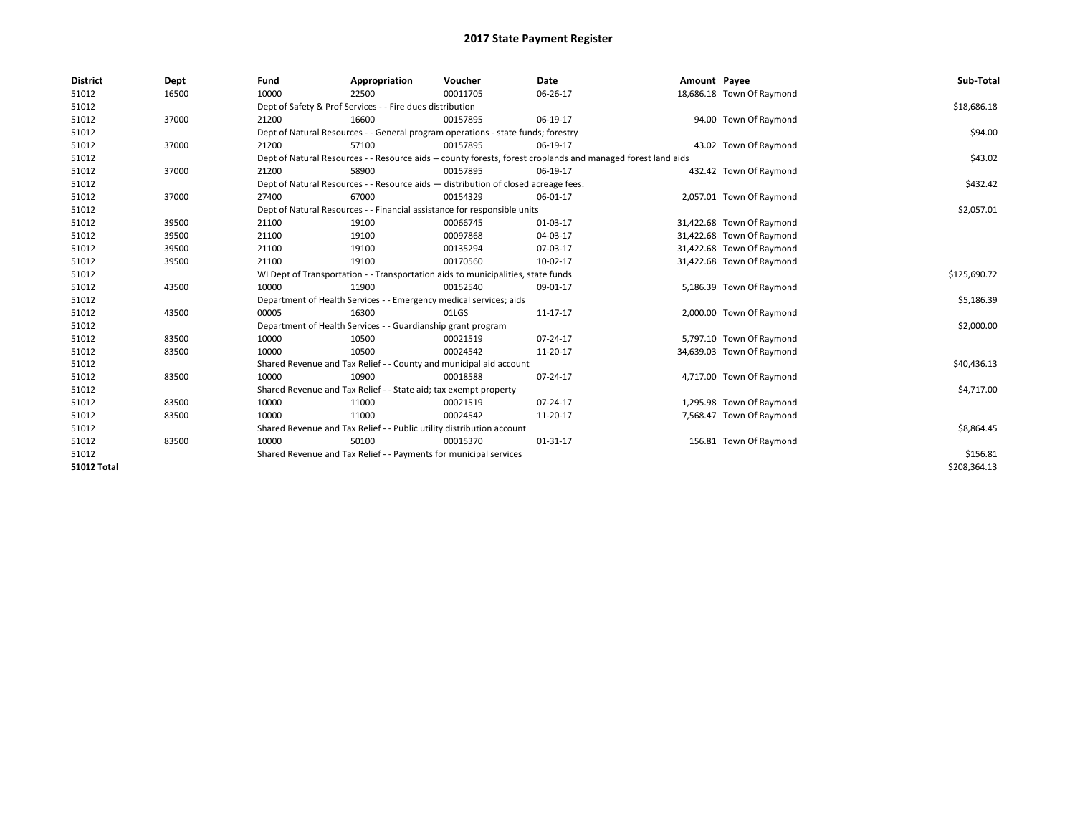| <b>District</b>    | Dept  | Fund  | Appropriation                                                                      | Voucher  | Date                                                                                                         | Amount Payee |                           | Sub-Total    |
|--------------------|-------|-------|------------------------------------------------------------------------------------|----------|--------------------------------------------------------------------------------------------------------------|--------------|---------------------------|--------------|
| 51012              | 16500 | 10000 | 22500                                                                              | 00011705 | 06-26-17                                                                                                     |              | 18,686.18 Town Of Raymond |              |
| 51012              |       |       | Dept of Safety & Prof Services - - Fire dues distribution                          |          |                                                                                                              |              |                           | \$18,686.18  |
| 51012              | 37000 | 21200 | 16600                                                                              | 00157895 | 06-19-17                                                                                                     |              | 94.00 Town Of Raymond     |              |
| 51012              |       |       | Dept of Natural Resources - - General program operations - state funds; forestry   |          |                                                                                                              |              |                           | \$94.00      |
| 51012              | 37000 | 21200 | 57100                                                                              | 00157895 | 06-19-17                                                                                                     |              | 43.02 Town Of Raymond     |              |
| 51012              |       |       |                                                                                    |          | Dept of Natural Resources - - Resource aids -- county forests, forest croplands and managed forest land aids |              |                           | \$43.02      |
| 51012              | 37000 | 21200 | 58900                                                                              | 00157895 | 06-19-17                                                                                                     |              | 432.42 Town Of Raymond    |              |
| 51012              |       |       | Dept of Natural Resources - - Resource aids - distribution of closed acreage fees. |          |                                                                                                              |              |                           | \$432.42     |
| 51012              | 37000 | 27400 | 67000                                                                              | 00154329 | 06-01-17                                                                                                     |              | 2,057.01 Town Of Raymond  |              |
| 51012              |       |       | Dept of Natural Resources - - Financial assistance for responsible units           |          |                                                                                                              |              |                           | \$2,057.01   |
| 51012              | 39500 | 21100 | 19100                                                                              | 00066745 | 01-03-17                                                                                                     |              | 31,422.68 Town Of Raymond |              |
| 51012              | 39500 | 21100 | 19100                                                                              | 00097868 | 04-03-17                                                                                                     |              | 31,422.68 Town Of Raymond |              |
| 51012              | 39500 | 21100 | 19100                                                                              | 00135294 | 07-03-17                                                                                                     |              | 31,422.68 Town Of Raymond |              |
| 51012              | 39500 | 21100 | 19100                                                                              | 00170560 | 10-02-17                                                                                                     |              | 31,422.68 Town Of Raymond |              |
| 51012              |       |       | WI Dept of Transportation - - Transportation aids to municipalities, state funds   |          |                                                                                                              |              |                           | \$125,690.72 |
| 51012              | 43500 | 10000 | 11900                                                                              | 00152540 | 09-01-17                                                                                                     |              | 5,186.39 Town Of Raymond  |              |
| 51012              |       |       | Department of Health Services - - Emergency medical services; aids                 |          |                                                                                                              |              |                           | \$5,186.39   |
| 51012              | 43500 | 00005 | 16300                                                                              | 01LGS    | 11-17-17                                                                                                     |              | 2,000.00 Town Of Raymond  |              |
| 51012              |       |       | Department of Health Services - - Guardianship grant program                       |          |                                                                                                              |              |                           | \$2,000.00   |
| 51012              | 83500 | 10000 | 10500                                                                              | 00021519 | 07-24-17                                                                                                     |              | 5,797.10 Town Of Raymond  |              |
| 51012              | 83500 | 10000 | 10500                                                                              | 00024542 | 11-20-17                                                                                                     |              | 34,639.03 Town Of Raymond |              |
| 51012              |       |       | Shared Revenue and Tax Relief - - County and municipal aid account                 |          |                                                                                                              |              |                           | \$40,436.13  |
| 51012              | 83500 | 10000 | 10900                                                                              | 00018588 | 07-24-17                                                                                                     |              | 4,717.00 Town Of Raymond  |              |
| 51012              |       |       | Shared Revenue and Tax Relief - - State aid; tax exempt property                   |          |                                                                                                              |              |                           | \$4,717.00   |
| 51012              | 83500 | 10000 | 11000                                                                              | 00021519 | $07 - 24 - 17$                                                                                               |              | 1,295.98 Town Of Raymond  |              |
| 51012              | 83500 | 10000 | 11000                                                                              | 00024542 | 11-20-17                                                                                                     |              | 7,568.47 Town Of Raymond  |              |
| 51012              |       |       | Shared Revenue and Tax Relief - - Public utility distribution account              |          |                                                                                                              |              |                           | \$8,864.45   |
| 51012              | 83500 | 10000 | 50100                                                                              | 00015370 | 01-31-17                                                                                                     |              | 156.81 Town Of Raymond    |              |
| 51012              |       |       | Shared Revenue and Tax Relief - - Payments for municipal services                  |          |                                                                                                              |              |                           | \$156.81     |
| <b>51012 Total</b> |       |       |                                                                                    |          |                                                                                                              |              |                           | \$208,364.13 |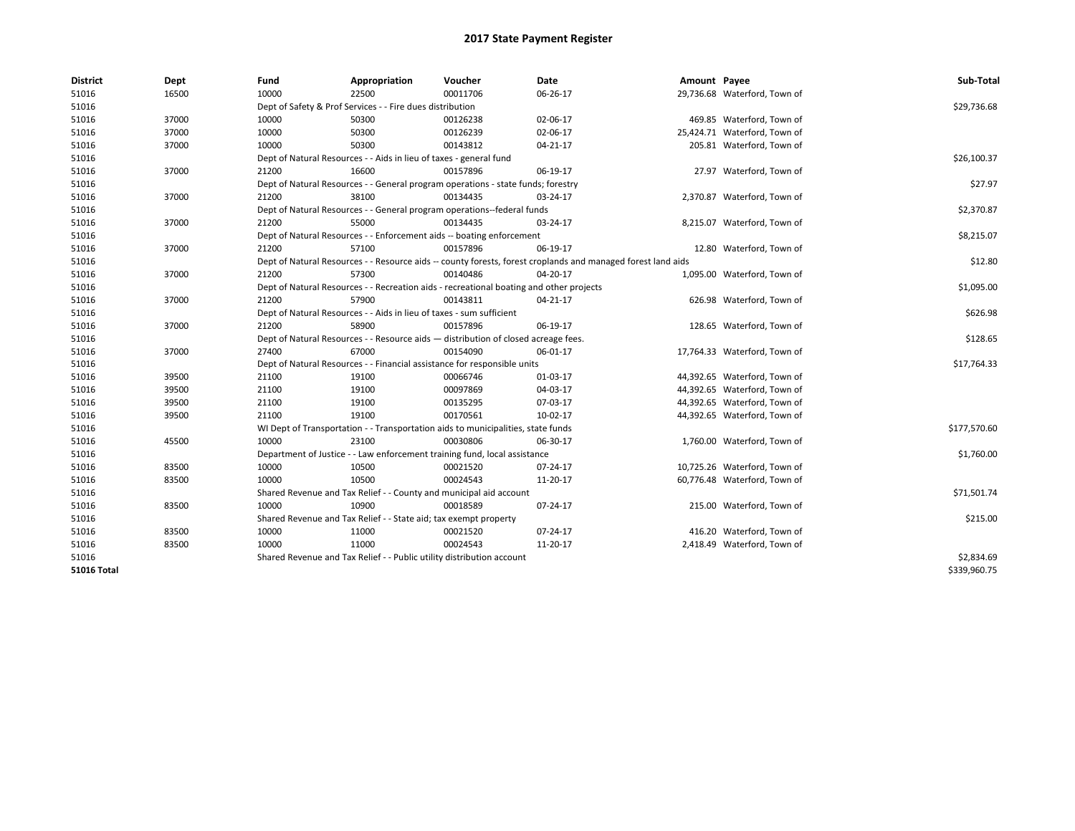| 10000<br>16500<br>22500<br>00011706<br>06-26-17<br>29,736.68 Waterford, Town of<br>51016<br>\$29,736.68<br>51016<br>Dept of Safety & Prof Services - - Fire dues distribution<br>51016<br>37000<br>10000<br>50300<br>00126238<br>02-06-17<br>469.85 Waterford, Town of<br>10000<br>50300<br>00126239<br>02-06-17<br>25,424.71 Waterford, Town of<br>51016<br>37000<br>37000<br>10000<br>50300<br>00143812<br>$04 - 21 - 17$<br>205.81 Waterford, Town of<br>51016<br>51016<br>Dept of Natural Resources - - Aids in lieu of taxes - general fund<br>\$26,100.37<br>16600<br>00157896<br>06-19-17<br>27.97 Waterford, Town of<br>51016<br>37000<br>21200<br>51016<br>Dept of Natural Resources - - General program operations - state funds; forestry<br>51016<br>37000<br>21200<br>38100<br>00134435<br>2,370.87 Waterford, Town of<br>03-24-17 | \$27.97  |
|-------------------------------------------------------------------------------------------------------------------------------------------------------------------------------------------------------------------------------------------------------------------------------------------------------------------------------------------------------------------------------------------------------------------------------------------------------------------------------------------------------------------------------------------------------------------------------------------------------------------------------------------------------------------------------------------------------------------------------------------------------------------------------------------------------------------------------------------------|----------|
|                                                                                                                                                                                                                                                                                                                                                                                                                                                                                                                                                                                                                                                                                                                                                                                                                                                 |          |
|                                                                                                                                                                                                                                                                                                                                                                                                                                                                                                                                                                                                                                                                                                                                                                                                                                                 |          |
|                                                                                                                                                                                                                                                                                                                                                                                                                                                                                                                                                                                                                                                                                                                                                                                                                                                 |          |
|                                                                                                                                                                                                                                                                                                                                                                                                                                                                                                                                                                                                                                                                                                                                                                                                                                                 |          |
|                                                                                                                                                                                                                                                                                                                                                                                                                                                                                                                                                                                                                                                                                                                                                                                                                                                 |          |
|                                                                                                                                                                                                                                                                                                                                                                                                                                                                                                                                                                                                                                                                                                                                                                                                                                                 |          |
|                                                                                                                                                                                                                                                                                                                                                                                                                                                                                                                                                                                                                                                                                                                                                                                                                                                 |          |
|                                                                                                                                                                                                                                                                                                                                                                                                                                                                                                                                                                                                                                                                                                                                                                                                                                                 |          |
|                                                                                                                                                                                                                                                                                                                                                                                                                                                                                                                                                                                                                                                                                                                                                                                                                                                 |          |
| 51016<br>Dept of Natural Resources - - General program operations--federal funds<br>\$2,370.87                                                                                                                                                                                                                                                                                                                                                                                                                                                                                                                                                                                                                                                                                                                                                  |          |
| 37000<br>00134435<br>8,215.07 Waterford, Town of<br>51016<br>21200<br>55000<br>03-24-17                                                                                                                                                                                                                                                                                                                                                                                                                                                                                                                                                                                                                                                                                                                                                         |          |
| \$8,215.07<br>51016<br>Dept of Natural Resources - - Enforcement aids -- boating enforcement                                                                                                                                                                                                                                                                                                                                                                                                                                                                                                                                                                                                                                                                                                                                                    |          |
| 37000<br>21200<br>57100<br>00157896<br>06-19-17<br>51016<br>12.80 Waterford, Town of                                                                                                                                                                                                                                                                                                                                                                                                                                                                                                                                                                                                                                                                                                                                                            |          |
| 51016<br>Dept of Natural Resources - - Resource aids -- county forests, forest croplands and managed forest land aids                                                                                                                                                                                                                                                                                                                                                                                                                                                                                                                                                                                                                                                                                                                           | \$12.80  |
| 51016<br>37000<br>21200<br>57300<br>00140486<br>04-20-17<br>1,095.00 Waterford, Town of                                                                                                                                                                                                                                                                                                                                                                                                                                                                                                                                                                                                                                                                                                                                                         |          |
| \$1,095.00<br>51016<br>Dept of Natural Resources - - Recreation aids - recreational boating and other projects                                                                                                                                                                                                                                                                                                                                                                                                                                                                                                                                                                                                                                                                                                                                  |          |
| 51016<br>37000<br>21200<br>57900<br>00143811<br>626.98 Waterford, Town of<br>04-21-17                                                                                                                                                                                                                                                                                                                                                                                                                                                                                                                                                                                                                                                                                                                                                           |          |
| 51016<br>Dept of Natural Resources - - Aids in lieu of taxes - sum sufficient<br>\$626.98                                                                                                                                                                                                                                                                                                                                                                                                                                                                                                                                                                                                                                                                                                                                                       |          |
| 51016<br>37000<br>21200<br>58900<br>00157896<br>06-19-17<br>128.65 Waterford, Town of                                                                                                                                                                                                                                                                                                                                                                                                                                                                                                                                                                                                                                                                                                                                                           |          |
| 51016<br>Dept of Natural Resources - - Resource aids - distribution of closed acreage fees.                                                                                                                                                                                                                                                                                                                                                                                                                                                                                                                                                                                                                                                                                                                                                     | \$128.65 |
| 51016<br>37000<br>27400<br>67000<br>00154090<br>06-01-17<br>17,764.33 Waterford, Town of                                                                                                                                                                                                                                                                                                                                                                                                                                                                                                                                                                                                                                                                                                                                                        |          |
| 51016<br>Dept of Natural Resources - - Financial assistance for responsible units<br>\$17,764.33                                                                                                                                                                                                                                                                                                                                                                                                                                                                                                                                                                                                                                                                                                                                                |          |
| 51016<br>39500<br>21100<br>19100<br>00066746<br>01-03-17<br>44,392.65 Waterford, Town of                                                                                                                                                                                                                                                                                                                                                                                                                                                                                                                                                                                                                                                                                                                                                        |          |
| 21100<br>00097869<br>51016<br>39500<br>19100<br>04-03-17<br>44,392.65 Waterford, Town of                                                                                                                                                                                                                                                                                                                                                                                                                                                                                                                                                                                                                                                                                                                                                        |          |
| 39500<br>21100<br>19100<br>00135295<br>07-03-17<br>44,392.65 Waterford, Town of<br>51016                                                                                                                                                                                                                                                                                                                                                                                                                                                                                                                                                                                                                                                                                                                                                        |          |
| 21100<br>19100<br>00170561<br>10-02-17<br>51016<br>39500<br>44,392.65 Waterford, Town of                                                                                                                                                                                                                                                                                                                                                                                                                                                                                                                                                                                                                                                                                                                                                        |          |
| 51016<br>\$177,570.60<br>WI Dept of Transportation - - Transportation aids to municipalities, state funds                                                                                                                                                                                                                                                                                                                                                                                                                                                                                                                                                                                                                                                                                                                                       |          |
| 45500<br>10000<br>23100<br>51016<br>00030806<br>06-30-17<br>1,760.00 Waterford, Town of                                                                                                                                                                                                                                                                                                                                                                                                                                                                                                                                                                                                                                                                                                                                                         |          |
| 51016<br>Department of Justice - - Law enforcement training fund, local assistance<br>\$1,760.00                                                                                                                                                                                                                                                                                                                                                                                                                                                                                                                                                                                                                                                                                                                                                |          |
| 51016<br>83500<br>10000<br>10500<br>10,725.26 Waterford, Town of<br>00021520<br>07-24-17                                                                                                                                                                                                                                                                                                                                                                                                                                                                                                                                                                                                                                                                                                                                                        |          |
| 10000<br>10500<br>00024543<br>51016<br>83500<br>11-20-17<br>60,776.48 Waterford, Town of                                                                                                                                                                                                                                                                                                                                                                                                                                                                                                                                                                                                                                                                                                                                                        |          |
| Shared Revenue and Tax Relief - - County and municipal aid account<br>\$71,501.74<br>51016                                                                                                                                                                                                                                                                                                                                                                                                                                                                                                                                                                                                                                                                                                                                                      |          |
| 10000<br>10900<br>00018589<br>215.00 Waterford, Town of<br>51016<br>83500<br>07-24-17                                                                                                                                                                                                                                                                                                                                                                                                                                                                                                                                                                                                                                                                                                                                                           |          |
| 51016<br>Shared Revenue and Tax Relief - - State aid; tax exempt property<br>\$215.00                                                                                                                                                                                                                                                                                                                                                                                                                                                                                                                                                                                                                                                                                                                                                           |          |
| 416.20 Waterford, Town of<br>51016<br>83500<br>10000<br>11000<br>00021520<br>07-24-17                                                                                                                                                                                                                                                                                                                                                                                                                                                                                                                                                                                                                                                                                                                                                           |          |
| 83500<br>10000<br>00024543<br>51016<br>11000<br>11-20-17<br>2,418.49 Waterford, Town of                                                                                                                                                                                                                                                                                                                                                                                                                                                                                                                                                                                                                                                                                                                                                         |          |
| 51016<br>Shared Revenue and Tax Relief - - Public utility distribution account<br>\$2,834.69                                                                                                                                                                                                                                                                                                                                                                                                                                                                                                                                                                                                                                                                                                                                                    |          |
| <b>51016 Total</b><br>\$339,960.75                                                                                                                                                                                                                                                                                                                                                                                                                                                                                                                                                                                                                                                                                                                                                                                                              |          |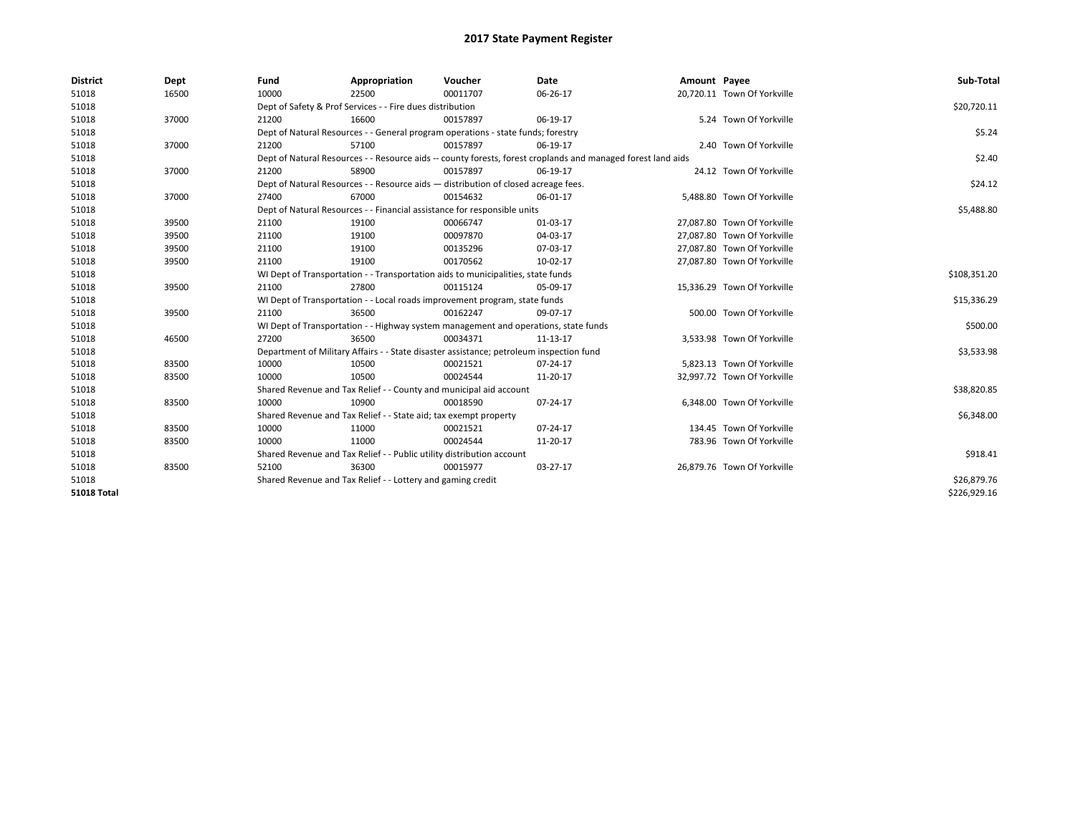| <b>District</b>    | Dept  | Fund  | Appropriation                                                                           | Voucher  | Date                                                                                                         | Amount Payee |                             | Sub-Total    |
|--------------------|-------|-------|-----------------------------------------------------------------------------------------|----------|--------------------------------------------------------------------------------------------------------------|--------------|-----------------------------|--------------|
| 51018              | 16500 | 10000 | 22500                                                                                   | 00011707 | 06-26-17                                                                                                     |              | 20,720.11 Town Of Yorkville |              |
| 51018              |       |       | Dept of Safety & Prof Services - - Fire dues distribution                               |          |                                                                                                              |              |                             | \$20,720.11  |
| 51018              | 37000 | 21200 | 16600                                                                                   | 00157897 | 06-19-17                                                                                                     |              | 5.24 Town Of Yorkville      |              |
| 51018              |       |       | Dept of Natural Resources - - General program operations - state funds; forestry        |          |                                                                                                              |              |                             | \$5.24       |
| 51018              | 37000 | 21200 | 57100                                                                                   | 00157897 | 06-19-17                                                                                                     |              | 2.40 Town Of Yorkville      |              |
| 51018              |       |       |                                                                                         |          | Dept of Natural Resources - - Resource aids -- county forests, forest croplands and managed forest land aids |              |                             | \$2.40       |
| 51018              | 37000 | 21200 | 58900                                                                                   | 00157897 | 06-19-17                                                                                                     |              | 24.12 Town Of Yorkville     |              |
| 51018              |       |       | Dept of Natural Resources - - Resource aids - distribution of closed acreage fees.      |          |                                                                                                              |              |                             | \$24.12      |
| 51018              | 37000 | 27400 | 67000                                                                                   | 00154632 | 06-01-17                                                                                                     |              | 5,488.80 Town Of Yorkville  |              |
| 51018              |       |       | Dept of Natural Resources - - Financial assistance for responsible units                |          |                                                                                                              |              |                             | \$5,488.80   |
| 51018              | 39500 | 21100 | 19100                                                                                   | 00066747 | 01-03-17                                                                                                     |              | 27,087.80 Town Of Yorkville |              |
| 51018              | 39500 | 21100 | 19100                                                                                   | 00097870 | 04-03-17                                                                                                     |              | 27,087.80 Town Of Yorkville |              |
| 51018              | 39500 | 21100 | 19100                                                                                   | 00135296 | 07-03-17                                                                                                     |              | 27.087.80 Town Of Yorkville |              |
| 51018              | 39500 | 21100 | 19100                                                                                   | 00170562 | 10-02-17                                                                                                     |              | 27,087.80 Town Of Yorkville |              |
| 51018              |       |       | WI Dept of Transportation - - Transportation aids to municipalities, state funds        |          |                                                                                                              |              |                             | \$108,351.20 |
| 51018              | 39500 | 21100 | 27800                                                                                   | 00115124 | 05-09-17                                                                                                     |              | 15,336.29 Town Of Yorkville |              |
| 51018              |       |       | WI Dept of Transportation - - Local roads improvement program, state funds              |          |                                                                                                              |              |                             | \$15,336.29  |
| 51018              | 39500 | 21100 | 36500                                                                                   | 00162247 | 09-07-17                                                                                                     |              | 500.00 Town Of Yorkville    |              |
| 51018              |       |       | WI Dept of Transportation - - Highway system management and operations, state funds     |          |                                                                                                              |              |                             | \$500.00     |
| 51018              | 46500 | 27200 | 36500                                                                                   | 00034371 | 11-13-17                                                                                                     |              | 3,533.98 Town Of Yorkville  |              |
| 51018              |       |       | Department of Military Affairs - - State disaster assistance; petroleum inspection fund |          |                                                                                                              |              |                             | \$3,533.98   |
| 51018              | 83500 | 10000 | 10500                                                                                   | 00021521 | 07-24-17                                                                                                     |              | 5,823.13 Town Of Yorkville  |              |
| 51018              | 83500 | 10000 | 10500                                                                                   | 00024544 | 11-20-17                                                                                                     |              | 32,997.72 Town Of Yorkville |              |
| 51018              |       |       | Shared Revenue and Tax Relief - - County and municipal aid account                      |          |                                                                                                              |              |                             | \$38,820.85  |
| 51018              | 83500 | 10000 | 10900                                                                                   | 00018590 | 07-24-17                                                                                                     |              | 6,348.00 Town Of Yorkville  |              |
| 51018              |       |       | Shared Revenue and Tax Relief - - State aid; tax exempt property                        |          |                                                                                                              |              |                             | \$6,348.00   |
| 51018              | 83500 | 10000 | 11000                                                                                   | 00021521 | 07-24-17                                                                                                     |              | 134.45 Town Of Yorkville    |              |
| 51018              | 83500 | 10000 | 11000                                                                                   | 00024544 | 11-20-17                                                                                                     |              | 783.96 Town Of Yorkville    |              |
| 51018              |       |       | Shared Revenue and Tax Relief - - Public utility distribution account                   |          |                                                                                                              |              |                             | \$918.41     |
| 51018              | 83500 | 52100 | 36300                                                                                   | 00015977 | 03-27-17                                                                                                     |              | 26.879.76 Town Of Yorkville |              |
| 51018              |       |       | Shared Revenue and Tax Relief - - Lottery and gaming credit                             |          |                                                                                                              |              |                             | \$26,879.76  |
| <b>51018 Total</b> |       |       |                                                                                         |          |                                                                                                              |              |                             | \$226,929.16 |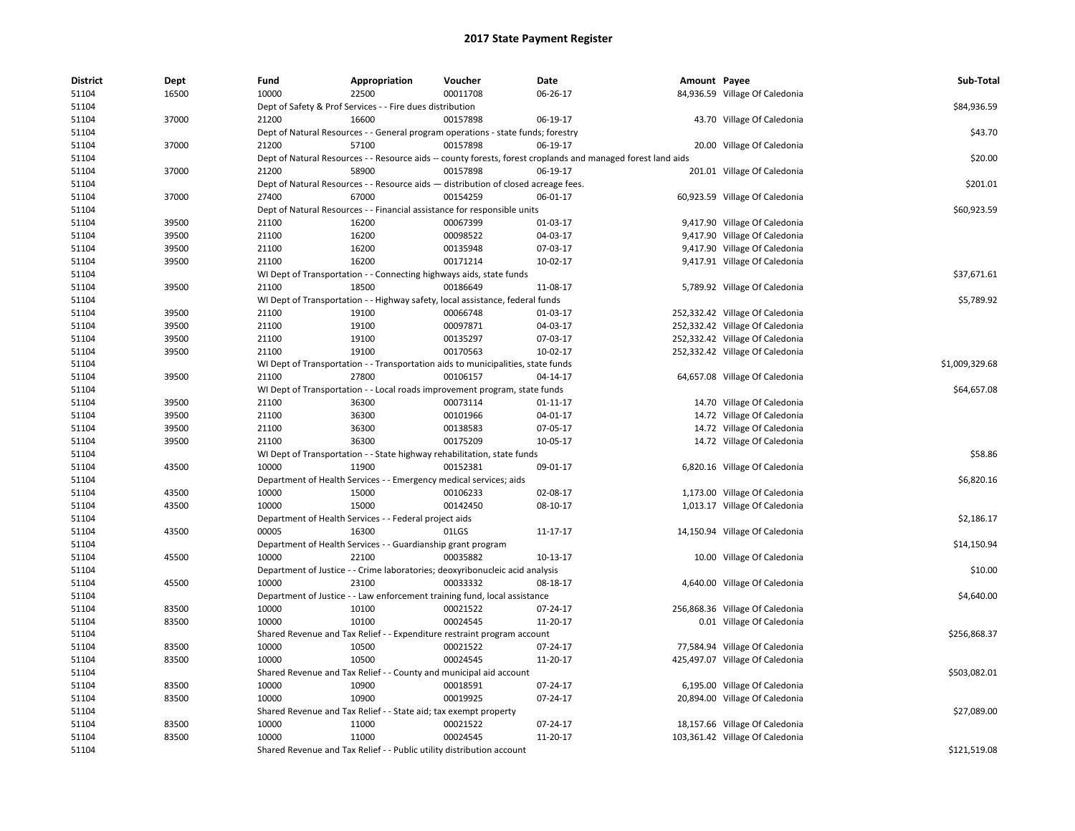| <b>District</b><br>51104 | <b>Dept</b><br>16500 | Fund<br>10000 | Appropriation<br>22500                                                             | Voucher<br>00011708 | Date<br>06-26-17                                                                                             | Amount Payee | 84,936.59 Village Of Caledonia  | Sub-Total      |
|--------------------------|----------------------|---------------|------------------------------------------------------------------------------------|---------------------|--------------------------------------------------------------------------------------------------------------|--------------|---------------------------------|----------------|
| 51104                    |                      |               | Dept of Safety & Prof Services - - Fire dues distribution                          |                     |                                                                                                              |              |                                 | \$84,936.59    |
| 51104                    | 37000                | 21200         | 16600                                                                              | 00157898            | 06-19-17                                                                                                     |              | 43.70 Village Of Caledonia      |                |
| 51104                    |                      |               | Dept of Natural Resources - - General program operations - state funds; forestry   |                     |                                                                                                              |              |                                 | \$43.70        |
| 51104                    | 37000                | 21200         | 57100                                                                              | 00157898            | 06-19-17                                                                                                     |              | 20.00 Village Of Caledonia      |                |
| 51104                    |                      |               |                                                                                    |                     | Dept of Natural Resources - - Resource aids -- county forests, forest croplands and managed forest land aids |              |                                 | \$20.00        |
| 51104                    | 37000                | 21200         | 58900                                                                              | 00157898            | 06-19-17                                                                                                     |              | 201.01 Village Of Caledonia     |                |
| 51104                    |                      |               | Dept of Natural Resources - - Resource aids - distribution of closed acreage fees. |                     |                                                                                                              |              |                                 | \$201.01       |
| 51104                    | 37000                | 27400         | 67000                                                                              | 00154259            | 06-01-17                                                                                                     |              | 60,923.59 Village Of Caledonia  |                |
| 51104                    |                      |               | Dept of Natural Resources - - Financial assistance for responsible units           |                     |                                                                                                              |              |                                 | \$60,923.59    |
| 51104                    | 39500                | 21100         | 16200                                                                              | 00067399            | 01-03-17                                                                                                     |              | 9,417.90 Village Of Caledonia   |                |
|                          | 39500                | 21100         | 16200                                                                              | 00098522            | 04-03-17                                                                                                     |              | 9,417.90 Village Of Caledonia   |                |
| 51104                    |                      |               |                                                                                    |                     |                                                                                                              |              |                                 |                |
| 51104                    | 39500                | 21100         | 16200                                                                              | 00135948            | 07-03-17                                                                                                     |              | 9,417.90 Village Of Caledonia   |                |
| 51104                    | 39500                | 21100         | 16200                                                                              | 00171214            | 10-02-17                                                                                                     |              | 9,417.91 Village Of Caledonia   |                |
| 51104                    |                      |               | WI Dept of Transportation - - Connecting highways aids, state funds                |                     |                                                                                                              |              |                                 | \$37,671.61    |
| 51104                    | 39500                | 21100         | 18500                                                                              | 00186649            | 11-08-17                                                                                                     |              | 5,789.92 Village Of Caledonia   |                |
| 51104                    |                      |               | WI Dept of Transportation - - Highway safety, local assistance, federal funds      |                     |                                                                                                              |              |                                 | \$5,789.92     |
| 51104                    | 39500                | 21100         | 19100                                                                              | 00066748            | 01-03-17                                                                                                     |              | 252,332.42 Village Of Caledonia |                |
| 51104                    | 39500                | 21100         | 19100                                                                              | 00097871            | 04-03-17                                                                                                     |              | 252,332.42 Village Of Caledonia |                |
| 51104                    | 39500                | 21100         | 19100                                                                              | 00135297            | 07-03-17                                                                                                     |              | 252,332.42 Village Of Caledonia |                |
| 51104                    | 39500                | 21100         | 19100                                                                              | 00170563            | 10-02-17                                                                                                     |              | 252,332.42 Village Of Caledonia |                |
| 51104                    |                      |               | WI Dept of Transportation - - Transportation aids to municipalities, state funds   |                     |                                                                                                              |              |                                 | \$1,009,329.68 |
| 51104                    | 39500                | 21100         | 27800                                                                              | 00106157            | 04-14-17                                                                                                     |              | 64,657.08 Village Of Caledonia  |                |
| 51104                    |                      |               | WI Dept of Transportation - - Local roads improvement program, state funds         |                     |                                                                                                              |              |                                 | \$64,657.08    |
| 51104                    | 39500                | 21100         | 36300                                                                              | 00073114            | 01-11-17                                                                                                     |              | 14.70 Village Of Caledonia      |                |
| 51104                    | 39500                | 21100         | 36300                                                                              | 00101966            | 04-01-17                                                                                                     |              | 14.72 Village Of Caledonia      |                |
| 51104                    | 39500                | 21100         | 36300                                                                              | 00138583            | 07-05-17                                                                                                     |              | 14.72 Village Of Caledonia      |                |
| 51104                    | 39500                | 21100         | 36300                                                                              | 00175209            | 10-05-17                                                                                                     |              | 14.72 Village Of Caledonia      |                |
| 51104                    |                      |               | WI Dept of Transportation - - State highway rehabilitation, state funds            |                     |                                                                                                              |              |                                 | \$58.86        |
| 51104                    | 43500                | 10000         | 11900                                                                              | 00152381            | 09-01-17                                                                                                     |              | 6,820.16 Village Of Caledonia   |                |
| 51104                    |                      |               | Department of Health Services - - Emergency medical services; aids                 |                     |                                                                                                              |              |                                 | \$6,820.16     |
| 51104                    | 43500                | 10000         | 15000                                                                              | 00106233            | 02-08-17                                                                                                     |              | 1,173.00 Village Of Caledonia   |                |
| 51104                    | 43500                | 10000         | 15000                                                                              | 00142450            | 08-10-17                                                                                                     |              | 1,013.17 Village Of Caledonia   |                |
| 51104                    |                      |               | Department of Health Services - - Federal project aids                             |                     |                                                                                                              |              |                                 | \$2,186.17     |
| 51104                    | 43500                | 00005         | 16300                                                                              | 01LGS               | 11-17-17                                                                                                     |              | 14,150.94 Village Of Caledonia  |                |
| 51104                    |                      |               | Department of Health Services - - Guardianship grant program                       |                     |                                                                                                              |              |                                 | \$14,150.94    |
| 51104                    | 45500                | 10000         | 22100                                                                              | 00035882            | 10-13-17                                                                                                     |              | 10.00 Village Of Caledonia      |                |
| 51104                    |                      |               | Department of Justice - - Crime laboratories; deoxyribonucleic acid analysis       |                     |                                                                                                              |              |                                 | \$10.00        |
| 51104                    | 45500                | 10000         | 23100                                                                              | 00033332            | 08-18-17                                                                                                     |              | 4,640.00 Village Of Caledonia   |                |
| 51104                    |                      |               | Department of Justice - - Law enforcement training fund, local assistance          |                     |                                                                                                              |              |                                 | \$4,640.00     |
| 51104                    | 83500                | 10000         | 10100                                                                              | 00021522            | 07-24-17                                                                                                     |              | 256,868.36 Village Of Caledonia |                |
| 51104                    | 83500                | 10000         | 10100                                                                              | 00024545            | 11-20-17                                                                                                     |              | 0.01 Village Of Caledonia       |                |
| 51104                    |                      |               | Shared Revenue and Tax Relief - - Expenditure restraint program account            |                     |                                                                                                              |              |                                 | \$256,868.37   |
| 51104                    | 83500                | 10000         | 10500                                                                              | 00021522            | 07-24-17                                                                                                     |              | 77,584.94 Village Of Caledonia  |                |
| 51104                    | 83500                | 10000         | 10500                                                                              | 00024545            | 11-20-17                                                                                                     |              | 425,497.07 Village Of Caledonia |                |
| 51104                    |                      |               | Shared Revenue and Tax Relief - - County and municipal aid account                 |                     |                                                                                                              |              |                                 | \$503,082.01   |
| 51104                    | 83500                | 10000         | 10900                                                                              | 00018591            | 07-24-17                                                                                                     |              | 6,195.00 Village Of Caledonia   |                |
| 51104                    | 83500                | 10000         | 10900                                                                              | 00019925            | 07-24-17                                                                                                     |              | 20,894.00 Village Of Caledonia  |                |
| 51104                    |                      |               | Shared Revenue and Tax Relief - - State aid; tax exempt property                   |                     |                                                                                                              |              |                                 | \$27,089.00    |
| 51104                    | 83500                | 10000         | 11000                                                                              | 00021522            | 07-24-17                                                                                                     |              | 18,157.66 Village Of Caledonia  |                |
| 51104                    | 83500                | 10000         | 11000                                                                              | 00024545            | 11-20-17                                                                                                     |              | 103,361.42 Village Of Caledonia |                |
| 51104                    |                      |               |                                                                                    |                     |                                                                                                              |              |                                 | \$121,519.08   |
|                          |                      |               | Shared Revenue and Tax Relief - - Public utility distribution account              |                     |                                                                                                              |              |                                 |                |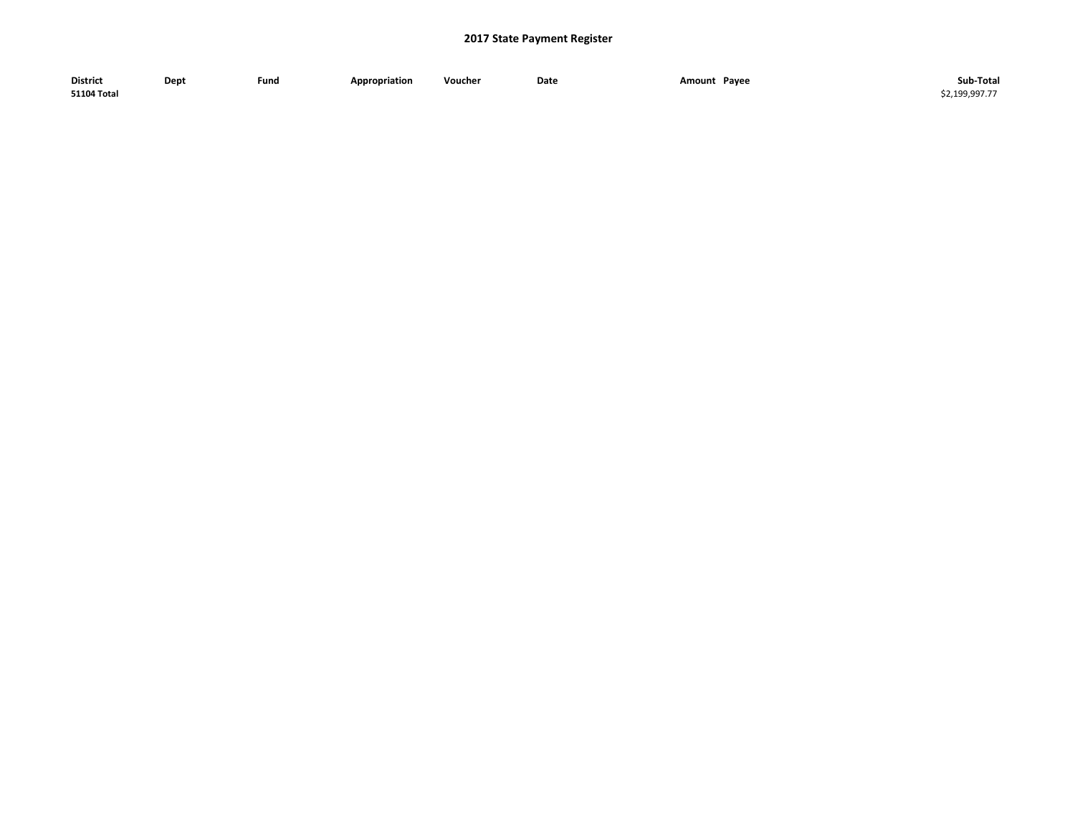| <b>District</b>    | Dept | Fund | <b>Appropriation</b> | Voucher | Date | Pavee<br>Amount<br>$\sim$ $\sim$ $\sim$ | Sub-Total    |
|--------------------|------|------|----------------------|---------|------|-----------------------------------------|--------------|
| <b>51104 Total</b> |      |      |                      |         |      |                                         | 52.199.997.7 |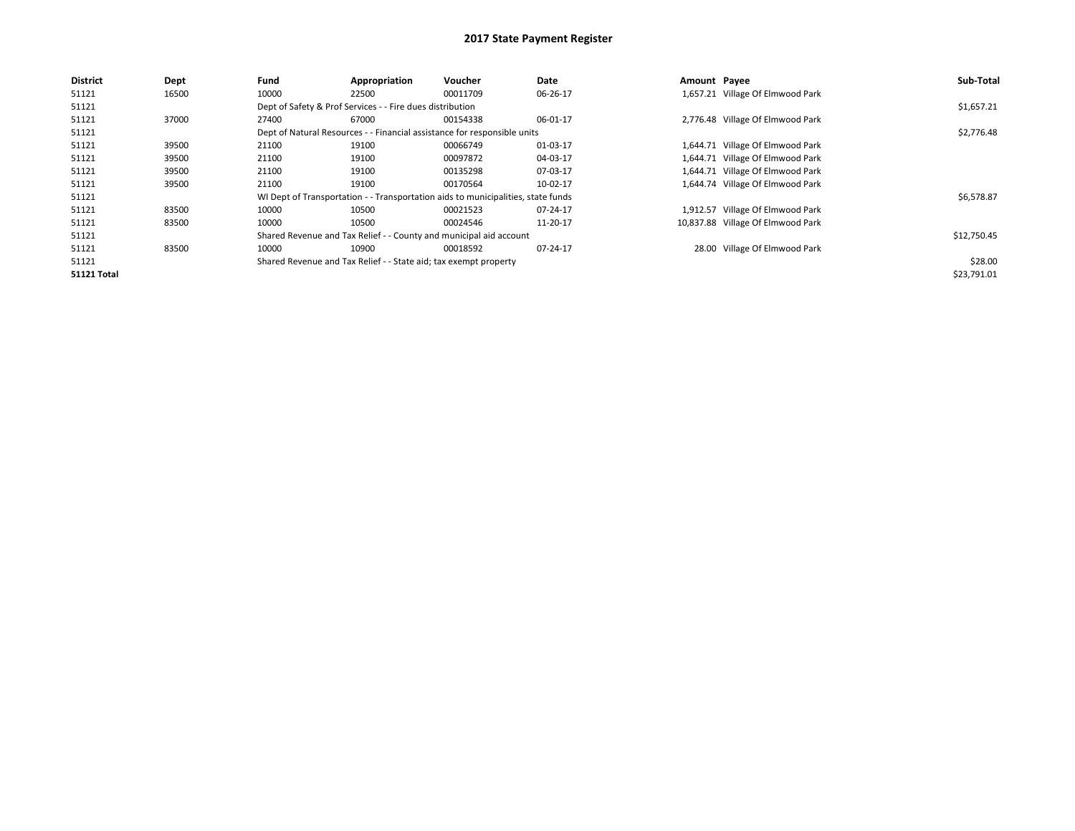| <b>District</b>    | Dept  | Fund  | Appropriation                                                                    | Voucher  | Date     | Amount Payee |                                   | Sub-Total   |
|--------------------|-------|-------|----------------------------------------------------------------------------------|----------|----------|--------------|-----------------------------------|-------------|
| 51121              | 16500 | 10000 | 22500                                                                            | 00011709 | 06-26-17 |              | 1,657.21 Village Of Elmwood Park  |             |
| 51121              |       |       | Dept of Safety & Prof Services - - Fire dues distribution                        |          |          |              |                                   | \$1,657.21  |
| 51121              | 37000 | 27400 | 67000                                                                            | 00154338 | 06-01-17 |              | 2,776.48 Village Of Elmwood Park  |             |
| 51121              |       |       | Dept of Natural Resources - - Financial assistance for responsible units         |          |          |              |                                   | \$2,776.48  |
| 51121              | 39500 | 21100 | 19100                                                                            | 00066749 | 01-03-17 |              | 1,644.71 Village Of Elmwood Park  |             |
| 51121              | 39500 | 21100 | 19100                                                                            | 00097872 | 04-03-17 |              | 1,644.71 Village Of Elmwood Park  |             |
| 51121              | 39500 | 21100 | 19100                                                                            | 00135298 | 07-03-17 |              | 1,644.71 Village Of Elmwood Park  |             |
| 51121              | 39500 | 21100 | 19100                                                                            | 00170564 | 10-02-17 |              | 1,644.74 Village Of Elmwood Park  |             |
| 51121              |       |       | WI Dept of Transportation - - Transportation aids to municipalities, state funds |          |          |              |                                   | \$6,578.87  |
| 51121              | 83500 | 10000 | 10500                                                                            | 00021523 | 07-24-17 |              | 1,912.57 Village Of Elmwood Park  |             |
| 51121              | 83500 | 10000 | 10500                                                                            | 00024546 | 11-20-17 |              | 10,837.88 Village Of Elmwood Park |             |
| 51121              |       |       | Shared Revenue and Tax Relief - - County and municipal aid account               |          |          |              |                                   | \$12,750.45 |
| 51121              | 83500 | 10000 | 10900                                                                            | 00018592 | 07-24-17 |              | 28.00 Village Of Elmwood Park     |             |
| 51121              |       |       | Shared Revenue and Tax Relief - - State aid; tax exempt property                 |          |          |              |                                   | \$28.00     |
| <b>51121 Total</b> |       |       |                                                                                  |          |          |              |                                   | \$23,791.01 |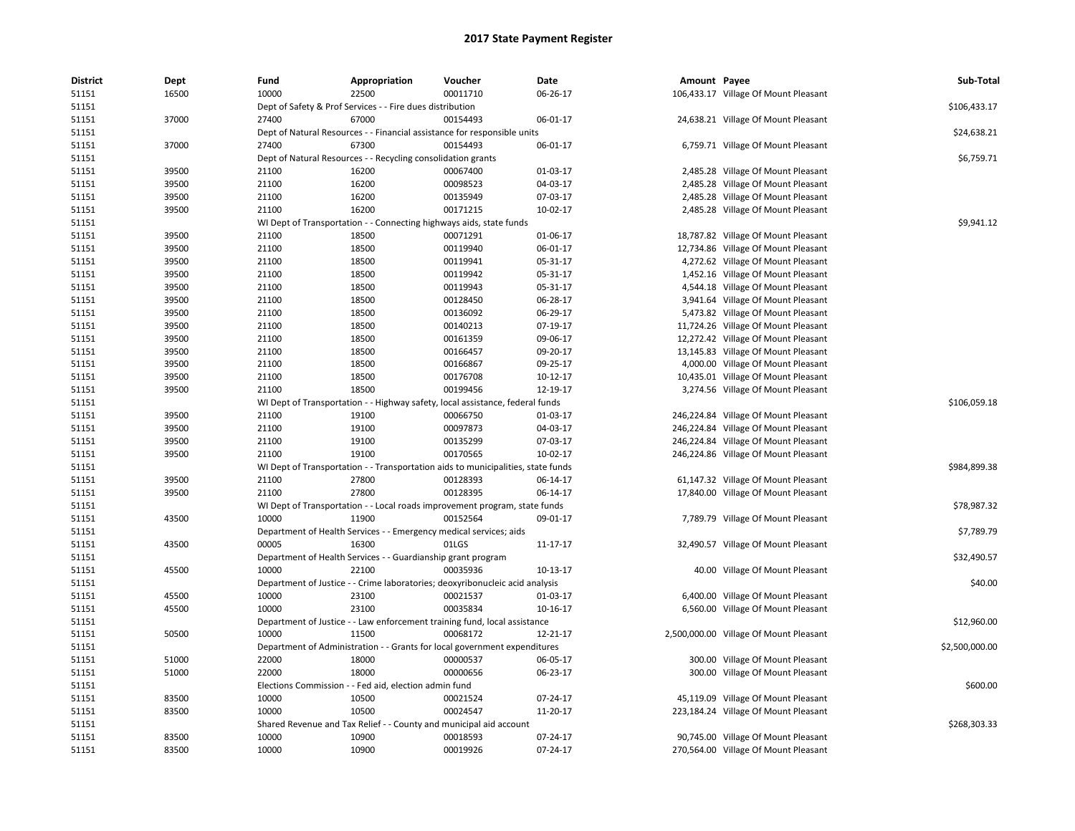| <b>District</b> | Dept  | Fund  | Appropriation                                                      | Voucher                                                                          | Date                 | Amount Payee |                                        | Sub-Total      |
|-----------------|-------|-------|--------------------------------------------------------------------|----------------------------------------------------------------------------------|----------------------|--------------|----------------------------------------|----------------|
| 51151           | 16500 | 10000 | 22500                                                              | 00011710                                                                         | 06-26-17             |              | 106,433.17 Village Of Mount Pleasant   |                |
| 51151           |       |       | Dept of Safety & Prof Services - - Fire dues distribution          |                                                                                  |                      |              |                                        | \$106,433.17   |
| 51151           | 37000 | 27400 | 67000                                                              | 00154493                                                                         | 06-01-17             |              | 24,638.21 Village Of Mount Pleasant    |                |
| 51151           |       |       |                                                                    | Dept of Natural Resources - - Financial assistance for responsible units         |                      |              |                                        | \$24,638.21    |
| 51151           | 37000 | 27400 | 67300                                                              | 00154493                                                                         | 06-01-17             |              | 6,759.71 Village Of Mount Pleasant     |                |
| 51151           |       |       | Dept of Natural Resources - - Recycling consolidation grants       |                                                                                  |                      |              |                                        | \$6,759.71     |
| 51151           | 39500 | 21100 | 16200                                                              | 00067400                                                                         | 01-03-17             |              | 2,485.28 Village Of Mount Pleasant     |                |
| 51151           | 39500 | 21100 | 16200                                                              | 00098523                                                                         | 04-03-17             |              | 2,485.28 Village Of Mount Pleasant     |                |
| 51151           | 39500 | 21100 | 16200                                                              | 00135949                                                                         | 07-03-17             |              | 2,485.28 Village Of Mount Pleasant     |                |
| 51151           | 39500 | 21100 | 16200                                                              | 00171215                                                                         | 10-02-17             |              | 2,485.28 Village Of Mount Pleasant     |                |
| 51151           |       |       |                                                                    | WI Dept of Transportation - - Connecting highways aids, state funds              |                      |              |                                        | \$9,941.12     |
| 51151           | 39500 | 21100 | 18500                                                              | 00071291                                                                         | 01-06-17             |              | 18,787.82 Village Of Mount Pleasant    |                |
| 51151           | 39500 | 21100 | 18500                                                              | 00119940                                                                         | 06-01-17             |              | 12,734.86 Village Of Mount Pleasant    |                |
| 51151           | 39500 | 21100 | 18500                                                              | 00119941                                                                         | 05-31-17             |              | 4,272.62 Village Of Mount Pleasant     |                |
| 51151           | 39500 | 21100 | 18500                                                              | 00119942                                                                         | 05-31-17             |              | 1,452.16 Village Of Mount Pleasant     |                |
| 51151           | 39500 |       | 18500                                                              | 00119943                                                                         | 05-31-17             |              |                                        |                |
|                 |       | 21100 |                                                                    |                                                                                  |                      |              | 4,544.18 Village Of Mount Pleasant     |                |
| 51151           | 39500 | 21100 | 18500                                                              | 00128450                                                                         | 06-28-17             |              | 3,941.64 Village Of Mount Pleasant     |                |
| 51151           | 39500 | 21100 | 18500                                                              | 00136092                                                                         | 06-29-17             |              | 5,473.82 Village Of Mount Pleasant     |                |
| 51151           | 39500 | 21100 | 18500                                                              | 00140213                                                                         | 07-19-17             |              | 11,724.26 Village Of Mount Pleasant    |                |
| 51151           | 39500 | 21100 | 18500                                                              | 00161359                                                                         | 09-06-17             |              | 12,272.42 Village Of Mount Pleasant    |                |
| 51151           | 39500 | 21100 | 18500                                                              | 00166457                                                                         | 09-20-17             |              | 13,145.83 Village Of Mount Pleasant    |                |
| 51151           | 39500 | 21100 | 18500                                                              | 00166867                                                                         | 09-25-17             |              | 4,000.00 Village Of Mount Pleasant     |                |
| 51151           | 39500 | 21100 | 18500                                                              | 00176708                                                                         | $10-12-17$           |              | 10,435.01 Village Of Mount Pleasant    |                |
| 51151           | 39500 | 21100 | 18500                                                              | 00199456                                                                         | 12-19-17             |              | 3,274.56 Village Of Mount Pleasant     |                |
| 51151           |       |       |                                                                    | WI Dept of Transportation - - Highway safety, local assistance, federal funds    |                      |              |                                        | \$106,059.18   |
| 51151           | 39500 | 21100 | 19100                                                              | 00066750                                                                         | 01-03-17             |              | 246,224.84 Village Of Mount Pleasant   |                |
| 51151           | 39500 | 21100 | 19100                                                              | 00097873                                                                         | 04-03-17             |              | 246,224.84 Village Of Mount Pleasant   |                |
| 51151           | 39500 | 21100 | 19100                                                              | 00135299                                                                         | 07-03-17             |              | 246,224.84 Village Of Mount Pleasant   |                |
| 51151           | 39500 | 21100 | 19100                                                              | 00170565                                                                         | $10-02-17$           |              | 246,224.86 Village Of Mount Pleasant   |                |
| 51151           |       |       |                                                                    | WI Dept of Transportation - - Transportation aids to municipalities, state funds |                      |              |                                        | \$984,899.38   |
| 51151           | 39500 | 21100 | 27800                                                              | 00128393                                                                         | 06-14-17             |              | 61,147.32 Village Of Mount Pleasant    |                |
| 51151           | 39500 | 21100 | 27800                                                              | 00128395                                                                         | 06-14-17             |              | 17,840.00 Village Of Mount Pleasant    |                |
| 51151           |       |       |                                                                    | WI Dept of Transportation - - Local roads improvement program, state funds       |                      |              |                                        | \$78,987.32    |
| 51151           | 43500 | 10000 | 11900                                                              | 00152564                                                                         | 09-01-17             |              | 7,789.79 Village Of Mount Pleasant     |                |
| 51151           |       |       | Department of Health Services - - Emergency medical services; aids |                                                                                  |                      |              |                                        | \$7,789.79     |
| 51151           | 43500 | 00005 | 16300                                                              | 01LGS                                                                            | 11-17-17             |              | 32,490.57 Village Of Mount Pleasant    |                |
| 51151           |       |       | Department of Health Services - - Guardianship grant program       |                                                                                  |                      |              |                                        | \$32,490.57    |
| 51151           | 45500 | 10000 | 22100                                                              | 00035936                                                                         | 10-13-17             |              | 40.00 Village Of Mount Pleasant        |                |
| 51151           |       |       |                                                                    | Department of Justice - - Crime laboratories; deoxyribonucleic acid analysis     |                      |              |                                        | \$40.00        |
| 51151           | 45500 | 10000 | 23100                                                              | 00021537                                                                         | 01-03-17             |              | 6,400.00 Village Of Mount Pleasant     |                |
| 51151           | 45500 | 10000 | 23100                                                              | 00035834                                                                         | 10-16-17             |              | 6,560.00 Village Of Mount Pleasant     |                |
| 51151           |       |       |                                                                    | Department of Justice - - Law enforcement training fund, local assistance        |                      |              |                                        | \$12,960.00    |
| 51151           | 50500 | 10000 | 11500                                                              | 00068172                                                                         | 12-21-17             |              | 2,500,000.00 Village Of Mount Pleasant |                |
| 51151           |       |       |                                                                    | Department of Administration - - Grants for local government expenditures        |                      |              |                                        | \$2,500,000.00 |
| 51151           | 51000 | 22000 | 18000                                                              | 00000537                                                                         | 06-05-17             |              | 300.00 Village Of Mount Pleasant       |                |
| 51151           | 51000 | 22000 | 18000                                                              | 00000656                                                                         | 06-23-17             |              | 300.00 Village Of Mount Pleasant       |                |
| 51151           |       |       | Elections Commission - - Fed aid, election admin fund              |                                                                                  |                      |              |                                        | \$600.00       |
|                 |       | 10000 |                                                                    |                                                                                  |                      |              |                                        |                |
| 51151           | 83500 | 10000 | 10500<br>10500                                                     | 00021524<br>00024547                                                             | 07-24-17<br>11-20-17 |              | 45,119.09 Village Of Mount Pleasant    |                |
| 51151<br>51151  | 83500 |       |                                                                    |                                                                                  |                      |              | 223,184.24 Village Of Mount Pleasant   | \$268,303.33   |
|                 |       |       |                                                                    | Shared Revenue and Tax Relief - - County and municipal aid account               |                      |              |                                        |                |
| 51151           | 83500 | 10000 | 10900                                                              | 00018593                                                                         | 07-24-17             |              | 90,745.00 Village Of Mount Pleasant    |                |
| 51151           | 83500 | 10000 | 10900                                                              | 00019926                                                                         | 07-24-17             |              | 270,564.00 Village Of Mount Pleasant   |                |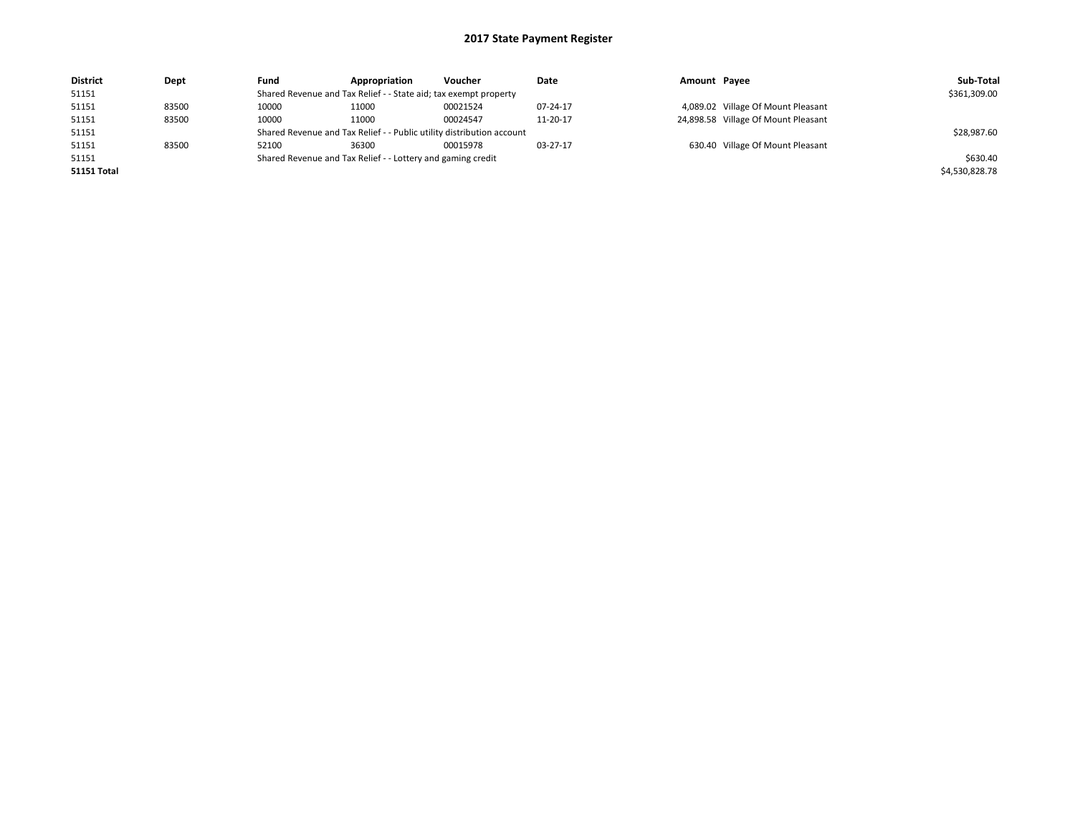| <b>District</b>    | Dept  | Fund                                                             | Appropriation                                                         | Voucher  | Date     | Amount Payee |                                     | Sub-Total      |
|--------------------|-------|------------------------------------------------------------------|-----------------------------------------------------------------------|----------|----------|--------------|-------------------------------------|----------------|
| 51151              |       | Shared Revenue and Tax Relief - - State aid; tax exempt property |                                                                       |          |          |              |                                     | \$361,309.00   |
| 51151              | 83500 | 10000                                                            | 11000                                                                 | 00021524 | 07-24-17 |              | 4,089.02 Village Of Mount Pleasant  |                |
| 51151              | 83500 | 10000                                                            | 11000                                                                 | 00024547 | 11-20-17 |              | 24,898.58 Village Of Mount Pleasant |                |
| 51151              |       |                                                                  | Shared Revenue and Tax Relief - - Public utility distribution account |          |          |              |                                     | \$28,987.60    |
| 51151              | 83500 | 52100                                                            | 36300                                                                 | 00015978 | 03-27-17 |              | 630.40 Village Of Mount Pleasant    |                |
| 51151              |       |                                                                  | Shared Revenue and Tax Relief - - Lottery and gaming credit           |          |          |              |                                     | \$630.40       |
| <b>51151 Total</b> |       |                                                                  |                                                                       |          |          |              |                                     | \$4,530,828.78 |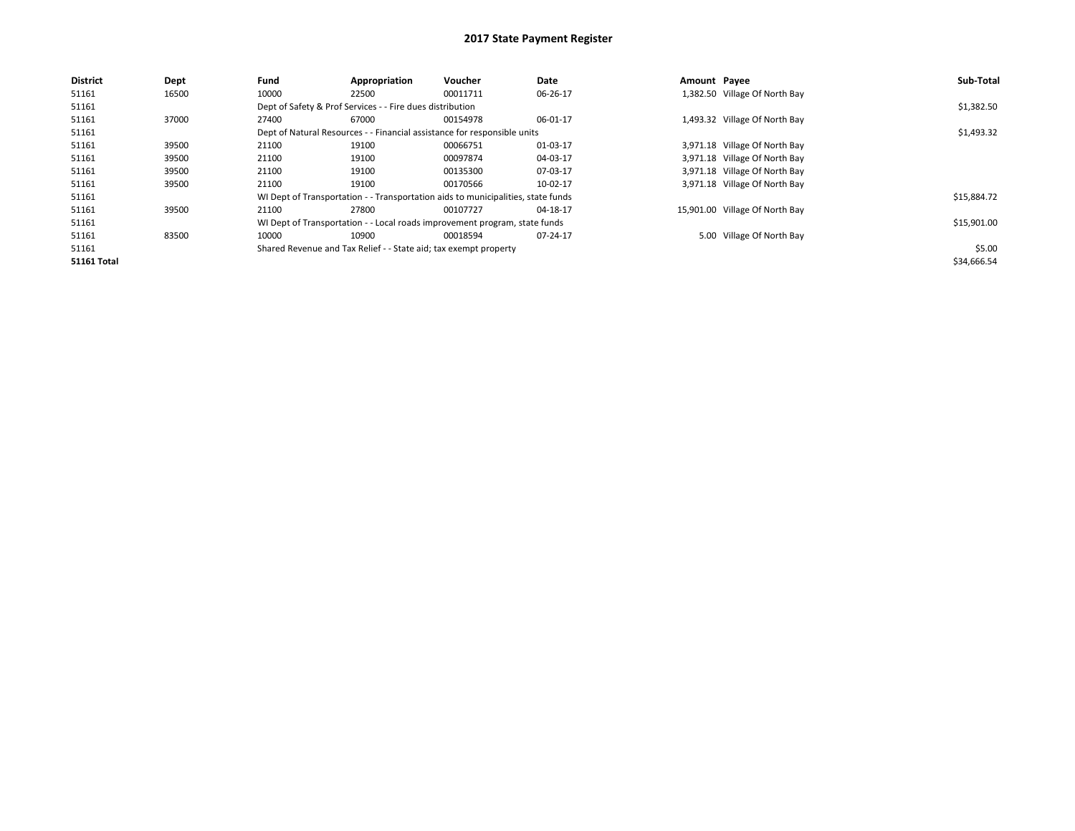| <b>District</b>    | Dept  | Fund  | Appropriation                                                    | Voucher                                                                          | Date     | Amount Payee |                                | Sub-Total   |
|--------------------|-------|-------|------------------------------------------------------------------|----------------------------------------------------------------------------------|----------|--------------|--------------------------------|-------------|
| 51161              | 16500 | 10000 | 22500                                                            | 00011711                                                                         | 06-26-17 |              | 1,382.50 Village Of North Bay  |             |
| 51161              |       |       | Dept of Safety & Prof Services - - Fire dues distribution        |                                                                                  |          |              |                                | \$1,382.50  |
| 51161              | 37000 | 27400 | 67000                                                            | 00154978                                                                         | 06-01-17 |              | 1,493.32 Village Of North Bay  |             |
| 51161              |       |       |                                                                  | Dept of Natural Resources - - Financial assistance for responsible units         |          |              |                                | \$1,493.32  |
| 51161              | 39500 | 21100 | 19100                                                            | 00066751                                                                         | 01-03-17 |              | 3,971.18 Village Of North Bay  |             |
| 51161              | 39500 | 21100 | 19100                                                            | 00097874                                                                         | 04-03-17 |              | 3,971.18 Village Of North Bay  |             |
| 51161              | 39500 | 21100 | 19100                                                            | 00135300                                                                         | 07-03-17 |              | 3,971.18 Village Of North Bay  |             |
| 51161              | 39500 | 21100 | 19100                                                            | 00170566                                                                         | 10-02-17 |              | 3,971.18 Village Of North Bay  |             |
| 51161              |       |       |                                                                  | WI Dept of Transportation - - Transportation aids to municipalities, state funds |          |              |                                | \$15,884.72 |
| 51161              | 39500 | 21100 | 27800                                                            | 00107727                                                                         | 04-18-17 |              | 15,901.00 Village Of North Bay |             |
| 51161              |       |       |                                                                  | WI Dept of Transportation - - Local roads improvement program, state funds       |          |              |                                | \$15,901.00 |
| 51161              | 83500 | 10000 | 10900                                                            | 00018594                                                                         | 07-24-17 |              | 5.00 Village Of North Bay      |             |
| 51161              |       |       | Shared Revenue and Tax Relief - - State aid; tax exempt property |                                                                                  |          |              |                                | \$5.00      |
| <b>51161 Total</b> |       |       |                                                                  |                                                                                  |          |              |                                | \$34,666.54 |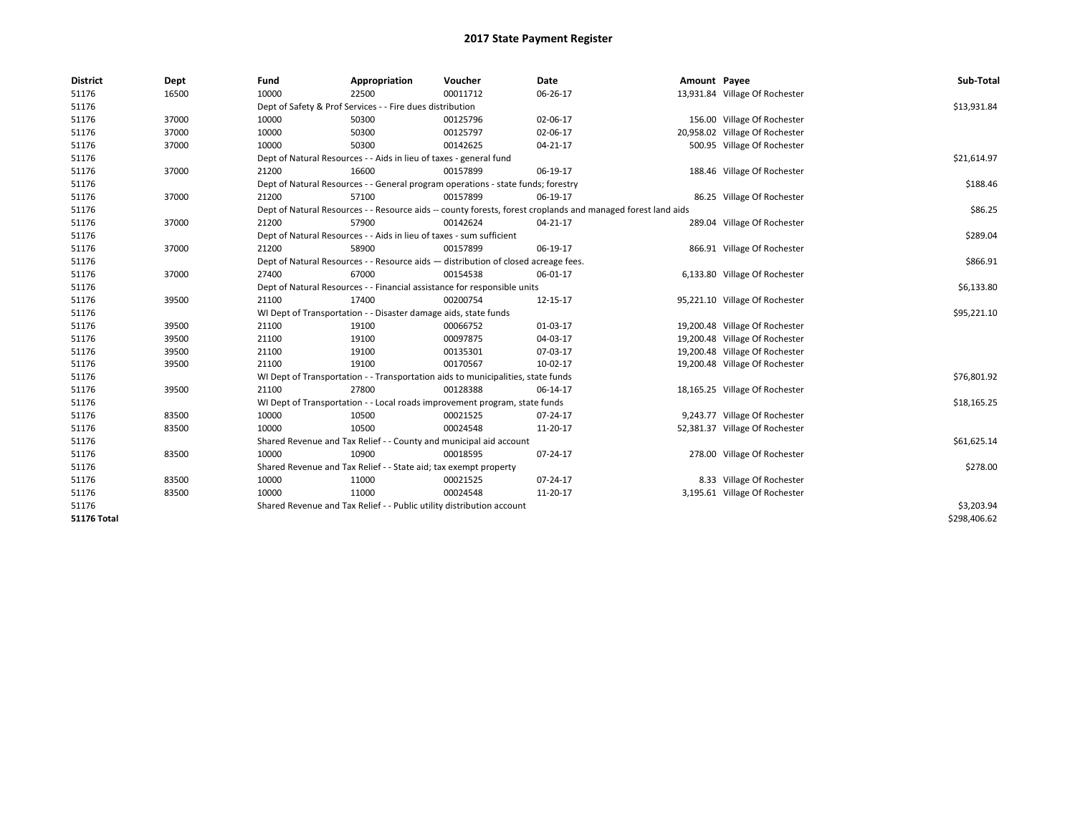| <b>District</b>    | Dept  | Fund                                                                  | Appropriation                                                                    | Voucher                                                                            | Date                                                                                                         | Amount Payee |                                | Sub-Total    |  |  |
|--------------------|-------|-----------------------------------------------------------------------|----------------------------------------------------------------------------------|------------------------------------------------------------------------------------|--------------------------------------------------------------------------------------------------------------|--------------|--------------------------------|--------------|--|--|
| 51176              | 16500 | 10000                                                                 | 22500                                                                            | 00011712                                                                           | 06-26-17                                                                                                     |              | 13,931.84 Village Of Rochester |              |  |  |
| 51176              |       | Dept of Safety & Prof Services - - Fire dues distribution             |                                                                                  |                                                                                    |                                                                                                              |              |                                | \$13,931.84  |  |  |
| 51176              | 37000 | 10000                                                                 | 50300                                                                            | 00125796                                                                           | 02-06-17                                                                                                     |              | 156.00 Village Of Rochester    |              |  |  |
| 51176              | 37000 | 10000                                                                 | 50300                                                                            | 00125797                                                                           | 02-06-17                                                                                                     |              | 20,958.02 Village Of Rochester |              |  |  |
| 51176              | 37000 | 10000                                                                 | 50300                                                                            | 00142625                                                                           | 04-21-17                                                                                                     |              | 500.95 Village Of Rochester    |              |  |  |
| 51176              |       |                                                                       | Dept of Natural Resources - - Aids in lieu of taxes - general fund               |                                                                                    |                                                                                                              |              |                                | \$21,614.97  |  |  |
| 51176              | 37000 | 21200                                                                 | 16600                                                                            | 00157899                                                                           | 06-19-17                                                                                                     |              | 188.46 Village Of Rochester    |              |  |  |
| 51176              |       |                                                                       | Dept of Natural Resources - - General program operations - state funds; forestry |                                                                                    |                                                                                                              |              |                                |              |  |  |
| 51176              | 37000 | 21200                                                                 | 57100                                                                            | 00157899                                                                           | 06-19-17                                                                                                     |              | 86.25 Village Of Rochester     |              |  |  |
| 51176              |       |                                                                       |                                                                                  |                                                                                    | Dept of Natural Resources - - Resource aids -- county forests, forest croplands and managed forest land aids |              |                                | \$86.25      |  |  |
| 51176              | 37000 | 21200                                                                 | 57900                                                                            | 00142624                                                                           | 04-21-17                                                                                                     |              | 289.04 Village Of Rochester    |              |  |  |
| 51176              |       |                                                                       | Dept of Natural Resources - - Aids in lieu of taxes - sum sufficient             |                                                                                    |                                                                                                              |              |                                | \$289.04     |  |  |
| 51176              | 37000 | 21200                                                                 | 58900                                                                            | 00157899                                                                           | 06-19-17                                                                                                     |              | 866.91 Village Of Rochester    |              |  |  |
| 51176              |       |                                                                       |                                                                                  | Dept of Natural Resources - - Resource aids - distribution of closed acreage fees. |                                                                                                              |              |                                | \$866.91     |  |  |
| 51176              | 37000 | 27400                                                                 | 67000                                                                            | 00154538                                                                           | 06-01-17                                                                                                     |              | 6,133.80 Village Of Rochester  |              |  |  |
| 51176              |       |                                                                       |                                                                                  | Dept of Natural Resources - - Financial assistance for responsible units           |                                                                                                              |              |                                | \$6,133.80   |  |  |
| 51176              | 39500 | 21100                                                                 | 17400                                                                            | 00200754                                                                           | 12-15-17                                                                                                     |              | 95,221.10 Village Of Rochester |              |  |  |
| 51176              |       | WI Dept of Transportation - - Disaster damage aids, state funds       |                                                                                  |                                                                                    |                                                                                                              |              |                                | \$95,221.10  |  |  |
| 51176              | 39500 | 21100                                                                 | 19100                                                                            | 00066752                                                                           | 01-03-17                                                                                                     |              | 19,200.48 Village Of Rochester |              |  |  |
| 51176              | 39500 | 21100                                                                 | 19100                                                                            | 00097875                                                                           | 04-03-17                                                                                                     |              | 19,200.48 Village Of Rochester |              |  |  |
| 51176              | 39500 | 21100                                                                 | 19100                                                                            | 00135301                                                                           | 07-03-17                                                                                                     |              | 19,200.48 Village Of Rochester |              |  |  |
| 51176              | 39500 | 21100                                                                 | 19100                                                                            | 00170567                                                                           | 10-02-17                                                                                                     |              | 19,200.48 Village Of Rochester |              |  |  |
| 51176              |       |                                                                       |                                                                                  | WI Dept of Transportation - - Transportation aids to municipalities, state funds   |                                                                                                              |              |                                | \$76,801.92  |  |  |
| 51176              | 39500 | 21100                                                                 | 27800                                                                            | 00128388                                                                           | 06-14-17                                                                                                     |              | 18,165.25 Village Of Rochester |              |  |  |
| 51176              |       |                                                                       |                                                                                  | WI Dept of Transportation - - Local roads improvement program, state funds         |                                                                                                              |              |                                | \$18,165.25  |  |  |
| 51176              | 83500 | 10000                                                                 | 10500                                                                            | 00021525                                                                           | 07-24-17                                                                                                     |              | 9,243.77 Village Of Rochester  |              |  |  |
| 51176              | 83500 | 10000                                                                 | 10500                                                                            | 00024548                                                                           | 11-20-17                                                                                                     |              | 52,381.37 Village Of Rochester |              |  |  |
| 51176              |       | Shared Revenue and Tax Relief - - County and municipal aid account    |                                                                                  |                                                                                    |                                                                                                              |              |                                | \$61,625.14  |  |  |
| 51176              | 83500 | 10000                                                                 | 10900                                                                            | 00018595                                                                           | 07-24-17                                                                                                     |              | 278.00 Village Of Rochester    |              |  |  |
| 51176              |       | Shared Revenue and Tax Relief - - State aid; tax exempt property      |                                                                                  | \$278.00                                                                           |                                                                                                              |              |                                |              |  |  |
| 51176              | 83500 | 10000                                                                 | 11000                                                                            | 00021525                                                                           | 07-24-17                                                                                                     |              | 8.33 Village Of Rochester      |              |  |  |
| 51176              | 83500 | 10000                                                                 | 11000                                                                            | 00024548                                                                           | 11-20-17                                                                                                     |              | 3,195.61 Village Of Rochester  |              |  |  |
| 51176              |       | Shared Revenue and Tax Relief - - Public utility distribution account |                                                                                  |                                                                                    |                                                                                                              |              |                                | \$3,203.94   |  |  |
| <b>51176 Total</b> |       |                                                                       |                                                                                  |                                                                                    |                                                                                                              |              |                                | \$298,406.62 |  |  |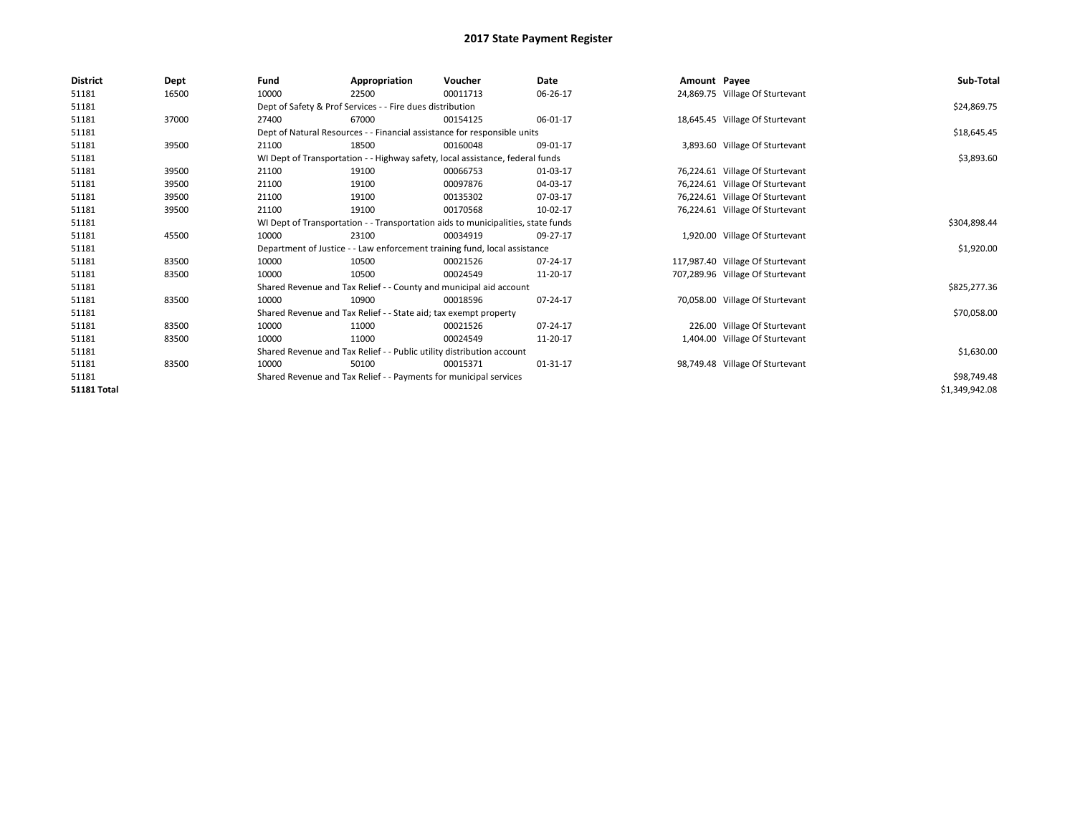| <b>District</b>    | Dept  | Fund                                                              | Appropriation                                                                    | Voucher                                                                       | Date     | Amount Payee |                                  | Sub-Total      |  |  |  |
|--------------------|-------|-------------------------------------------------------------------|----------------------------------------------------------------------------------|-------------------------------------------------------------------------------|----------|--------------|----------------------------------|----------------|--|--|--|
| 51181              | 16500 | 10000                                                             | 22500                                                                            | 00011713                                                                      | 06-26-17 |              | 24,869.75 Village Of Sturtevant  |                |  |  |  |
| 51181              |       |                                                                   | Dept of Safety & Prof Services - - Fire dues distribution                        |                                                                               |          |              |                                  | \$24,869.75    |  |  |  |
| 51181              | 37000 | 27400                                                             | 67000                                                                            | 00154125                                                                      | 06-01-17 |              | 18,645.45 Village Of Sturtevant  |                |  |  |  |
| 51181              |       |                                                                   |                                                                                  | Dept of Natural Resources - - Financial assistance for responsible units      |          |              |                                  | \$18,645.45    |  |  |  |
| 51181              | 39500 | 21100                                                             | 18500                                                                            | 00160048                                                                      | 09-01-17 |              | 3,893.60 Village Of Sturtevant   |                |  |  |  |
| 51181              |       |                                                                   |                                                                                  | WI Dept of Transportation - - Highway safety, local assistance, federal funds |          |              |                                  | \$3,893.60     |  |  |  |
| 51181              | 39500 | 21100                                                             | 19100                                                                            | 00066753                                                                      | 01-03-17 |              | 76,224.61 Village Of Sturtevant  |                |  |  |  |
| 51181              | 39500 | 21100                                                             | 19100                                                                            | 00097876                                                                      | 04-03-17 |              | 76,224.61 Village Of Sturtevant  |                |  |  |  |
| 51181              | 39500 | 21100                                                             | 19100                                                                            | 00135302                                                                      | 07-03-17 |              | 76,224.61 Village Of Sturtevant  |                |  |  |  |
| 51181              | 39500 | 21100                                                             | 19100                                                                            | 00170568                                                                      | 10-02-17 |              | 76,224.61 Village Of Sturtevant  |                |  |  |  |
| 51181              |       |                                                                   | WI Dept of Transportation - - Transportation aids to municipalities, state funds |                                                                               |          |              |                                  |                |  |  |  |
| 51181              | 45500 | 10000                                                             | 23100                                                                            | 00034919                                                                      | 09-27-17 |              | 1,920.00 Village Of Sturtevant   |                |  |  |  |
| 51181              |       |                                                                   |                                                                                  | Department of Justice - - Law enforcement training fund, local assistance     |          |              |                                  | \$1,920.00     |  |  |  |
| 51181              | 83500 | 10000                                                             | 10500                                                                            | 00021526                                                                      | 07-24-17 |              | 117,987.40 Village Of Sturtevant |                |  |  |  |
| 51181              | 83500 | 10000                                                             | 10500                                                                            | 00024549                                                                      | 11-20-17 |              | 707,289.96 Village Of Sturtevant |                |  |  |  |
| 51181              |       |                                                                   |                                                                                  | Shared Revenue and Tax Relief - - County and municipal aid account            |          |              |                                  | \$825,277.36   |  |  |  |
| 51181              | 83500 | 10000                                                             | 10900                                                                            | 00018596                                                                      | 07-24-17 |              | 70,058.00 Village Of Sturtevant  |                |  |  |  |
| 51181              |       |                                                                   | Shared Revenue and Tax Relief - - State aid; tax exempt property                 |                                                                               |          |              |                                  | \$70,058.00    |  |  |  |
| 51181              | 83500 | 10000                                                             | 11000                                                                            | 00021526                                                                      | 07-24-17 |              | 226.00 Village Of Sturtevant     |                |  |  |  |
| 51181              | 83500 | 10000                                                             | 11000                                                                            | 00024549                                                                      | 11-20-17 |              | 1,404.00 Village Of Sturtevant   |                |  |  |  |
| 51181              |       |                                                                   | Shared Revenue and Tax Relief - - Public utility distribution account            |                                                                               |          |              |                                  | \$1,630.00     |  |  |  |
| 51181              | 83500 | 10000                                                             | 50100                                                                            | 00015371                                                                      | 01-31-17 |              | 98,749.48 Village Of Sturtevant  |                |  |  |  |
| 51181              |       | Shared Revenue and Tax Relief - - Payments for municipal services |                                                                                  | \$98,749.48                                                                   |          |              |                                  |                |  |  |  |
| <b>51181 Total</b> |       |                                                                   |                                                                                  |                                                                               |          |              |                                  | \$1,349,942.08 |  |  |  |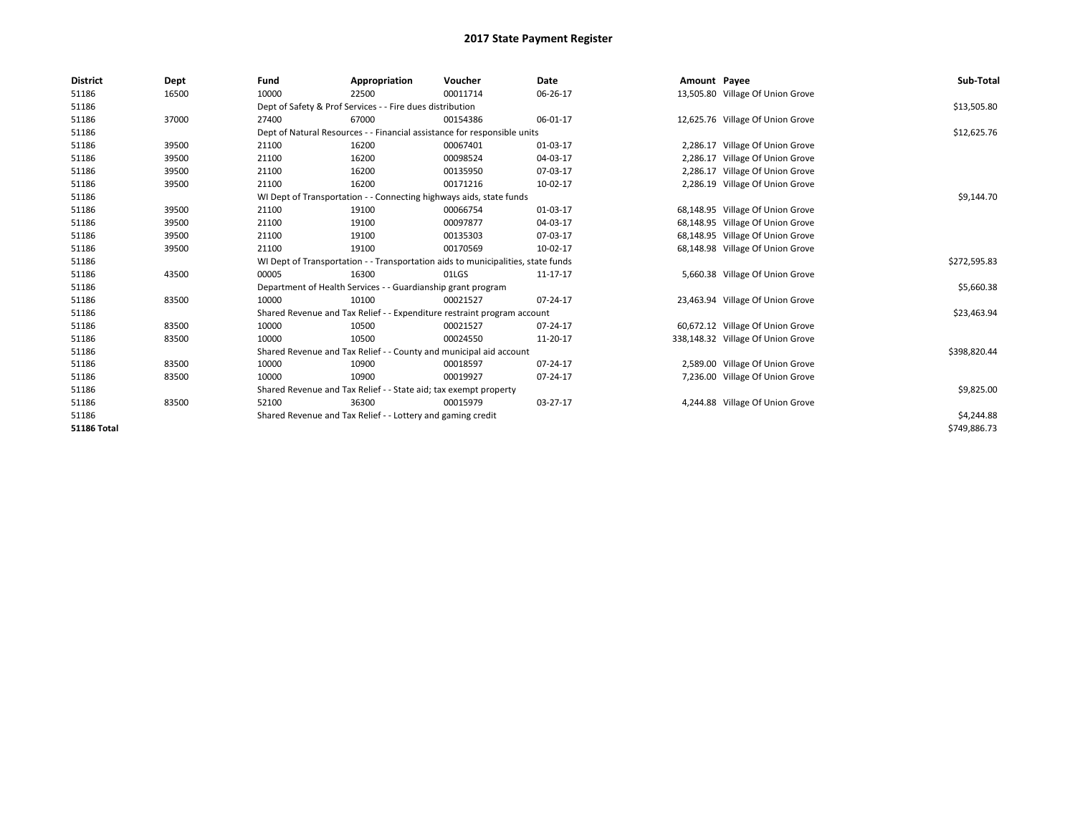| <b>District</b>    | Dept  | Fund  | Appropriation                                                                    | Voucher  | Date     | Amount Payee |                                   | Sub-Total    |  |
|--------------------|-------|-------|----------------------------------------------------------------------------------|----------|----------|--------------|-----------------------------------|--------------|--|
| 51186              | 16500 | 10000 | 22500                                                                            | 00011714 | 06-26-17 |              | 13,505.80 Village Of Union Grove  |              |  |
| 51186              |       |       | Dept of Safety & Prof Services - - Fire dues distribution                        |          |          |              |                                   | \$13,505.80  |  |
| 51186              | 37000 | 27400 | 67000                                                                            | 00154386 | 06-01-17 |              | 12,625.76 Village Of Union Grove  |              |  |
| 51186              |       |       | Dept of Natural Resources - - Financial assistance for responsible units         |          |          |              |                                   | \$12,625.76  |  |
| 51186              | 39500 | 21100 | 16200                                                                            | 00067401 | 01-03-17 |              | 2,286.17 Village Of Union Grove   |              |  |
| 51186              | 39500 | 21100 | 16200                                                                            | 00098524 | 04-03-17 |              | 2,286.17 Village Of Union Grove   |              |  |
| 51186              | 39500 | 21100 | 16200                                                                            | 00135950 | 07-03-17 | 2,286.17     | Village Of Union Grove            |              |  |
| 51186              | 39500 | 21100 | 16200                                                                            | 00171216 | 10-02-17 |              | 2,286.19 Village Of Union Grove   |              |  |
| 51186              |       |       | WI Dept of Transportation - - Connecting highways aids, state funds              |          |          |              |                                   | \$9,144.70   |  |
| 51186              | 39500 | 21100 | 19100                                                                            | 00066754 | 01-03-17 |              | 68,148.95 Village Of Union Grove  |              |  |
| 51186              | 39500 | 21100 | 19100                                                                            | 00097877 | 04-03-17 |              | 68,148.95 Village Of Union Grove  |              |  |
| 51186              | 39500 | 21100 | 19100                                                                            | 00135303 | 07-03-17 |              | 68,148.95 Village Of Union Grove  |              |  |
| 51186              | 39500 | 21100 | 19100                                                                            | 00170569 | 10-02-17 |              | 68,148.98 Village Of Union Grove  |              |  |
| 51186              |       |       | WI Dept of Transportation - - Transportation aids to municipalities, state funds |          |          |              |                                   | \$272,595.83 |  |
| 51186              | 43500 | 00005 | 16300                                                                            | 01LGS    | 11-17-17 |              | 5,660.38 Village Of Union Grove   |              |  |
| 51186              |       |       | Department of Health Services - - Guardianship grant program                     |          |          |              |                                   | \$5,660.38   |  |
| 51186              | 83500 | 10000 | 10100                                                                            | 00021527 | 07-24-17 |              | 23,463.94 Village Of Union Grove  |              |  |
| 51186              |       |       | Shared Revenue and Tax Relief - - Expenditure restraint program account          |          |          |              |                                   | \$23,463.94  |  |
| 51186              | 83500 | 10000 | 10500                                                                            | 00021527 | 07-24-17 |              | 60,672.12 Village Of Union Grove  |              |  |
| 51186              | 83500 | 10000 | 10500                                                                            | 00024550 | 11-20-17 |              | 338,148.32 Village Of Union Grove |              |  |
| 51186              |       |       | Shared Revenue and Tax Relief - - County and municipal aid account               |          |          |              |                                   | \$398,820.44 |  |
| 51186              | 83500 | 10000 | 10900                                                                            | 00018597 | 07-24-17 |              | 2,589.00 Village Of Union Grove   |              |  |
| 51186              | 83500 | 10000 | 10900                                                                            | 00019927 | 07-24-17 |              | 7,236.00 Village Of Union Grove   |              |  |
| 51186              |       |       | Shared Revenue and Tax Relief - - State aid; tax exempt property                 |          |          |              |                                   |              |  |
| 51186              | 83500 | 52100 | 36300                                                                            | 00015979 | 03-27-17 |              | 4,244.88 Village Of Union Grove   |              |  |
| 51186              |       |       | Shared Revenue and Tax Relief - - Lottery and gaming credit                      |          |          |              |                                   | \$4,244.88   |  |
| <b>51186 Total</b> |       |       |                                                                                  |          |          |              |                                   | \$749,886.73 |  |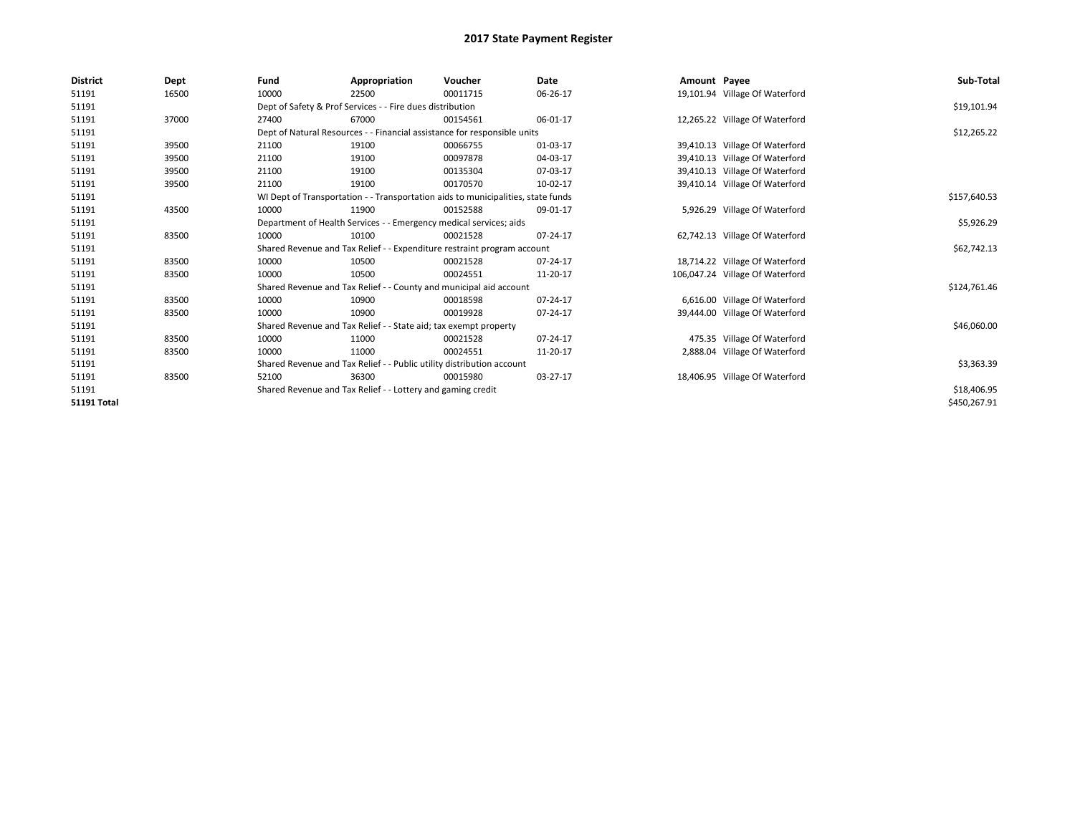| <b>District</b>    | Dept  | Fund  | Appropriation                                                                    | Voucher  | Date     | Amount Payee |                                 | Sub-Total    |  |  |  |
|--------------------|-------|-------|----------------------------------------------------------------------------------|----------|----------|--------------|---------------------------------|--------------|--|--|--|
| 51191              | 16500 | 10000 | 22500                                                                            | 00011715 | 06-26-17 |              | 19,101.94 Village Of Waterford  |              |  |  |  |
| 51191              |       |       | Dept of Safety & Prof Services - - Fire dues distribution                        |          |          |              |                                 | \$19,101.94  |  |  |  |
| 51191              | 37000 | 27400 | 67000                                                                            | 00154561 | 06-01-17 |              | 12,265.22 Village Of Waterford  |              |  |  |  |
| 51191              |       |       | Dept of Natural Resources - - Financial assistance for responsible units         |          |          |              |                                 | \$12,265.22  |  |  |  |
| 51191              | 39500 | 21100 | 19100                                                                            | 00066755 | 01-03-17 |              | 39,410.13 Village Of Waterford  |              |  |  |  |
| 51191              | 39500 | 21100 | 19100                                                                            | 00097878 | 04-03-17 | 39,410.13    | Village Of Waterford            |              |  |  |  |
| 51191              | 39500 | 21100 | 19100                                                                            | 00135304 | 07-03-17 |              | 39,410.13 Village Of Waterford  |              |  |  |  |
| 51191              | 39500 | 21100 | 19100                                                                            | 00170570 | 10-02-17 |              | 39,410.14 Village Of Waterford  |              |  |  |  |
| 51191              |       |       | WI Dept of Transportation - - Transportation aids to municipalities, state funds |          |          |              |                                 |              |  |  |  |
| 51191              | 43500 | 10000 | 11900                                                                            | 00152588 | 09-01-17 |              | 5,926.29 Village Of Waterford   |              |  |  |  |
| 51191              |       |       | Department of Health Services - - Emergency medical services; aids               |          |          |              |                                 |              |  |  |  |
| 51191              | 83500 | 10000 | 10100                                                                            | 00021528 | 07-24-17 |              | 62,742.13 Village Of Waterford  |              |  |  |  |
| 51191              |       |       | Shared Revenue and Tax Relief - - Expenditure restraint program account          |          |          |              |                                 | \$62,742.13  |  |  |  |
| 51191              | 83500 | 10000 | 10500                                                                            | 00021528 | 07-24-17 |              | 18,714.22 Village Of Waterford  |              |  |  |  |
| 51191              | 83500 | 10000 | 10500                                                                            | 00024551 | 11-20-17 |              | 106,047.24 Village Of Waterford |              |  |  |  |
| 51191              |       |       | Shared Revenue and Tax Relief - - County and municipal aid account               |          |          |              |                                 | \$124,761.46 |  |  |  |
| 51191              | 83500 | 10000 | 10900                                                                            | 00018598 | 07-24-17 |              | 6,616.00 Village Of Waterford   |              |  |  |  |
| 51191              | 83500 | 10000 | 10900                                                                            | 00019928 | 07-24-17 |              | 39,444.00 Village Of Waterford  |              |  |  |  |
| 51191              |       |       | Shared Revenue and Tax Relief - - State aid; tax exempt property                 |          |          |              |                                 | \$46,060.00  |  |  |  |
| 51191              | 83500 | 10000 | 11000                                                                            | 00021528 | 07-24-17 |              | 475.35 Village Of Waterford     |              |  |  |  |
| 51191              | 83500 | 10000 | 11000                                                                            | 00024551 | 11-20-17 |              | 2,888.04 Village Of Waterford   |              |  |  |  |
| 51191              |       |       | Shared Revenue and Tax Relief - - Public utility distribution account            |          |          |              |                                 |              |  |  |  |
| 51191              | 83500 | 52100 | 36300                                                                            | 00015980 | 03-27-17 |              | 18,406.95 Village Of Waterford  |              |  |  |  |
| 51191              |       |       | Shared Revenue and Tax Relief - - Lottery and gaming credit                      |          |          |              |                                 |              |  |  |  |
| <b>51191 Total</b> |       |       |                                                                                  |          |          |              |                                 | \$450,267.91 |  |  |  |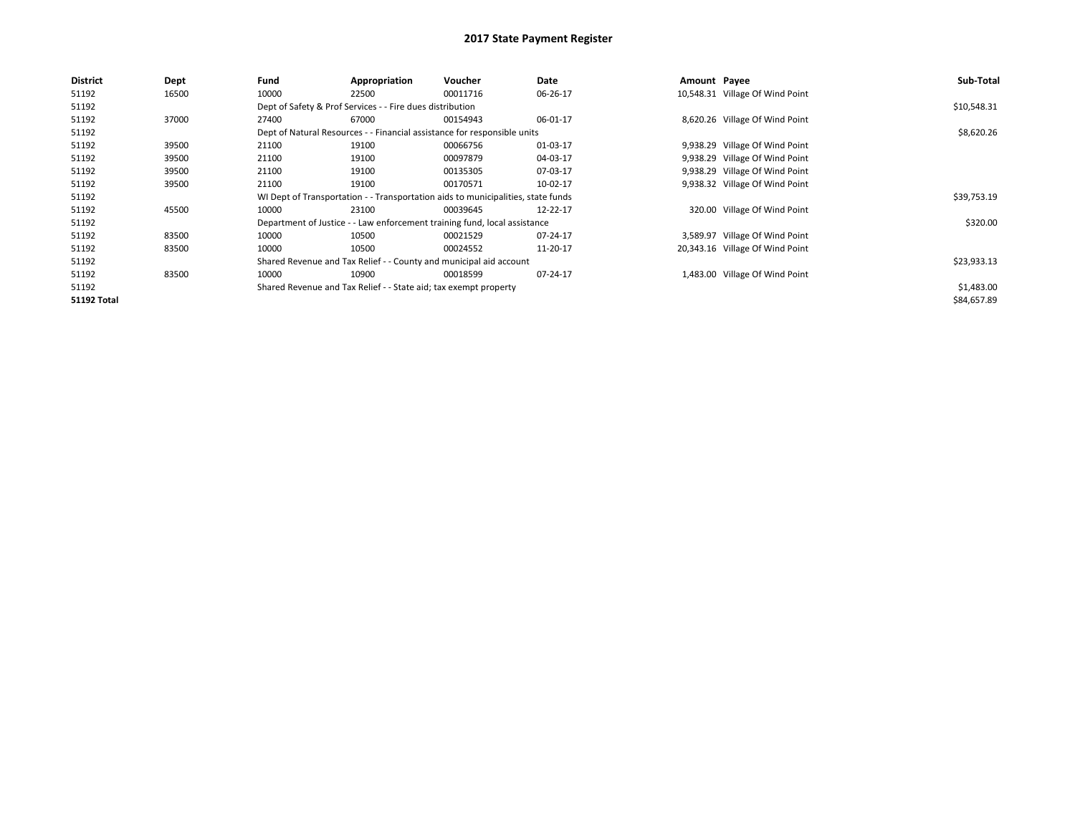| <b>District</b>    | <b>Dept</b> | Fund  | Appropriation                                                    | Voucher                                                                          | Date     | Amount Payee |                                 | Sub-Total   |
|--------------------|-------------|-------|------------------------------------------------------------------|----------------------------------------------------------------------------------|----------|--------------|---------------------------------|-------------|
| 51192              | 16500       | 10000 | 22500                                                            | 00011716                                                                         | 06-26-17 |              | 10,548.31 Village Of Wind Point |             |
| 51192              |             |       | Dept of Safety & Prof Services - - Fire dues distribution        |                                                                                  |          |              |                                 | \$10,548.31 |
| 51192              | 37000       | 27400 | 67000                                                            | 00154943                                                                         | 06-01-17 |              | 8,620.26 Village Of Wind Point  |             |
| 51192              |             |       |                                                                  | Dept of Natural Resources - - Financial assistance for responsible units         |          |              |                                 | \$8,620.26  |
| 51192              | 39500       | 21100 | 19100                                                            | 00066756                                                                         | 01-03-17 |              | 9,938.29 Village Of Wind Point  |             |
| 51192              | 39500       | 21100 | 19100                                                            | 00097879                                                                         | 04-03-17 |              | 9,938.29 Village Of Wind Point  |             |
| 51192              | 39500       | 21100 | 19100                                                            | 00135305                                                                         | 07-03-17 |              | 9,938.29 Village Of Wind Point  |             |
| 51192              | 39500       | 21100 | 19100                                                            | 00170571                                                                         | 10-02-17 |              | 9,938.32 Village Of Wind Point  |             |
| 51192              |             |       |                                                                  | WI Dept of Transportation - - Transportation aids to municipalities, state funds |          |              |                                 | \$39,753.19 |
| 51192              | 45500       | 10000 | 23100                                                            | 00039645                                                                         | 12-22-17 |              | 320.00 Village Of Wind Point    |             |
| 51192              |             |       |                                                                  | Department of Justice - - Law enforcement training fund, local assistance        |          |              |                                 | \$320.00    |
| 51192              | 83500       | 10000 | 10500                                                            | 00021529                                                                         | 07-24-17 |              | 3,589.97 Village Of Wind Point  |             |
| 51192              | 83500       | 10000 | 10500                                                            | 00024552                                                                         | 11-20-17 |              | 20,343.16 Village Of Wind Point |             |
| 51192              |             |       |                                                                  | Shared Revenue and Tax Relief - - County and municipal aid account               |          |              |                                 | \$23,933.13 |
| 51192              | 83500       | 10000 | 10900                                                            | 00018599                                                                         | 07-24-17 |              | 1,483.00 Village Of Wind Point  |             |
| 51192              |             |       | Shared Revenue and Tax Relief - - State aid; tax exempt property |                                                                                  |          |              |                                 | \$1,483.00  |
| <b>51192 Total</b> |             |       |                                                                  |                                                                                  |          |              |                                 | \$84,657.89 |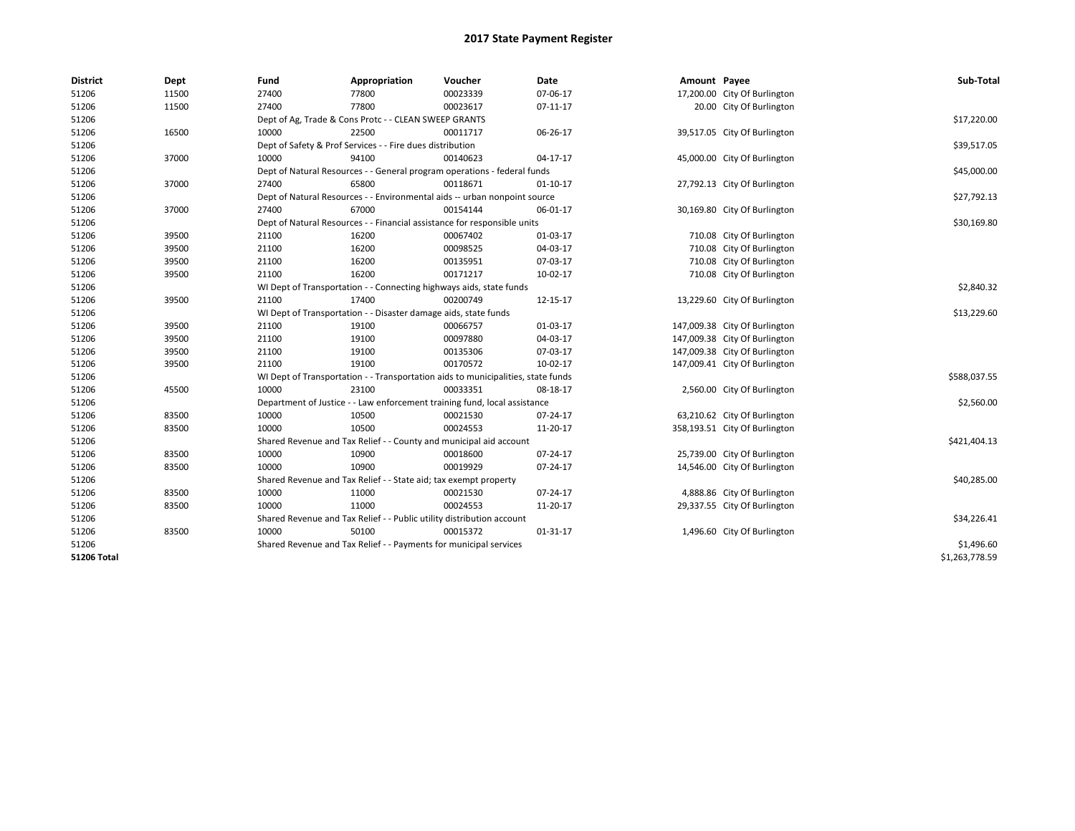| <b>District</b>    | Dept  | Fund  | Appropriation                                                                    | Voucher  | Date           | Amount Payee |                               | Sub-Total      |  |  |  |
|--------------------|-------|-------|----------------------------------------------------------------------------------|----------|----------------|--------------|-------------------------------|----------------|--|--|--|
| 51206              | 11500 | 27400 | 77800                                                                            | 00023339 | 07-06-17       |              | 17,200.00 City Of Burlington  |                |  |  |  |
| 51206              | 11500 | 27400 | 77800                                                                            | 00023617 | 07-11-17       |              | 20.00 City Of Burlington      |                |  |  |  |
| 51206              |       |       | Dept of Ag, Trade & Cons Protc - - CLEAN SWEEP GRANTS                            |          |                |              |                               | \$17,220.00    |  |  |  |
| 51206              | 16500 | 10000 | 22500                                                                            | 00011717 | 06-26-17       |              | 39,517.05 City Of Burlington  |                |  |  |  |
| 51206              |       |       | Dept of Safety & Prof Services - - Fire dues distribution                        |          |                |              |                               | \$39,517.05    |  |  |  |
| 51206              | 37000 | 10000 | 94100                                                                            | 00140623 | 04-17-17       |              | 45,000.00 City Of Burlington  |                |  |  |  |
| 51206              |       |       | Dept of Natural Resources - - General program operations - federal funds         |          |                |              |                               |                |  |  |  |
| 51206              | 37000 | 27400 | 65800                                                                            | 00118671 | $01 - 10 - 17$ |              | 27,792.13 City Of Burlington  |                |  |  |  |
| 51206              |       |       | Dept of Natural Resources - - Environmental aids -- urban nonpoint source        |          |                |              |                               |                |  |  |  |
| 51206              | 37000 | 27400 | 67000                                                                            | 00154144 | 06-01-17       |              | 30,169.80 City Of Burlington  |                |  |  |  |
| 51206              |       |       | Dept of Natural Resources - - Financial assistance for responsible units         |          |                |              |                               |                |  |  |  |
| 51206              | 39500 | 21100 | 16200                                                                            | 00067402 | 01-03-17       |              | 710.08 City Of Burlington     |                |  |  |  |
| 51206              | 39500 | 21100 | 16200                                                                            | 00098525 | 04-03-17       |              | 710.08 City Of Burlington     |                |  |  |  |
| 51206              | 39500 | 21100 | 16200                                                                            | 00135951 | 07-03-17       |              | 710.08 City Of Burlington     |                |  |  |  |
| 51206              | 39500 | 21100 | 16200                                                                            | 00171217 | 10-02-17       |              | 710.08 City Of Burlington     |                |  |  |  |
| 51206              |       |       | WI Dept of Transportation - - Connecting highways aids, state funds              |          |                |              |                               |                |  |  |  |
| 51206              | 39500 | 21100 | 17400                                                                            | 00200749 | 12-15-17       |              | 13,229.60 City Of Burlington  |                |  |  |  |
| 51206              |       |       | WI Dept of Transportation - - Disaster damage aids, state funds                  |          |                |              |                               | \$13,229.60    |  |  |  |
| 51206              | 39500 | 21100 | 19100                                                                            | 00066757 | 01-03-17       |              | 147,009.38 City Of Burlington |                |  |  |  |
| 51206              | 39500 | 21100 | 19100                                                                            | 00097880 | 04-03-17       |              | 147,009.38 City Of Burlington |                |  |  |  |
| 51206              | 39500 | 21100 | 19100                                                                            | 00135306 | 07-03-17       |              | 147,009.38 City Of Burlington |                |  |  |  |
| 51206              | 39500 | 21100 | 19100                                                                            | 00170572 | 10-02-17       |              | 147,009.41 City Of Burlington |                |  |  |  |
| 51206              |       |       | WI Dept of Transportation - - Transportation aids to municipalities, state funds |          |                |              |                               | \$588,037.55   |  |  |  |
| 51206              | 45500 | 10000 | 23100                                                                            | 00033351 | 08-18-17       |              | 2,560.00 City Of Burlington   |                |  |  |  |
| 51206              |       |       | Department of Justice - - Law enforcement training fund, local assistance        |          |                |              |                               | \$2,560.00     |  |  |  |
| 51206              | 83500 | 10000 | 10500                                                                            | 00021530 | 07-24-17       |              | 63,210.62 City Of Burlington  |                |  |  |  |
| 51206              | 83500 | 10000 | 10500                                                                            | 00024553 | 11-20-17       |              | 358,193.51 City Of Burlington |                |  |  |  |
| 51206              |       |       | Shared Revenue and Tax Relief - - County and municipal aid account               |          |                |              |                               | \$421,404.13   |  |  |  |
| 51206              | 83500 | 10000 | 10900                                                                            | 00018600 | 07-24-17       |              | 25,739.00 City Of Burlington  |                |  |  |  |
| 51206              | 83500 | 10000 | 10900                                                                            | 00019929 | 07-24-17       |              | 14,546.00 City Of Burlington  |                |  |  |  |
| 51206              |       |       | Shared Revenue and Tax Relief - - State aid; tax exempt property                 |          |                |              |                               | \$40,285.00    |  |  |  |
| 51206              | 83500 | 10000 | 11000                                                                            | 00021530 | 07-24-17       |              | 4,888.86 City Of Burlington   |                |  |  |  |
| 51206              | 83500 | 10000 | 11000                                                                            | 00024553 | 11-20-17       |              | 29,337.55 City Of Burlington  |                |  |  |  |
| 51206              |       |       | Shared Revenue and Tax Relief - - Public utility distribution account            |          |                |              |                               | \$34,226.41    |  |  |  |
| 51206              | 83500 | 10000 | 50100                                                                            | 00015372 | 01-31-17       |              | 1,496.60 City Of Burlington   |                |  |  |  |
| 51206              |       |       | Shared Revenue and Tax Relief - - Payments for municipal services                |          |                |              |                               | \$1,496.60     |  |  |  |
| <b>51206 Total</b> |       |       |                                                                                  |          |                |              |                               | \$1,263,778.59 |  |  |  |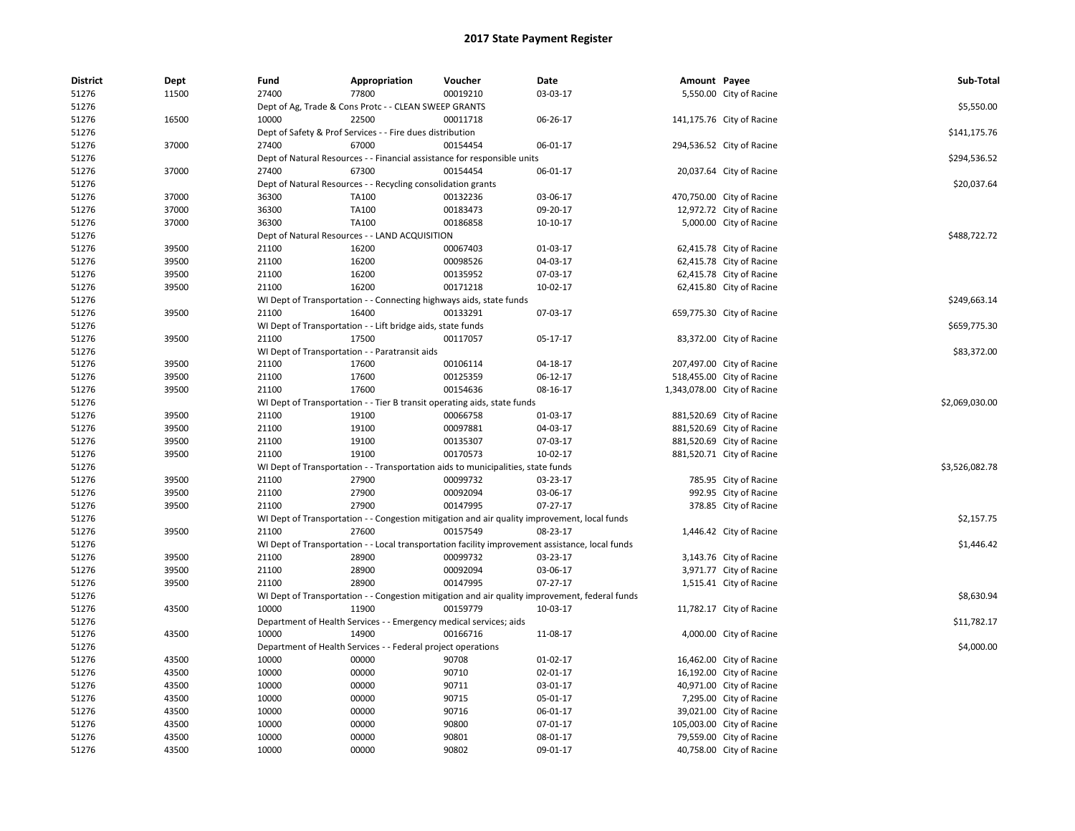| <b>District</b> | <b>Dept</b> | Fund                                                                                                                             | Appropriation                                                       | Voucher                                                                          | Date                                                                                            | Amount Payee |                             | Sub-Total      |  |
|-----------------|-------------|----------------------------------------------------------------------------------------------------------------------------------|---------------------------------------------------------------------|----------------------------------------------------------------------------------|-------------------------------------------------------------------------------------------------|--------------|-----------------------------|----------------|--|
| 51276           | 11500       | 27400                                                                                                                            | 77800                                                               | 00019210                                                                         | 03-03-17                                                                                        |              | 5,550.00 City of Racine     |                |  |
| 51276           |             | Dept of Ag, Trade & Cons Protc - - CLEAN SWEEP GRANTS                                                                            | \$5,550.00                                                          |                                                                                  |                                                                                                 |              |                             |                |  |
| 51276           | 16500       | 10000                                                                                                                            | 22500                                                               | 00011718                                                                         | 06-26-17                                                                                        |              | 141,175.76 City of Racine   |                |  |
| 51276           |             | Dept of Safety & Prof Services - - Fire dues distribution                                                                        | \$141,175.76                                                        |                                                                                  |                                                                                                 |              |                             |                |  |
| 51276           | 37000       | 27400                                                                                                                            | 67000                                                               | 00154454                                                                         | 06-01-17                                                                                        |              | 294,536.52 City of Racine   |                |  |
| 51276           |             |                                                                                                                                  |                                                                     | Dept of Natural Resources - - Financial assistance for responsible units         |                                                                                                 |              |                             | \$294,536.52   |  |
| 51276           | 37000       | 27400                                                                                                                            | 20,037.64 City of Racine                                            |                                                                                  |                                                                                                 |              |                             |                |  |
| 51276           |             |                                                                                                                                  | Dept of Natural Resources - - Recycling consolidation grants        |                                                                                  |                                                                                                 |              |                             | \$20,037.64    |  |
| 51276           | 37000       | 36300                                                                                                                            | TA100                                                               | 00132236                                                                         | 03-06-17                                                                                        |              | 470,750.00 City of Racine   |                |  |
| 51276           | 37000       | 36300                                                                                                                            | TA100                                                               | 00183473                                                                         | 09-20-17                                                                                        |              | 12,972.72 City of Racine    |                |  |
| 51276           | 37000       | 36300                                                                                                                            | TA100                                                               | 00186858                                                                         | 10-10-17                                                                                        |              | 5,000.00 City of Racine     |                |  |
| 51276           |             | Dept of Natural Resources - - LAND ACQUISITION                                                                                   |                                                                     | \$488,722.72                                                                     |                                                                                                 |              |                             |                |  |
| 51276           | 39500       | 21100                                                                                                                            | 16200                                                               | 00067403                                                                         | 01-03-17                                                                                        |              | 62,415.78 City of Racine    |                |  |
| 51276           | 39500       | 21100                                                                                                                            | 16200                                                               | 00098526                                                                         | 04-03-17                                                                                        |              | 62,415.78 City of Racine    |                |  |
| 51276           | 39500       | 21100                                                                                                                            | 16200                                                               | 00135952                                                                         | 07-03-17                                                                                        |              | 62,415.78 City of Racine    |                |  |
| 51276           | 39500       | 21100                                                                                                                            | 16200                                                               | 00171218                                                                         | 10-02-17                                                                                        |              | 62,415.80 City of Racine    |                |  |
| 51276           |             |                                                                                                                                  | WI Dept of Transportation - - Connecting highways aids, state funds |                                                                                  |                                                                                                 |              |                             | \$249,663.14   |  |
| 51276           | 39500       | 21100                                                                                                                            | 16400                                                               | 00133291                                                                         | 07-03-17                                                                                        |              | 659,775.30 City of Racine   |                |  |
| 51276           |             |                                                                                                                                  | WI Dept of Transportation - - Lift bridge aids, state funds         |                                                                                  |                                                                                                 |              |                             | \$659,775.30   |  |
| 51276           | 39500       | 21100                                                                                                                            | 17500                                                               | 00117057                                                                         | 05-17-17                                                                                        |              | 83,372.00 City of Racine    |                |  |
| 51276           |             |                                                                                                                                  | WI Dept of Transportation - - Paratransit aids                      |                                                                                  |                                                                                                 |              |                             | \$83,372.00    |  |
| 51276           | 39500       | 21100                                                                                                                            | 17600                                                               | 00106114                                                                         | 04-18-17                                                                                        |              | 207,497.00 City of Racine   |                |  |
| 51276           | 39500       | 21100                                                                                                                            | 17600                                                               | 00125359                                                                         | 06-12-17                                                                                        |              | 518,455.00 City of Racine   |                |  |
| 51276           | 39500       | 21100                                                                                                                            | 17600                                                               | 00154636                                                                         | 08-16-17                                                                                        |              | 1,343,078.00 City of Racine |                |  |
| 51276           |             |                                                                                                                                  |                                                                     | WI Dept of Transportation - - Tier B transit operating aids, state funds         |                                                                                                 |              |                             | \$2,069,030.00 |  |
| 51276           | 39500       | 21100                                                                                                                            | 19100                                                               | 00066758                                                                         | 01-03-17                                                                                        |              | 881,520.69 City of Racine   |                |  |
| 51276           | 39500       | 21100                                                                                                                            | 19100                                                               | 00097881                                                                         | 04-03-17                                                                                        |              | 881,520.69 City of Racine   |                |  |
| 51276           | 39500       | 21100                                                                                                                            | 19100                                                               | 00135307                                                                         | 07-03-17                                                                                        |              | 881,520.69 City of Racine   |                |  |
| 51276           | 39500       | 21100                                                                                                                            | 19100                                                               | 00170573                                                                         | 10-02-17                                                                                        |              | 881,520.71 City of Racine   |                |  |
| 51276           |             |                                                                                                                                  |                                                                     | WI Dept of Transportation - - Transportation aids to municipalities, state funds |                                                                                                 |              |                             | \$3,526,082.78 |  |
| 51276           | 39500       | 21100                                                                                                                            | 27900                                                               | 00099732                                                                         | 03-23-17                                                                                        |              | 785.95 City of Racine       |                |  |
| 51276           | 39500       | 21100                                                                                                                            | 27900                                                               | 00092094                                                                         | 03-06-17                                                                                        |              | 992.95 City of Racine       |                |  |
| 51276           | 39500       | 21100                                                                                                                            | 27900                                                               | 00147995                                                                         | $07-27-17$                                                                                      |              | 378.85 City of Racine       |                |  |
| 51276           |             |                                                                                                                                  |                                                                     |                                                                                  |                                                                                                 |              |                             | \$2,157.75     |  |
|                 | 39500       | WI Dept of Transportation - - Congestion mitigation and air quality improvement, local funds<br>27600<br>1,446.42 City of Racine |                                                                     |                                                                                  |                                                                                                 |              |                             |                |  |
| 51276<br>51276  |             | 21100                                                                                                                            |                                                                     | 00157549                                                                         | 08-23-17                                                                                        |              |                             |                |  |
|                 |             |                                                                                                                                  |                                                                     |                                                                                  | WI Dept of Transportation - - Local transportation facility improvement assistance, local funds |              |                             | \$1,446.42     |  |
| 51276           | 39500       | 21100                                                                                                                            | 28900                                                               | 00099732                                                                         | 03-23-17                                                                                        |              | 3,143.76 City of Racine     |                |  |
| 51276           | 39500       | 21100                                                                                                                            | 28900                                                               | 00092094<br>00147995                                                             | 03-06-17                                                                                        |              | 3,971.77 City of Racine     |                |  |
| 51276           | 39500       | 21100                                                                                                                            | 28900                                                               |                                                                                  | $07-27-17$                                                                                      |              | 1,515.41 City of Racine     |                |  |
| 51276           |             |                                                                                                                                  |                                                                     |                                                                                  | WI Dept of Transportation - - Congestion mitigation and air quality improvement, federal funds  |              |                             | \$8,630.94     |  |
| 51276           | 43500       | 10000                                                                                                                            | 11900                                                               | 00159779                                                                         | 10-03-17                                                                                        |              | 11,782.17 City of Racine    |                |  |
| 51276           |             |                                                                                                                                  | Department of Health Services - - Emergency medical services; aids  |                                                                                  |                                                                                                 |              |                             | \$11,782.17    |  |
| 51276           | 43500       | 10000                                                                                                                            | 14900                                                               | 00166716                                                                         | 11-08-17                                                                                        |              | 4,000.00 City of Racine     |                |  |
| 51276           |             |                                                                                                                                  | Department of Health Services - - Federal project operations        |                                                                                  |                                                                                                 |              |                             | \$4,000.00     |  |
| 51276           | 43500       | 10000                                                                                                                            | 00000                                                               | 90708                                                                            | 01-02-17                                                                                        |              | 16,462.00 City of Racine    |                |  |
| 51276           | 43500       | 10000                                                                                                                            | 00000                                                               | 90710                                                                            | 02-01-17                                                                                        |              | 16,192.00 City of Racine    |                |  |
| 51276           | 43500       | 10000                                                                                                                            | 00000                                                               | 90711                                                                            | 03-01-17                                                                                        |              | 40,971.00 City of Racine    |                |  |
| 51276           | 43500       | 10000                                                                                                                            | 00000                                                               | 90715                                                                            | 05-01-17                                                                                        |              | 7,295.00 City of Racine     |                |  |
| 51276           | 43500       | 10000                                                                                                                            | 00000                                                               | 90716                                                                            | 06-01-17                                                                                        |              | 39,021.00 City of Racine    |                |  |
| 51276           | 43500       | 10000                                                                                                                            | 00000                                                               | 90800                                                                            | 07-01-17                                                                                        |              | 105,003.00 City of Racine   |                |  |
| 51276           | 43500       | 10000                                                                                                                            | 00000                                                               | 90801                                                                            | 08-01-17                                                                                        |              | 79,559.00 City of Racine    |                |  |
| 51276           | 43500       | 10000                                                                                                                            | 00000                                                               | 90802                                                                            | 09-01-17                                                                                        |              | 40,758.00 City of Racine    |                |  |